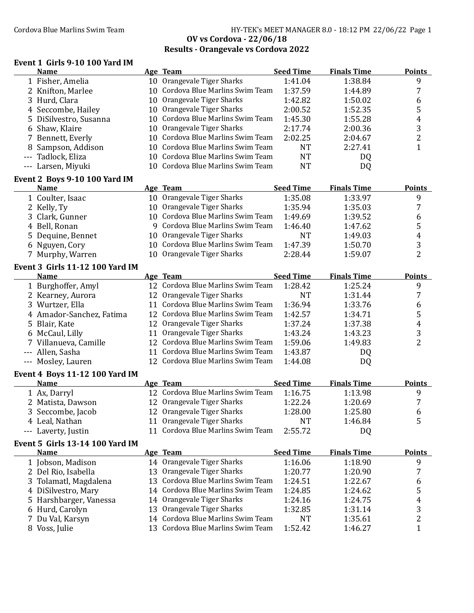#### Cordova Blue Marlins Swim Team 1980 1991 1992 HY-TEK's MEET MANAGER 8.0 - 18:12 PM 22/06/22 Page 1 **OV vs Cordova - 22/06/18 Results - Orangevale vs Cordova 2022**

#### **Event 1 Girls 9-10 100 Yard IM**

|   | <b>Name</b>                            |    | Age Team                                      | <b>Seed Time</b>   | <b>Finals Time</b> | <b>Points</b>  |
|---|----------------------------------------|----|-----------------------------------------------|--------------------|--------------------|----------------|
|   | 1 Fisher, Amelia                       |    | 10 Orangevale Tiger Sharks                    | 1:41.04            | 1:38.84            | 9              |
|   | 2 Knifton, Marlee                      |    | 10 Cordova Blue Marlins Swim Team             | 1:37.59            | 1:44.89            | 7              |
|   | 3 Hurd, Clara                          |    | 10 Orangevale Tiger Sharks                    | 1:42.82            | 1:50.02            | 6              |
|   | 4 Seccombe, Hailey                     |    | 10 Orangevale Tiger Sharks                    | 2:00.52            | 1:52.35            | 5              |
|   | 5 DiSilvestro, Susanna                 |    | 10 Cordova Blue Marlins Swim Team             | 1:45.30            | 1:55.28            | 4              |
|   | 6 Shaw, Klaire                         |    | 10 Orangevale Tiger Sharks                    | 2:17.74            | 2:00.36            | 3              |
|   | 7 Bennett, Everly                      |    | 10 Cordova Blue Marlins Swim Team             | 2:02.25            | 2:04.67            | $\overline{2}$ |
|   | 8 Sampson, Addison                     |    | 10 Cordova Blue Marlins Swim Team             | <b>NT</b>          | 2:27.41            | $\mathbf{1}$   |
|   | Tadlock, Eliza                         |    | 10 Cordova Blue Marlins Swim Team             | <b>NT</b>          | <b>DQ</b>          |                |
|   | --- Larsen, Miyuki                     |    | 10 Cordova Blue Marlins Swim Team             | <b>NT</b>          | DQ                 |                |
|   |                                        |    |                                               |                    |                    |                |
|   | Event 2 Boys 9-10 100 Yard IM          |    |                                               |                    |                    |                |
|   | <b>Name</b>                            |    | Age Team                                      | <b>Seed Time</b>   | <b>Finals Time</b> | <b>Points</b>  |
|   | 1 Coulter, Isaac                       |    | 10 Orangevale Tiger Sharks                    | 1:35.08            | 1:33.97            | 9              |
|   | 2 Kelly, Ty                            |    | 10 Orangevale Tiger Sharks                    | 1:35.94            | 1:35.03            | 7              |
|   | 3 Clark, Gunner                        |    | 10 Cordova Blue Marlins Swim Team             | 1:49.69            | 1:39.52            | 6              |
|   | 4 Bell, Ronan                          |    | 9 Cordova Blue Marlins Swim Team              | 1:46.40            | 1:47.62            | 5              |
|   | 5 Dequine, Bennet                      |    | 10 Orangevale Tiger Sharks                    | <b>NT</b>          | 1:49.03            | 4              |
|   | 6 Nguyen, Cory                         |    | 10 Cordova Blue Marlins Swim Team             | 1:47.39            | 1:50.70            | 3              |
|   | 7 Murphy, Warren                       |    | 10 Orangevale Tiger Sharks                    | 2:28.44            | 1:59.07            | $\overline{2}$ |
|   | <b>Event 3 Girls 11-12 100 Yard IM</b> |    |                                               |                    |                    |                |
|   | <b>Name</b>                            |    | Age Team                                      | <b>Seed Time</b>   | <b>Finals Time</b> | <b>Points</b>  |
|   | 1 Burghoffer, Amyl                     |    | 12 Cordova Blue Marlins Swim Team             | 1:28.42            | 1:25.24            | 9              |
|   | 2 Kearney, Aurora                      |    | 12 Orangevale Tiger Sharks                    | <b>NT</b>          | 1:31.44            | 7              |
|   | 3 Wurtzer, Ella                        |    | 11 Cordova Blue Marlins Swim Team             | 1:36.94            | 1:33.76            | 6              |
|   | 4 Amador-Sanchez, Fatima               |    | 12 Cordova Blue Marlins Swim Team             | 1:42.57            | 1:34.71            | 5              |
|   | 5 Blair, Kate                          |    | 12 Orangevale Tiger Sharks                    | 1:37.24            | 1:37.38            | 4              |
|   | 6 McCaul, Lilly                        |    | 11 Orangevale Tiger Sharks                    | 1:43.24            | 1:43.23            | 3              |
|   | 7 Villanueva, Camille                  |    | 12 Cordova Blue Marlins Swim Team             | 1:59.06            | 1:49.83            | $\overline{2}$ |
|   | --- Allen, Sasha                       | 11 | Cordova Blue Marlins Swim Team                | 1:43.87            | DQ                 |                |
|   | --- Mosley, Lauren                     |    | 12 Cordova Blue Marlins Swim Team             | 1:44.08            | DQ                 |                |
|   |                                        |    |                                               |                    |                    |                |
|   | <b>Event 4 Boys 11-12 100 Yard IM</b>  |    |                                               | <b>Seed Time</b>   | <b>Finals Time</b> | <b>Points</b>  |
|   | Name                                   |    | Age Team<br>12 Cordova Blue Marlins Swim Team |                    |                    |                |
|   | 1 Ax, Darryl                           |    | 12 Orangevale Tiger Sharks                    | 1:16.75<br>1:22.24 | 1:13.98<br>1:20.69 | 9<br>7         |
|   | 2 Matista, Dawson                      |    |                                               |                    |                    |                |
|   | 3 Seccombe, Jacob                      |    | 12 Orangevale Tiger Sharks                    | 1:28.00            | 1:25.80            | 6              |
|   | 4 Leal, Nathan                         |    | 11 Orangevale Tiger Sharks                    | <b>NT</b>          | 1:46.84            | 5              |
|   | --- Laverty, Justin                    |    | 11 Cordova Blue Marlins Swim Team             | 2:55.72            | DQ                 |                |
|   | <b>Event 5 Girls 13-14 100 Yard IM</b> |    |                                               |                    |                    |                |
|   | <b>Name</b>                            |    | Age Team                                      | <b>Seed Time</b>   | <b>Finals Time</b> | <b>Points</b>  |
|   | 1 Jobson, Madison                      |    | 14 Orangevale Tiger Sharks                    | 1:16.06            | 1:18.90            | 9              |
|   | 2 Del Rio, Isabella                    |    | 13 Orangevale Tiger Sharks                    | 1:20.77            | 1:20.90            | 7              |
|   | Tolamatl, Magdalena                    | 13 | Cordova Blue Marlins Swim Team                | 1:24.51            | 1:22.67            | 6              |
|   | 4 DiSilvestro, Mary                    | 14 | Cordova Blue Marlins Swim Team                | 1:24.85            | 1:24.62            | 5              |
| 5 | Harshbarger, Vanessa                   | 14 | Orangevale Tiger Sharks                       | 1:24.16            | 1:24.75            | 4              |
|   | 6 Hurd, Carolyn                        |    | 13 Orangevale Tiger Sharks                    | 1:32.85            | 1:31.14            | 3              |
|   | 7 Du Val, Karsyn                       |    | 14 Cordova Blue Marlins Swim Team             | <b>NT</b>          | 1:35.61            | $\overline{c}$ |
|   | Voss, Julie                            | 13 | Cordova Blue Marlins Swim Team                | 1:52.42            | 1:46.27            | $\mathbf{1}$   |
|   |                                        |    |                                               |                    |                    |                |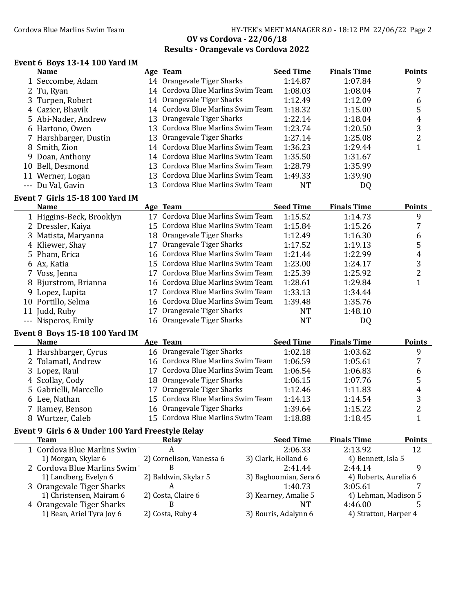### Cordova Blue Marlins Swim Team **HY-TEK's MEET MANAGER 8.0 - 18:12 PM 22/06/22** Page 2 **OV vs Cordova - 22/06/18 Results - Orangevale vs Cordova 2022**

#### **Event 6 Boys 13-14 100 Yard IM**

| <b>Name</b>                            | Age Team                          | <b>Seed Time</b> | <b>Finals Time</b> | <b>Points</b> |
|----------------------------------------|-----------------------------------|------------------|--------------------|---------------|
| 1 Seccombe, Adam                       | 14 Orangevale Tiger Sharks        | 1:14.87          | 1:07.84            | 9             |
| 2 Tu, Ryan                             | 14 Cordova Blue Marlins Swim Team | 1:08.03          | 1:08.04            |               |
| 3 Turpen, Robert                       | 14 Orangevale Tiger Sharks        | 1:12.49          | 1:12.09            | 6             |
| 4 Cazier, Bhavik                       | 14 Cordova Blue Marlins Swim Team | 1:18.32          | 1:15.00            | 5             |
| 5 Abi-Nader, Andrew                    | 13 Orangevale Tiger Sharks        | 1:22.14          | 1:18.04            | 4             |
| 6 Hartono, Owen                        | 13 Cordova Blue Marlins Swim Team | 1:23.74          | 1:20.50            | 3             |
| 7 Harshbarger, Dustin                  | 13 Orangevale Tiger Sharks        | 1:27.14          | 1:25.08            | າ             |
| 8 Smith, Zion                          | 14 Cordova Blue Marlins Swim Team | 1:36.23          | 1:29.44            |               |
| 9 Doan, Anthony                        | 14 Cordova Blue Marlins Swim Team | 1:35.50          | 1:31.67            |               |
| 10 Bell, Desmond                       | 13 Cordova Blue Marlins Swim Team | 1:28.79          | 1:35.99            |               |
| 11 Werner, Logan                       | 13 Cordova Blue Marlins Swim Team | 1:49.33          | 1:39.90            |               |
| --- Du Val, Gavin                      | 13 Cordova Blue Marlins Swim Team | NT               | DQ                 |               |
| <b>Event 7 Girls 15-18 100 Yard IM</b> |                                   |                  |                    |               |
| <b>Name</b>                            | Age Team                          | <b>Seed Time</b> | <b>Finals Time</b> | <b>Points</b> |
| $\sim$ $\sim$ $\sim$ $\sim$            | $\mathbf{L}$                      |                  |                    | $\sim$        |

| маше                     |    | лее теаш                          | Jeeu Time | гицаны типе | г оннь |
|--------------------------|----|-----------------------------------|-----------|-------------|--------|
| 1 Higgins-Beck, Brooklyn |    | 17 Cordova Blue Marlins Swim Team | 1:15.52   | 1:14.73     |        |
| 2 Dressler, Kaiya        |    | 15 Cordova Blue Marlins Swim Team | 1:15.84   | 1:15.26     |        |
| 3 Matista, Maryanna      |    | 18 Orangevale Tiger Sharks        | 1:12.49   | 1:16.30     | b      |
| 4 Kliewer, Shay          |    | 17 Orangevale Tiger Sharks        | 1:17.52   | 1:19.13     |        |
| 5 Pham, Erica            |    | 16 Cordova Blue Marlins Swim Team | 1:21.44   | 1:22.99     | 4      |
| 6 Ax, Katia              |    | 15 Cordova Blue Marlins Swim Team | 1:23.00   | 1:24.17     | 3      |
| 7 Voss, Jenna            |    | 17 Cordova Blue Marlins Swim Team | 1:25.39   | 1:25.92     |        |
| 8 Bjurstrom, Brianna     |    | 16 Cordova Blue Marlins Swim Team | 1:28.61   | 1:29.84     |        |
| 9 Lopez, Lupita          |    | 17 Cordova Blue Marlins Swim Team | 1:33.13   | 1:34.44     |        |
| 10 Portillo, Selma       |    | 16 Cordova Blue Marlins Swim Team | 1:39.48   | 1:35.76     |        |
| 11 Judd, Ruby            | 17 | Orangevale Tiger Sharks           | NT        | 1:48.10     |        |
| --- Nisperos, Emily      |    | 16 Orangevale Tiger Sharks        | NΤ        | DQ          |        |

### **Event 8 Boys 15-18 100 Yard IM**

| Name                  | Age Team                          | <b>Seed Time</b> | <b>Finals Time</b> | <b>Points</b> |
|-----------------------|-----------------------------------|------------------|--------------------|---------------|
| 1 Harshbarger, Cyrus  | 16 Orangevale Tiger Sharks        | 1:02.18          | 1:03.62            | q             |
| 2 Tolamatl, Andrew    | 16 Cordova Blue Marlins Swim Team | 1:06.59          | 1:05.61            |               |
| 3 Lopez, Raul         | 17 Cordova Blue Marlins Swim Team | 1:06.54          | 1:06.83            | b             |
| 4 Scollay, Cody       | 18 Orangevale Tiger Sharks        | 1:06.15          | 1:07.76            |               |
| 5 Gabrielli, Marcello | 17 Orangevale Tiger Sharks        | 1:12.46          | 1:11.83            | 4             |
| 6 Lee, Nathan         | 15 Cordova Blue Marlins Swim Team | 1:14.13          | 1:14.54            | 3             |
| 7 Ramey, Benson       | 16 Orangevale Tiger Sharks        | 1:39.64          | 1:15.22            |               |
| 8 Wurtzer, Caleb      | 15 Cordova Blue Marlins Swim Team | 1:18.88          | 1:18.45            |               |

# **Event 9 Girls 6 & Under 100 Yard Freestyle Relay**

| <b>Team</b>                 | Relav                    | <b>Seed Time</b>      | <b>Finals Time</b>    | <b>Points</b> |
|-----------------------------|--------------------------|-----------------------|-----------------------|---------------|
| 1 Cordova Blue Marlins Swim | А                        | 2:06.33               | 2:13.92               | 12            |
| 1) Morgan, Skylar 6         | 2) Cornelison, Vanessa 6 | 3) Clark, Holland 6   | 4) Bennett, Isla 5    |               |
| 2 Cordova Blue Marlins Swim |                          | 2:41.44               | 2:44.14               |               |
| 1) Landberg, Evelyn 6       | 2) Baldwin, Skylar 5     | 3) Baghoomian, Sera 6 | 4) Roberts, Aurelia 6 |               |
| 3 Orangevale Tiger Sharks   |                          | 1:40.73               | 3:05.61               |               |
| 1) Christensen, Mairam 6    | 2) Costa, Claire 6       | 3) Kearney, Amalie 5  | 4) Lehman, Madison 5  |               |
| 4 Orangevale Tiger Sharks   |                          | NТ                    | 4:46.00               |               |
| 1) Bean, Ariel Tyra Joy 6   | 2) Costa, Ruby 4         | 3) Bouris, Adalynn 6  | 4) Stratton, Harper 4 |               |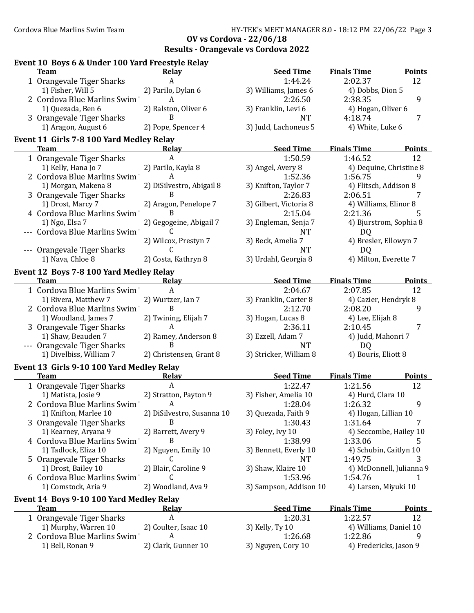| Event 10 Boys 6 & Under 100 Yard Freestyle Relay        |                            |                        |                                     |
|---------------------------------------------------------|----------------------------|------------------------|-------------------------------------|
| <b>Team</b>                                             | <b>Relay</b>               | <b>Seed Time</b>       | <b>Finals Time</b><br><b>Points</b> |
| 1 Orangevale Tiger Sharks                               | A                          | 1:44.24                | 2:02.37<br>12                       |
| 1) Fisher, Will 5                                       | 2) Parilo, Dylan 6         | 3) Williams, James 6   | 4) Dobbs, Dion 5                    |
| 2 Cordova Blue Marlins Swim                             | $\mathsf{A}$               | 2:26.50                | 9<br>2:38.35                        |
| 1) Quezada, Ben 6                                       | 2) Ralston, Oliver 6       | 3) Franklin, Levi 6    | 4) Hogan, Oliver 6                  |
| 3 Orangevale Tiger Sharks                               | B                          | <b>NT</b>              | $\overline{7}$<br>4:18.74           |
| 1) Aragon, August 6                                     | 2) Pope, Spencer 4         | 3) Judd, Lachoneus 5   | 4) White, Luke 6                    |
| Event 11 Girls 7-8 100 Yard Medley Relay<br><b>Team</b> | <b>Relay</b>               | <b>Seed Time</b>       | <b>Finals Time</b><br><b>Points</b> |
|                                                         | A                          | 1:50.59                | 12<br>1:46.52                       |
| 1 Orangevale Tiger Sharks<br>1) Kelly, Hana Jo 7        | 2) Parilo, Kayla 8         | 3) Angel, Avery 8      | 4) Dequine, Christine 8             |
| 2 Cordova Blue Marlins Swim                             | A                          | 1:52.36                | 1:56.75<br>9                        |
| 1) Morgan, Makena 8                                     | 2) DiSilvestro, Abigail 8  | 3) Knifton, Taylor 7   | 4) Flitsch, Addison 8               |
| 3 Orangevale Tiger Sharks                               | B                          | 2:26.83                | 2:06.51<br>7                        |
| 1) Drost, Marcy 7                                       | 2) Aragon, Penelope 7      | 3) Gilbert, Victoria 8 | 4) Williams, Elinor 8               |
| 4 Cordova Blue Marlins Swim                             | B                          | 2:15.04                | 2:21.36<br>5                        |
| 1) Ngo, Elsa 7                                          | 2) Gegogeine, Abigail 7    | 3) Engleman, Senja 7   | 4) Bjurstrom, Sophia 8              |
| --- Cordova Blue Marlins Swim'                          | C                          | <b>NT</b>              | D <sub>Q</sub>                      |
|                                                         | 2) Wilcox, Prestyn 7       | 3) Beck, Amelia 7      | 4) Bresler, Ellowyn 7               |
| --- Orangevale Tiger Sharks                             | C                          | <b>NT</b>              | D <sub>Q</sub>                      |
| 1) Nava, Chloe 8                                        | 2) Costa, Kathryn 8        | 3) Urdahl, Georgia 8   | 4) Milton, Everette 7               |
|                                                         |                            |                        |                                     |
| Event 12 Boys 7-8 100 Yard Medley Relay<br><b>Team</b>  | Relay                      | <b>Seed Time</b>       | <b>Finals Time</b><br><b>Points</b> |
| 1 Cordova Blue Marlins Swim                             | A                          | 2:04.67                | 2:07.85<br>12                       |
| 1) Rivera, Matthew 7                                    | 2) Wurtzer, Ian 7          | 3) Franklin, Carter 8  | 4) Cazier, Hendryk 8                |
| 2 Cordova Blue Marlins Swim                             | B                          | 2:12.70                | 2:08.20<br>9                        |
| 1) Woodland, James 7                                    | 2) Twining, Elijah 7       | 3) Hogan, Lucas 8      | 4) Lee, Elijah 8                    |
| 3 Orangevale Tiger Sharks                               | A                          | 2:36.11                | 7<br>2:10.45                        |
| 1) Shaw, Beauden 7                                      | 2) Ramey, Anderson 8       | 3) Ezzell, Adam 7      | 4) Judd, Mahonri 7                  |
| --- Orangevale Tiger Sharks                             | B                          | <b>NT</b>              | DQ                                  |
| 1) Divelbiss, William 7                                 | 2) Christensen, Grant 8    | 3) Stricker, William 8 | 4) Bouris, Eliott 8                 |
| Event 13 Girls 9-10 100 Yard Medley Relay               |                            |                        |                                     |
| Team                                                    | Relay                      | <b>Seed Time</b>       | <b>Finals Time</b><br>Points        |
| 1 Orangevale Tiger Sharks                               | A                          | 1:22.47                | 12<br>1:21.56                       |
| 1) Matista, Josie 9                                     | 2) Stratton, Payton 9      | 3) Fisher, Amelia 10   | 4) Hurd, Clara 10                   |
| 2 Cordova Blue Marlins Swim                             | A                          | 1:28.04                | 1:26.32<br>9                        |
| 1) Knifton, Marlee 10                                   | 2) DiSilvestro, Susanna 10 | 3) Quezada, Faith 9    | 4) Hogan, Lillian 10                |
| 3 Orangevale Tiger Sharks                               | B                          | 1:30.43                | 1:31.64<br>7                        |
| 1) Kearney, Aryana 9                                    | 2) Barrett, Avery 9        | 3) Foley, Ivy 10       | 4) Seccombe, Hailey 10              |
| 4 Cordova Blue Marlins Swim                             | B                          | 1:38.99                | 1:33.06<br>5                        |
| 1) Tadlock, Eliza 10                                    | 2) Nguyen, Emily 10        | 3) Bennett, Everly 10  | 4) Schubin, Caitlyn 10              |
| 5 Orangevale Tiger Sharks                               | C                          | <b>NT</b>              | 1:49.75<br>3                        |
| 1) Drost, Bailey 10                                     | 2) Blair, Caroline 9       | 3) Shaw, Klaire 10     | 4) McDonnell, Julianna 9            |
| 6 Cordova Blue Marlins Swim                             | C                          | 1:53.96                | 1:54.76<br>1                        |
| 1) Comstock, Aria 9                                     | 2) Woodland, Ava 9         | 3) Sampson, Addison 10 | 4) Larsen, Miyuki 10                |
| Event 14 Boys 9-10 100 Yard Medley Relay                |                            |                        |                                     |
| <b>Team</b>                                             | <u>Relav</u>               | <b>Seed Time</b>       | <b>Finals Time</b><br><b>Points</b> |
| 1 Orangevale Tiger Sharks                               | A                          | 1:20.31                | 1:22.57<br>12                       |
| 1) Murphy, Warren 10                                    | 2) Coulter, Isaac 10       | 3) Kelly, Ty 10        | 4) Williams, Daniel 10              |
| 2 Cordova Blue Marlins Swim                             | A                          | 1:26.68                | 1:22.86<br>9                        |
| 1) Bell, Ronan 9                                        | 2) Clark, Gunner 10        | 3) Nguyen, Cory 10     | 4) Fredericks, Jason 9              |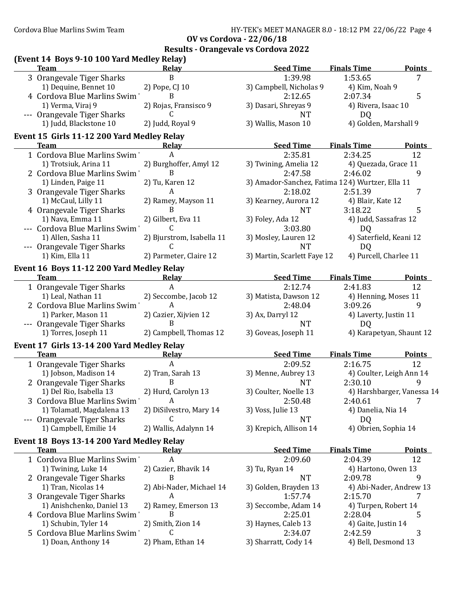| (Event 14 Boys 9-10 100 Yard Medley Relay)<br><b>Team</b> | Relav                     | <b>Seed Time</b>                                | <b>Finals Time</b>         | <b>Points</b>              |
|-----------------------------------------------------------|---------------------------|-------------------------------------------------|----------------------------|----------------------------|
| 3 Orangevale Tiger Sharks                                 | B                         | 1:39.98                                         | 1:53.65                    | $\overline{7}$             |
| 1) Dequine, Bennet 10                                     | 2) Pope, CJ 10            | 3) Campbell, Nicholas 9                         | 4) Kim, Noah 9             |                            |
| 4 Cordova Blue Marlins Swim                               | B                         | 2:12.65                                         | 2:07.34                    | 5                          |
| 1) Verma, Viraj 9                                         | 2) Rojas, Fransisco 9     | 3) Dasari, Shreyas 9                            | 4) Rivera, Isaac 10        |                            |
| --- Orangevale Tiger Sharks                               | C                         | <b>NT</b>                                       | DQ                         |                            |
| 1) Judd, Blackstone 10                                    | 2) Judd, Royal 9          | 3) Wallis, Mason 10                             | 4) Golden, Marshall 9      |                            |
| Event 15 Girls 11-12 200 Yard Medley Relay<br><b>Team</b> | Relay                     | <b>Seed Time</b>                                | <b>Finals Time</b>         | <b>Points</b>              |
| 1 Cordova Blue Marlins Swim                               | A                         | 2:35.81                                         | 2:34.25                    | 12                         |
| 1) Trotsiuk, Arina 11                                     | 2) Burghoffer, Amyl 12    | 3) Twining, Amelia 12                           | 4) Quezada, Grace 11       |                            |
| 2 Cordova Blue Marlins Swim                               | B                         | 2:47.58                                         | 2:46.02                    | 9                          |
| 1) Linden, Paige 11                                       | 2) Tu, Karen 12           | 3) Amador-Sanchez, Fatima 124) Wurtzer, Ella 11 |                            |                            |
| 3 Orangevale Tiger Sharks                                 | A                         | 2:18.02                                         | 2:51.39                    | 7                          |
| 1) McCaul, Lilly 11                                       | 2) Ramey, Mayson 11       | 3) Kearney, Aurora 12                           | 4) Blair, Kate 12          |                            |
| 4 Orangevale Tiger Sharks                                 | B                         | <b>NT</b>                                       | 3:18.22                    | 5                          |
| 1) Nava, Emma 11                                          | 2) Gilbert, Eva 11        | 3) Foley, Ada 12                                | 4) Judd, Sassafras 12      |                            |
| --- Cordova Blue Marlins Swim                             | C                         | 3:03.80                                         | DQ                         |                            |
| 1) Allen, Sasha 11                                        | 2) Bjurstrom, Isabella 11 | 3) Mosley, Lauren 12                            | 4) Saterfield, Keani 12    |                            |
| --- Orangevale Tiger Sharks                               | C                         | <b>NT</b>                                       | DQ                         |                            |
| 1) Kim, Ella 11                                           | 2) Parmeter, Claire 12    | 3) Martin, Scarlett Faye 12                     | 4) Purcell, Charlee 11     |                            |
|                                                           |                           |                                                 |                            |                            |
| Event 16 Boys 11-12 200 Yard Medley Relay<br><b>Team</b>  | <b>Relay</b>              | <b>Seed Time</b>                                | <b>Finals Time</b>         | <b>Points</b>              |
| 1 Orangevale Tiger Sharks                                 | A                         | 2:12.74                                         | 2:41.83                    | 12                         |
| 1) Leal, Nathan 11                                        | 2) Seccombe, Jacob 12     | 3) Matista, Dawson 12                           | 4) Henning, Moses 11       |                            |
| 2 Cordova Blue Marlins Swim                               | A                         | 2:48.04                                         | 3:09.26                    | 9                          |
| 1) Parker, Mason 11                                       | 2) Cazier, Xijvien 12     | 3) Ax, Darryl 12                                | 4) Laverty, Justin 11      |                            |
| --- Orangevale Tiger Sharks                               | B                         | <b>NT</b>                                       | DQ                         |                            |
| 1) Torres, Joseph 11                                      | 2) Campbell, Thomas 12    | 3) Goveas, Joseph 11                            |                            | 4) Karapetyan, Shaunt 12   |
| Event 17 Girls 13-14 200 Yard Medley Relay                |                           |                                                 |                            |                            |
| <b>Team</b>                                               | Relay                     | <b>Seed Time</b>                                | <b>Finals Time</b>         | <b>Points</b>              |
| 1 Orangevale Tiger Sharks                                 | A                         | 2:09.52                                         | 2:16.75                    | 12                         |
| 1) Jobson, Madison 14                                     | 2) Tran, Sarah 13         | 3) Menne, Aubrey 13                             | 4) Coulter, Leigh Ann 14   |                            |
| 2 Orangevale Tiger Sharks                                 | B                         | <b>NT</b>                                       | 2:30.10                    | 9                          |
| 1) Del Rio, Isabella 13                                   | 2) Hurd, Carolyn 13       | 3) Coulter, Noelle 13                           |                            | 4) Harshbarger, Vanessa 14 |
| 3 Cordova Blue Marlins Swim                               | A                         | 2:50.48                                         | $2:40.61$ 7                |                            |
| 1) Tolamatl, Magdalena 13                                 | 2) DiSilvestro, Mary 14   | 3) Voss, Julie 13                               | 4) Danelia, Nia 14         |                            |
| --- Orangevale Tiger Sharks<br>1) Campbell, Emilie 14     | C                         | <b>NT</b>                                       | DQ<br>4) Obrien, Sophia 14 |                            |
|                                                           | 2) Wallis, Adalynn 14     | 3) Krepich, Allison 14                          |                            |                            |
| Event 18 Boys 13-14 200 Yard Medley Relay                 |                           |                                                 |                            |                            |
| <b>Team</b>                                               | Relay                     | <b>Seed Time</b>                                | <b>Finals Time</b>         | <b>Points</b>              |
| 1 Cordova Blue Marlins Swim'                              | $\boldsymbol{A}$          | 2:09.60                                         | 2:04.39                    | 12                         |
| 1) Twining, Luke 14                                       | 2) Cazier, Bhavik 14      | 3) Tu, Ryan 14                                  | 4) Hartono, Owen 13        |                            |
| 2 Orangevale Tiger Sharks                                 | B                         | <b>NT</b>                                       | 2:09.78                    | 9                          |
| 1) Tran, Nicolas 14                                       | 2) Abi-Nader, Michael 14  | 3) Golden, Brayden 13                           |                            | 4) Abi-Nader, Andrew 13    |
| 3 Orangevale Tiger Sharks                                 | A                         | 1:57.74                                         | 2:15.70                    | 7                          |
| 1) Anishchenko, Daniel 13                                 | 2) Ramey, Emerson 13      | 3) Seccombe, Adam 14                            | 4) Turpen, Robert 14       |                            |
| 4 Cordova Blue Marlins Swim                               | B                         | 2:25.01                                         | 2:28.04                    | 5                          |
| 1) Schubin, Tyler 14                                      | 2) Smith, Zion 14         | 3) Haynes, Caleb 13                             | 4) Gaite, Justin 14        |                            |
| 5 Cordova Blue Marlins Swim                               | C                         | 2:34.07                                         | 2:42.59                    | 3                          |
| 1) Doan, Anthony 14                                       | 2) Pham, Ethan 14         | 3) Sharratt, Cody 14                            | 4) Bell, Desmond 13        |                            |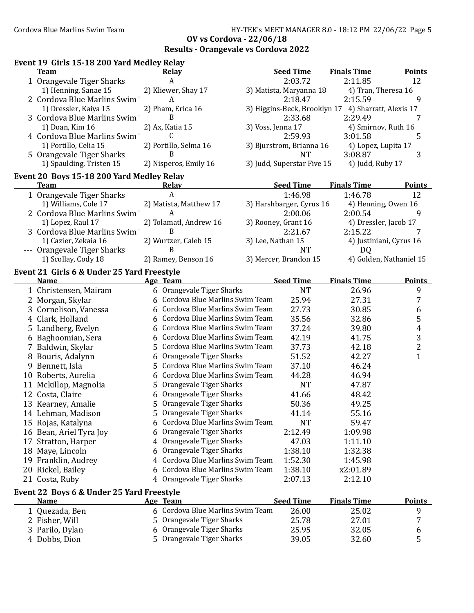#### **Event 19 Girls 15-18 200 Yard Medley Relay Team Relay Seed Time Points Finals Time** 1 Orangevale Tiger Sharks  $A$   $2:03.72$   $2:11.85$  12 1) Henning, Sanae 15 2) Kliewer, Shay 17 3) Matista, Maryanna 18 4) Tran, Theresa 16 2 Cordova Blue Marlins Swim  $A$  and  $2:18.47$  2:15.59 9 1) Dressler, Kaiya 15 2) Pham, Erica 16 3) Higgins-Beck, Brooklyn 17 4) Sharratt, Alexis 17 3 Cordova Blue Marlins Swim B 2:33.68 2:29.49 1) Doan, Kim 16 2) Ax, Katia 15 3) Voss, Jenna 17 4) Smirnov, Ruth 16 4 Cordova Blue Marlins Swim C C 2:59.93 3:01.58 5 1) Portillo, Celia 15 2) Portillo, Selma 16 3) Bjurstrom, Brianna 16 4) Lopez, Lupita 17 5 Orangevale Tiger Sharks **3:08.87** 3:08.87 1) Spaulding, Tristen 15 2) Nisperos, Emily 16 3) Judd, Superstar Five 15 4) Judd, Ruby 17 **Event 20 Boys 15-18 200 Yard Medley Relay Team Relay Seed Time Points Finals Time** 1 Orangevale Tiger Sharks 1.46.98 1:46.78 12 1) Williams, Cole 17 2) Matista, Matthew 17 3) Harshbarger, Cyrus 16 4) Henning, Owen 16 2 Cordova Blue Marlins Swim  $A$  and  $2:00.06$  2:00.54 9 1) Lopez, Raul 17 2) Tolamatl, Andrew 16 3) Rooney, Grant 16 4) Dressler, Jacob 17 3 Cordova Blue Marlins Swim B 2:21.67 2:15.22 7 1) Cazier, Zekaia 16 2) Wurtzer, Caleb 15 3) Lee, Nathan 15 4) Justiniani, Cyrus 16 --- Orangevale Tiger Sharks B B NT NT DQ 1) Scollay, Cody 18 2) Ramey, Benson 16 3) Mercer, Brandon 15 4) Golden, Nathaniel 15 **Event 21 Girls 6 & Under 25 Yard Freestyle Name Team Finals Age Seed Time Points Time** 1 Christensen, Mairam 6 Orangevale Tiger Sharks 1 NT 26.96 9<br>2 Morgan, Skylar 6 Cordova Blue Marlins Swim Team 25.94 27.31 7 2 Morgan, Skylar 6 Cordova Blue Marlins Swim Team 25.94 27.31 3 Cornelison, Vanessa  $\overline{6}$  Cordova Blue Marlins Swim Team  $\overline{27.73}$   $\overline{30.85}$   $\overline{6}$ 4 Clark, Holland 6 Cordova Blue Marlins Swim Team 35.56 32.86 5 5 Landberg, Evelyn 6 Cordova Blue Marlins Swim Team 37.24 39.80 4 6 Baghoomian, Sera 41.75 3 6 Cordova Blue Marlins Swim Team 42.19 7 Baldwin, Skylar 42.18 2 5 Cordova Blue Marlins Swim Team 37.73 8 Bouris, Adalynn 1 6 Orangevale Tiger Sharks 51.52 42.27 1 1 9 Bennett, Isla 46.24 5 Cordova Blue Marlins Swim Team 37.10 10 Roberts, Aurelia 46.94 6 Cordova Blue Marlins Swim Team 44.28 11 Mckillop, Magnolia 6 5 Orangevale Tiger Sharks 11 Mckillop, 17.87 12 Costa, Claire **48.42** 6 Orangevale Tiger Sharks 41.66 48.42 13 Kearney, Amalie 5 Orangevale Tiger Sharks 50.36 49.25 14 Lehman, Madison 5 Orangevale Tiger Sharks 41.14 55.16 15 Rojas, Katalyna 59.47 6 Cordova Blue Marlins Swim Team NT 16 Bean, Ariel Tyra Joy 6 Orangevale Tiger Sharks 2:12.49 1:09.98 17 Stratton, Harper 1:11.10 4 Orangevale Tiger Sharks 1:10 47.03 1:11.10 18 Maye, Lincoln 6 Orangevale Tiger Sharks 1:38.10 1:32.38 19 Franklin, Audrey 1:45.98 20 Rickel, Bailey 6 Cordova Blue Marlins Swim Team 1:38.10 x2:01.89 21 Costa, Ruby 4 Orangevale Tiger Sharks 2:07.13 2:12.10 **Event 22 Boys 6 & Under 25 Yard Freestyle Name Age Team Seed Time Finals Time Points** 1 Quezada, Ben 25.02 9 6 Cordova Blue Marlins Swim Team 26.00 2 Fisher, Will  $\overline{5}$  Orangevale Tiger Sharks  $\overline{25.78}$  27.01  $\overline{7}$ 3 Parilo, Dylan 32.05 6 6 Orangevale Tiger Sharks 25.95 4 Dobbs, Dion 32.60 5 5 Orangevale Tiger Sharks 39.05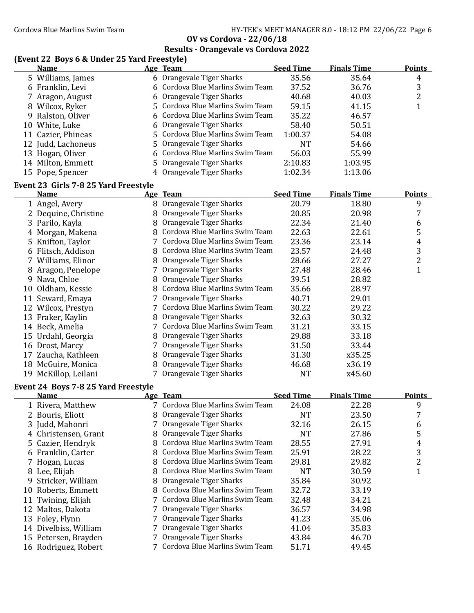# **Results - Orangevale vs Cordova 2022**

### **(Event 22 Boys 6 & Under 25 Yard Freestyle)**

| <b>Name</b>        | Age Team                         | <b>Seed Time</b> | <b>Finals Time</b> | <b>Points</b> |
|--------------------|----------------------------------|------------------|--------------------|---------------|
| 5 Williams, James  | 6 Orangevale Tiger Sharks        | 35.56            | 35.64              | 4             |
| 6 Franklin, Levi   | 6 Cordova Blue Marlins Swim Team | 37.52            | 36.76              | 3             |
| 7 Aragon, August   | 6 Orangevale Tiger Sharks        | 40.68            | 40.03              | າ             |
| 8 Wilcox, Ryker    | 5 Cordova Blue Marlins Swim Team | 59.15            | 41.15              |               |
| 9 Ralston, Oliver  | 6 Cordova Blue Marlins Swim Team | 35.22            | 46.57              |               |
| 10 White, Luke     | 6 Orangevale Tiger Sharks        | 58.40            | 50.51              |               |
| 11 Cazier, Phineas | 5 Cordova Blue Marlins Swim Team | 1:00.37          | 54.08              |               |
| 12 Judd, Lachoneus | 5 Orangevale Tiger Sharks        | NT               | 54.66              |               |
| 13 Hogan, Oliver   | 6 Cordova Blue Marlins Swim Team | 56.03            | 55.99              |               |
| 14 Milton, Emmett  | 5 Orangevale Tiger Sharks        | 2:10.83          | 1:03.95            |               |
| 15 Pope, Spencer   | 4 Orangevale Tiger Sharks        | 1:02.34          | 1:13.06            |               |

# **Event 23 Girls 7-8 25 Yard Freestyle**

|    | <b>Name</b>          |   | Age Team                           | <b>Seed Time</b> | <b>Finals Time</b> | <b>Points</b> |
|----|----------------------|---|------------------------------------|------------------|--------------------|---------------|
|    | 1 Angel, Avery       | 8 | Orangevale Tiger Sharks            | 20.79            | 18.80              | 9             |
|    | 2 Dequine, Christine | 8 | Orangevale Tiger Sharks            | 20.85            | 20.98              | 7             |
|    | 3 Parilo, Kayla      |   | Orangevale Tiger Sharks            | 22.34            | 21.40              | 6             |
|    | 4 Morgan, Makena     |   | 8 Cordova Blue Marlins Swim Team   | 22.63            | 22.61              | 5             |
|    | 5 Knifton, Taylor    |   | Cordova Blue Marlins Swim Team     | 23.36            | 23.14              | 4             |
|    | 6 Flitsch, Addison   | 8 | Cordova Blue Marlins Swim Team     | 23.57            | 24.48              | 3             |
|    | 7 Williams, Elinor   | 8 | Orangevale Tiger Sharks            | 28.66            | 27.27              | 2             |
|    | 8 Aragon, Penelope   |   | Orangevale Tiger Sharks            | 27.48            | 28.46              | ┸             |
| 9  | Nava, Chloe          | 8 | Orangevale Tiger Sharks            | 39.51            | 28.82              |               |
| 10 | Oldham, Kessie       | 8 | Cordova Blue Marlins Swim Team     | 35.66            | 28.97              |               |
|    | 11 Seward, Emaya     |   | Orangevale Tiger Sharks            | 40.71            | 29.01              |               |
| 12 | Wilcox, Prestyn      |   | Cordova Blue Marlins Swim Team     | 30.22            | 29.22              |               |
| 13 | Fraker, Kaylin       |   | Orangevale Tiger Sharks            | 32.63            | 30.32              |               |
| 14 | Beck, Amelia         |   | 7   Cordova Blue Marlins Swim Team | 31.21            | 33.15              |               |
|    | 15 Urdahl, Georgia   | 8 | Orangevale Tiger Sharks            | 29.88            | 33.18              |               |
|    | 16 Drost, Marcy      |   | 7 Orangevale Tiger Sharks          | 31.50            | 33.44              |               |
|    | 17 Zaucha, Kathleen  | 8 | Orangevale Tiger Sharks            | 31.30            | x35.25             |               |
| 18 | McGuire, Monica      | 8 | Orangevale Tiger Sharks            | 46.68            | x36.19             |               |
| 19 | McKillop, Leilani    |   | 7 Orangevale Tiger Sharks          | <b>NT</b>        | x45.60             |               |

#### **Event 24 Boys 7-8 25 Yard Freestyle**

|   | <b>Name</b>           |   | Age Team                         | <b>Seed Time</b> | <b>Finals Time</b> | <b>Points</b> |
|---|-----------------------|---|----------------------------------|------------------|--------------------|---------------|
|   | 1 Rivera, Matthew     |   | 7 Cordova Blue Marlins Swim Team | 24.08            | 22.28              | 9             |
|   | 2 Bouris, Eliott      |   | 8 Orangevale Tiger Sharks        | NT               | 23.50              |               |
|   | 3 Judd, Mahonri       |   | 7 Orangevale Tiger Sharks        | 32.16            | 26.15              | 6             |
|   | 4 Christensen, Grant  | 8 | Orangevale Tiger Sharks          | NT               | 27.86              | 5             |
|   | 5 Cazier, Hendryk     |   | 8 Cordova Blue Marlins Swim Team | 28.55            | 27.91              | 4             |
|   | 6 Franklin, Carter    |   | 8 Cordova Blue Marlins Swim Team | 25.91            | 28.22              | 3             |
|   | 7 Hogan, Lucas        |   | 8 Cordova Blue Marlins Swim Team | 29.81            | 29.82              | 2             |
| 8 | Lee, Elijah           |   | 8 Cordova Blue Marlins Swim Team | NT               | 30.59              |               |
|   | 9 Stricker, William   |   | 8 Orangevale Tiger Sharks        | 35.84            | 30.92              |               |
|   | 10 Roberts, Emmett    |   | 8 Cordova Blue Marlins Swim Team | 32.72            | 33.19              |               |
|   | 11 Twining, Elijah    |   | 7 Cordova Blue Marlins Swim Team | 32.48            | 34.21              |               |
|   | 12 Maltos, Dakota     |   | 7 Orangevale Tiger Sharks        | 36.57            | 34.98              |               |
|   | 13 Foley, Flynn       |   | 7 Orangevale Tiger Sharks        | 41.23            | 35.06              |               |
|   | 14 Divelbiss, William |   | 7 Orangevale Tiger Sharks        | 41.04            | 35.83              |               |
|   | 15 Petersen, Brayden  |   | 7 Orangevale Tiger Sharks        | 43.84            | 46.70              |               |
|   | 16 Rodriguez, Robert  |   | 7 Cordova Blue Marlins Swim Team | 51.71            | 49.45              |               |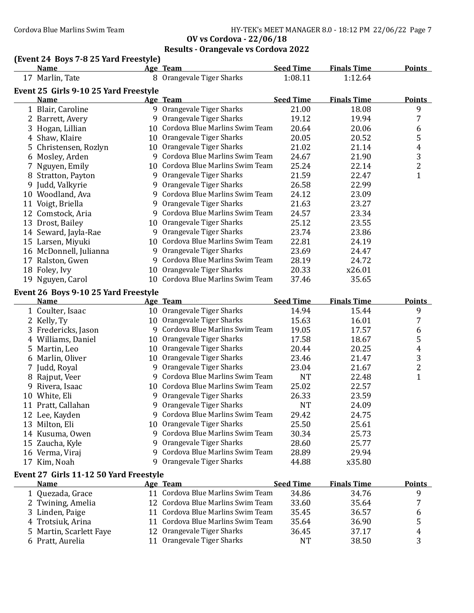Cordova Blue Marlins Swim Team Team HY-TEK's MEET MANAGER 8.0 - 18:12 PM 22/06/22 Page 7

**OV vs Cordova - 22/06/18 Results - Orangevale vs Cordova 2022**

# **(Event 24 Boys 7-8 25 Yard Freestyle)**

|   | <b>Name</b>                                         |     | Age Team                          | <b>Seed Time</b> | <b>Finals Time</b> | <b>Points</b>           |
|---|-----------------------------------------------------|-----|-----------------------------------|------------------|--------------------|-------------------------|
|   | 17 Marlin, Tate                                     |     | 8 Orangevale Tiger Sharks         | 1:08.11          | 1:12.64            |                         |
|   | Event 25 Girls 9-10 25 Yard Freestyle               |     |                                   |                  |                    |                         |
|   | <b>Name</b>                                         |     | Age Team                          | <b>Seed Time</b> | <b>Finals Time</b> | <b>Points</b>           |
|   | 1 Blair, Caroline                                   |     | 9 Orangevale Tiger Sharks         | 21.00            | 18.08              | 9                       |
|   | 2 Barrett, Avery                                    |     | 9 Orangevale Tiger Sharks         | 19.12            | 19.94              | 7                       |
|   | 3 Hogan, Lillian                                    |     | 10 Cordova Blue Marlins Swim Team | 20.64            | 20.06              | 6                       |
|   | 4 Shaw, Klaire                                      |     | 10 Orangevale Tiger Sharks        | 20.05            | 20.52              | 5                       |
|   | 5 Christensen, Rozlyn                               |     | 10 Orangevale Tiger Sharks        | 21.02            | 21.14              | 4                       |
|   | 6 Mosley, Arden                                     |     | 9 Cordova Blue Marlins Swim Team  | 24.67            | 21.90              | 3                       |
|   | 7 Nguyen, Emily                                     |     | 10 Cordova Blue Marlins Swim Team | 25.24            | 22.14              | $\overline{\mathbf{c}}$ |
|   | 8 Stratton, Payton                                  |     | 9 Orangevale Tiger Sharks         | 21.59            | 22.47              | $\mathbf{1}$            |
|   | 9 Judd, Valkyrie                                    |     | 9 Orangevale Tiger Sharks         | 26.58            | 22.99              |                         |
|   | 10 Woodland, Ava                                    |     | 9 Cordova Blue Marlins Swim Team  | 24.12            | 23.09              |                         |
|   | 11 Voigt, Briella                                   |     | 9 Orangevale Tiger Sharks         | 21.63            | 23.27              |                         |
|   | 12 Comstock, Aria                                   |     | 9 Cordova Blue Marlins Swim Team  | 24.57            | 23.34              |                         |
|   | 13 Drost, Bailey                                    |     | 10 Orangevale Tiger Sharks        | 25.12            | 23.55              |                         |
|   | 14 Seward, Jayla-Rae                                |     | 9 Orangevale Tiger Sharks         | 23.74            | 23.86              |                         |
|   | 15 Larsen, Miyuki                                   |     | 10 Cordova Blue Marlins Swim Team | 22.81            | 24.19              |                         |
|   | 16 McDonnell, Julianna                              |     | 9 Orangevale Tiger Sharks         | 23.69            | 24.47              |                         |
|   | 17 Ralston, Gwen                                    |     | 9 Cordova Blue Marlins Swim Team  | 28.19            | 24.72              |                         |
|   | 18 Foley, Ivy                                       |     | 10 Orangevale Tiger Sharks        | 20.33            | x26.01             |                         |
|   | 19 Nguyen, Carol                                    |     | 10 Cordova Blue Marlins Swim Team | 37.46            | 35.65              |                         |
|   |                                                     |     |                                   |                  |                    |                         |
|   | Event 26 Boys 9-10 25 Yard Freestyle<br><b>Name</b> |     | Age Team                          | <b>Seed Time</b> | <b>Finals Time</b> | <b>Points</b>           |
|   | 1 Coulter, Isaac                                    |     | 10 Orangevale Tiger Sharks        | 14.94            | 15.44              | 9                       |
|   | 2 Kelly, Ty                                         |     | 10 Orangevale Tiger Sharks        | 15.63            | 16.01              | 7                       |
|   | 3 Fredericks, Jason                                 |     | 9 Cordova Blue Marlins Swim Team  | 19.05            | 17.57              | 6                       |
|   | 4 Williams, Daniel                                  |     | 10 Orangevale Tiger Sharks        | 17.58            | 18.67              | 5                       |
| 5 | Martin, Leo                                         |     | 10 Orangevale Tiger Sharks        | 20.44            | 20.25              | $\overline{4}$          |
|   | 6 Marlin, Oliver                                    |     | 10 Orangevale Tiger Sharks        | 23.46            | 21.47              | 3                       |
|   | 7 Judd, Royal                                       |     | 9 Orangevale Tiger Sharks         | 23.04            | 21.67              | $\overline{c}$          |
|   | 8 Rajput, Veer                                      |     | 9 Cordova Blue Marlins Swim Team  | <b>NT</b>        | 22.48              | $\overline{1}$          |
|   | 9 Rivera, Isaac                                     |     | 10 Cordova Blue Marlins Swim Team | 25.02            | 22.57              |                         |
|   | 10 White, Eli                                       |     | 9 Orangevale Tiger Sharks         | 26.33            | 23.59              |                         |
|   | 11 Pratt, Callahan                                  |     | 9 Orangevale Tiger Sharks         | <b>NT</b>        | 24.09              |                         |
|   | 12 Lee, Kayden                                      |     | 9 Cordova Blue Marlins Swim Team  | 29.42            | 24.75              |                         |
|   | 13 Milton, Eli                                      |     | 10 Orangevale Tiger Sharks        | 25.50            | 25.61              |                         |
|   | 14 Kusuma, Owen                                     | 9.  | Cordova Blue Marlins Swim Team    | 30.34            | 25.73              |                         |
|   | 15 Zaucha, Kyle                                     | 9.  | Orangevale Tiger Sharks           | 28.60            | 25.77              |                         |
|   | 16 Verma, Viraj                                     |     | 9 Cordova Blue Marlins Swim Team  | 28.89            | 29.94              |                         |
|   | 17 Kim, Noah                                        | 9   | Orangevale Tiger Sharks           | 44.88            | x35.80             |                         |
|   |                                                     |     |                                   |                  |                    |                         |
|   | Event 27 Girls 11-12 50 Yard Freestyle              |     |                                   |                  |                    |                         |
|   | <u>Name</u>                                         |     | <u>Age Team</u>                   | <b>Seed Time</b> | <b>Finals Time</b> | <b>Points</b>           |
|   | 1 Quezada, Grace                                    |     | 11 Cordova Blue Marlins Swim Team | 34.86            | 34.76              | 9                       |
|   | 2 Twining, Amelia                                   | 12. | Cordova Blue Marlins Swim Team    | 33.60            | 35.64              | 7                       |
|   | 3 Linden, Paige                                     |     | 11 Cordova Blue Marlins Swim Team | 35.45            | 36.57              | 6                       |
|   | 4 Trotsiuk, Arina                                   | 11  | Cordova Blue Marlins Swim Team    | 35.64            | 36.90              | 5                       |
| 5 | Martin, Scarlett Faye                               |     | 12 Orangevale Tiger Sharks        | 36.45            | 37.17              | 4                       |
|   | 6 Pratt, Aurelia                                    |     | 11 Orangevale Tiger Sharks        | <b>NT</b>        | 38.50              | 3                       |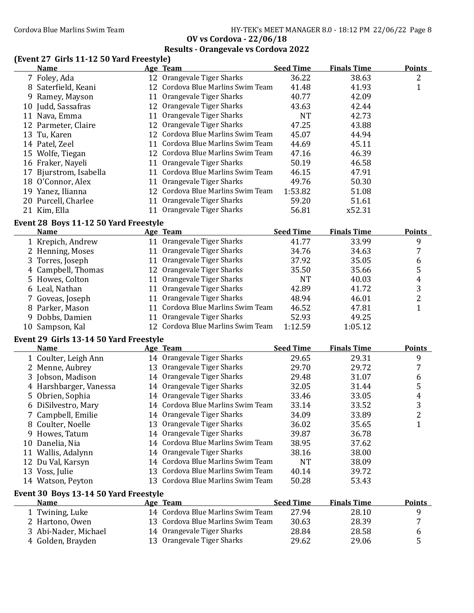**OV vs Cordova - 22/06/18 Results - Orangevale vs Cordova 2022**

# **(Event 27 Girls 11-12 50 Yard Freestyle)**

|    | <b>Name</b>            | Age Team                          | <b>Seed Time</b> | <b>Finals Time</b> | <b>Points</b> |
|----|------------------------|-----------------------------------|------------------|--------------------|---------------|
|    | 7 Foley, Ada           | 12 Orangevale Tiger Sharks        | 36.22            | 38.63              | 2             |
|    | 8 Saterfield, Keani    | 12 Cordova Blue Marlins Swim Team | 41.48            | 41.93              |               |
|    | 9 Ramey, Mayson        | 11 Orangevale Tiger Sharks        | 40.77            | 42.09              |               |
|    | 10 Judd, Sassafras     | 12 Orangevale Tiger Sharks        | 43.63            | 42.44              |               |
| 11 | Nava, Emma             | 11 Orangevale Tiger Sharks        | <b>NT</b>        | 42.73              |               |
|    | 12 Parmeter, Claire    | 12 Orangevale Tiger Sharks        | 47.25            | 43.88              |               |
|    | 13 Tu, Karen           | 12 Cordova Blue Marlins Swim Team | 45.07            | 44.94              |               |
|    | 14 Patel, Zeel         | 11 Cordova Blue Marlins Swim Team | 44.69            | 45.11              |               |
|    | 15 Wolfe, Tiegan       | 12 Cordova Blue Marlins Swim Team | 47.16            | 46.39              |               |
|    | 16 Fraker, Nayeli      | 11 Orangevale Tiger Sharks        | 50.19            | 46.58              |               |
|    | 17 Bjurstrom, Isabella | 11 Cordova Blue Marlins Swim Team | 46.15            | 47.91              |               |
|    | 18 O'Connor, Alex      | Orangevale Tiger Sharks           | 49.76            | 50.30              |               |
|    | 19 Yanez, Ilianna      | 12 Cordova Blue Marlins Swim Team | 1:53.82          | 51.08              |               |
|    | 20 Purcell, Charlee    | 11 Orangevale Tiger Sharks        | 59.20            | 51.61              |               |
|    | 21 Kim, Ella           | Orangevale Tiger Sharks           | 56.81            | x52.31             |               |

#### **Event 28 Boys 11-12 50 Yard Freestyle**

| <b>Name</b> |                                                                                                                                                                                                   |                                                                                                                                                                                                                                                          | <b>Finals Time</b>                                                                         | <b>Points</b> |
|-------------|---------------------------------------------------------------------------------------------------------------------------------------------------------------------------------------------------|----------------------------------------------------------------------------------------------------------------------------------------------------------------------------------------------------------------------------------------------------------|--------------------------------------------------------------------------------------------|---------------|
|             |                                                                                                                                                                                                   | 41.77                                                                                                                                                                                                                                                    | 33.99                                                                                      | 9             |
|             |                                                                                                                                                                                                   | 34.76                                                                                                                                                                                                                                                    | 34.63                                                                                      |               |
|             |                                                                                                                                                                                                   | 37.92                                                                                                                                                                                                                                                    | 35.05                                                                                      | b             |
|             |                                                                                                                                                                                                   | 35.50                                                                                                                                                                                                                                                    | 35.66                                                                                      | 5             |
|             |                                                                                                                                                                                                   | NT                                                                                                                                                                                                                                                       | 40.03                                                                                      | 4             |
|             |                                                                                                                                                                                                   | 42.89                                                                                                                                                                                                                                                    | 41.72                                                                                      | 3             |
|             |                                                                                                                                                                                                   | 48.94                                                                                                                                                                                                                                                    | 46.01                                                                                      |               |
|             |                                                                                                                                                                                                   | 46.52                                                                                                                                                                                                                                                    | 47.81                                                                                      |               |
|             |                                                                                                                                                                                                   | 52.93                                                                                                                                                                                                                                                    | 49.25                                                                                      |               |
|             |                                                                                                                                                                                                   | 1:12.59                                                                                                                                                                                                                                                  | 1:05.12                                                                                    |               |
|             | 1 Krepich, Andrew<br>2 Henning, Moses<br>3 Torres, Joseph<br>4 Campbell, Thomas<br>5 Howes, Colton<br>6 Leal, Nathan<br>7 Goveas, Joseph<br>8 Parker, Mason<br>9 Dobbs, Damien<br>10 Sampson, Kal | Age Team<br>11 Orangevale Tiger Sharks<br>11 Orangevale Tiger Sharks<br>11 Orangevale Tiger Sharks<br>12 Orangevale Tiger Sharks<br>11 Orangevale Tiger Sharks<br>11 Orangevale Tiger Sharks<br>11 Orangevale Tiger Sharks<br>11 Orangevale Tiger Sharks | <b>Seed Time</b><br>11 Cordova Blue Marlins Swim Team<br>12 Cordova Blue Marlins Swim Team |               |

#### **Event 29 Girls 13-14 50 Yard Freestyle**

| <b>Name</b>            | Age Team                          | <b>Seed Time</b> | <b>Finals Time</b> | <b>Points</b> |
|------------------------|-----------------------------------|------------------|--------------------|---------------|
| 1 Coulter, Leigh Ann   | 14 Orangevale Tiger Sharks        | 29.65            | 29.31              | 9             |
| 2 Menne, Aubrey        | 13 Orangevale Tiger Sharks        | 29.70            | 29.72              |               |
| 3 Jobson, Madison      | 14 Orangevale Tiger Sharks        | 29.48            | 31.07              | 6             |
| 4 Harshbarger, Vanessa | 14 Orangevale Tiger Sharks        | 32.05            | 31.44              | 5             |
| 5 Obrien, Sophia       | 14 Orangevale Tiger Sharks        | 33.46            | 33.05              | 4             |
| 6 DiSilvestro, Mary    | 14 Cordova Blue Marlins Swim Team | 33.14            | 33.52              | 3             |
| 7 Campbell, Emilie     | 14 Orangevale Tiger Sharks        | 34.09            | 33.89              | 2             |
| 8 Coulter, Noelle      | 13 Orangevale Tiger Sharks        | 36.02            | 35.65              |               |
| 9 Howes, Tatum         | 14 Orangevale Tiger Sharks        | 39.87            | 36.78              |               |
| 10 Danelia, Nia        | 14 Cordova Blue Marlins Swim Team | 38.95            | 37.62              |               |
| 11 Wallis, Adalynn     | 14 Orangevale Tiger Sharks        | 38.16            | 38.00              |               |
| 12 Du Val, Karsyn      | 14 Cordova Blue Marlins Swim Team | NT               | 38.09              |               |
| 13 Voss, Julie         | 13 Cordova Blue Marlins Swim Team | 40.14            | 39.72              |               |
| 14 Watson, Peyton      | 13 Cordova Blue Marlins Swim Team | 50.28            | 53.43              |               |
|                        |                                   |                  |                    |               |

#### **Event 30 Boys 13-14 50 Yard Freestyle**

| <b>Name</b>          | Age Team                          | <b>Seed Time</b> | <b>Finals Time</b> | Points |
|----------------------|-----------------------------------|------------------|--------------------|--------|
| 1 Twining, Luke      | 14 Cordova Blue Marlins Swim Team | 27.94            | 28.10              |        |
| 2 Hartono, Owen      | 13 Cordova Blue Marlins Swim Team | 30.63            | 28.39              |        |
| 3 Abi-Nader, Michael | 14 Orangevale Tiger Sharks        | 28.84            | 28.58              |        |
| 4 Golden, Brayden    | 13 Orangevale Tiger Sharks        | 29.62            | 29.06              |        |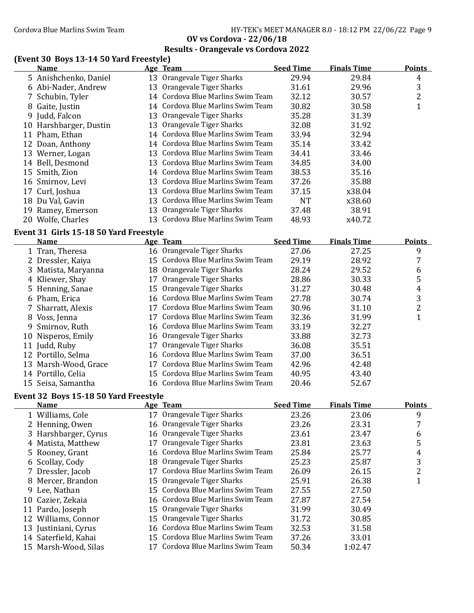Cordova Blue Marlins Swim Team Fram Fram HY-TEK's MEET MANAGER 8.0 - 18:12 PM 22/06/22 Page 9

**OV vs Cordova - 22/06/18 Results - Orangevale vs Cordova 2022**

# **(Event 30 Boys 13-14 50 Yard Freestyle)**

|     | <b>Name</b>            | Age Team                          | <b>Seed Time</b> | <b>Finals Time</b> | <b>Points</b> |
|-----|------------------------|-----------------------------------|------------------|--------------------|---------------|
|     | 5 Anishchenko, Daniel  | 13 Orangevale Tiger Sharks        | 29.94            | 29.84              | 4             |
|     | 6 Abi-Nader, Andrew    | 13 Orangevale Tiger Sharks        | 31.61            | 29.96              | 3             |
|     | 7 Schubin, Tyler       | 14 Cordova Blue Marlins Swim Team | 32.12            | 30.57              | 2             |
|     | 8 Gaite, Justin        | 14 Cordova Blue Marlins Swim Team | 30.82            | 30.58              |               |
|     | 9 Judd, Falcon         | 13 Orangevale Tiger Sharks        | 35.28            | 31.39              |               |
|     | 10 Harshbarger, Dustin | 13 Orangevale Tiger Sharks        | 32.08            | 31.92              |               |
|     | 11 Pham, Ethan         | 14 Cordova Blue Marlins Swim Team | 33.94            | 32.94              |               |
|     | 12 Doan, Anthony       | 14 Cordova Blue Marlins Swim Team | 35.14            | 33.42              |               |
|     | 13 Werner, Logan       | 13 Cordova Blue Marlins Swim Team | 34.41            | 33.46              |               |
|     | 14 Bell, Desmond       | 13 Cordova Blue Marlins Swim Team | 34.85            | 34.00              |               |
|     | 15 Smith, Zion         | 14 Cordova Blue Marlins Swim Team | 38.53            | 35.16              |               |
|     | 16 Smirnov, Levi       | 13 Cordova Blue Marlins Swim Team | 37.26            | 35.88              |               |
|     | 17 Curl, Joshua        | 13 Cordova Blue Marlins Swim Team | 37.15            | x38.04             |               |
|     | 18 Du Val, Gavin       | 13 Cordova Blue Marlins Swim Team | <b>NT</b>        | x38.60             |               |
| 19. | Ramey, Emerson         | 13 Orangevale Tiger Sharks        | 37.48            | 38.91              |               |
|     | 20 Wolfe, Charles      | 13 Cordova Blue Marlins Swim Team | 48.93            | x40.72             |               |

#### **Event 31 Girls 15-18 50 Yard Freestyle**

| <b>Name</b>          |    | Age Team                          | <b>Seed Time</b> | <b>Finals Time</b> | <b>Points</b> |
|----------------------|----|-----------------------------------|------------------|--------------------|---------------|
| 1 Tran, Theresa      |    | 16 Orangevale Tiger Sharks        | 27.06            | 27.25              | 9             |
| 2 Dressler, Kaiya    |    | 15 Cordova Blue Marlins Swim Team | 29.19            | 28.92              | 7             |
| 3 Matista, Maryanna  |    | 18 Orangevale Tiger Sharks        | 28.24            | 29.52              | 6             |
| 4 Kliewer, Shay      |    | Orangevale Tiger Sharks           | 28.86            | 30.33              | 5             |
| 5 Henning, Sanae     |    | 15 Orangevale Tiger Sharks        | 31.27            | 30.48              | 4             |
| 6 Pham, Erica        |    | 16 Cordova Blue Marlins Swim Team | 27.78            | 30.74              | 3             |
| 7 Sharratt, Alexis   |    | Cordova Blue Marlins Swim Team    | 30.96            | 31.10              | 2             |
| 8 Voss, Jenna        | 17 | Cordova Blue Marlins Swim Team    | 32.36            | 31.99              |               |
| 9 Smirnov, Ruth      |    | 16 Cordova Blue Marlins Swim Team | 33.19            | 32.27              |               |
| 10 Nisperos, Emily   |    | 16 Orangevale Tiger Sharks        | 33.88            | 32.73              |               |
| 11 Judd, Ruby        | 17 | Orangevale Tiger Sharks           | 36.08            | 35.51              |               |
| 12 Portillo, Selma   |    | 16 Cordova Blue Marlins Swim Team | 37.00            | 36.51              |               |
| 13 Marsh-Wood, Grace |    | Cordova Blue Marlins Swim Team    | 42.96            | 42.48              |               |
| 14 Portillo, Celia   |    | 15 Cordova Blue Marlins Swim Team | 40.95            | 43.40              |               |
| 15 Seisa, Samantha   |    | 16 Cordova Blue Marlins Swim Team | 20.46            | 52.67              |               |

# **Event 32 Boys 15-18 50 Yard Freestyle**

| <b>Name</b>          | Age Team                          | <b>Seed Time</b> | <b>Finals Time</b> | <b>Points</b> |
|----------------------|-----------------------------------|------------------|--------------------|---------------|
| 1 Williams, Cole     | 17 Orangevale Tiger Sharks        | 23.26            | 23.06              | 9             |
| 2 Henning, Owen      | 16 Orangevale Tiger Sharks        | 23.26            | 23.31              |               |
| 3 Harshbarger, Cyrus | 16 Orangevale Tiger Sharks        | 23.61            | 23.47              | 6             |
| 4 Matista, Matthew   | 17 Orangevale Tiger Sharks        | 23.81            | 23.63              | 5             |
| 5 Rooney, Grant      | 16 Cordova Blue Marlins Swim Team | 25.84            | 25.77              | 4             |
| 6 Scollay, Cody      | 18 Orangevale Tiger Sharks        | 25.23            | 25.87              | 3             |
| 7 Dressler, Jacob    | Cordova Blue Marlins Swim Team    | 26.09            | 26.15              | 2             |
| 8 Mercer, Brandon    | 15 Orangevale Tiger Sharks        | 25.91            | 26.38              |               |
| 9 Lee, Nathan        | 15 Cordova Blue Marlins Swim Team | 27.55            | 27.50              |               |
| 10 Cazier, Zekaia    | 16 Cordova Blue Marlins Swim Team | 27.87            | 27.54              |               |
| 11 Pardo, Joseph     | 15 Orangevale Tiger Sharks        | 31.99            | 30.49              |               |
| 12 Williams, Connor  | 15 Orangevale Tiger Sharks        | 31.72            | 30.85              |               |
| 13 Justiniani, Cyrus | 16 Cordova Blue Marlins Swim Team | 32.53            | 31.58              |               |
| 14 Saterfield, Kahai | 15 Cordova Blue Marlins Swim Team | 37.26            | 33.01              |               |
| 15 Marsh-Wood, Silas | 17 Cordova Blue Marlins Swim Team | 50.34            | 1:02.47            |               |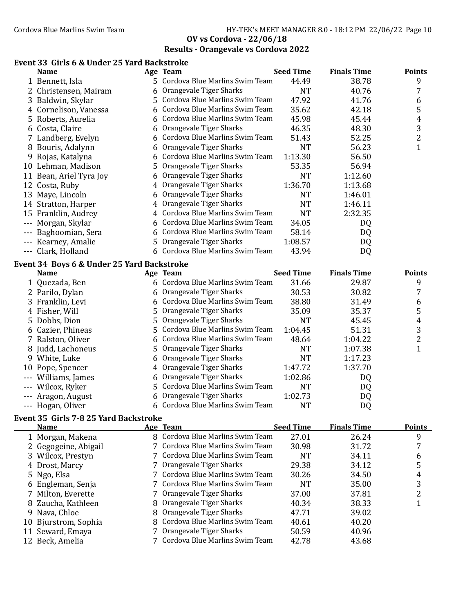# **Results - Orangevale vs Cordova 2022**

### **Event 33 Girls 6 & Under 25 Yard Backstroke**

|          | <b>Name</b>                                |    | Age Team                         | <b>Seed Time</b> | <b>Finals Time</b> | <b>Points</b>  |
|----------|--------------------------------------------|----|----------------------------------|------------------|--------------------|----------------|
|          | 1 Bennett, Isla                            |    | 5 Cordova Blue Marlins Swim Team | 44.49            | 38.78              | 9              |
|          | 2 Christensen, Mairam                      | 6  | Orangevale Tiger Sharks          | <b>NT</b>        | 40.76              | 7              |
|          | 3 Baldwin, Skylar                          | 5. | Cordova Blue Marlins Swim Team   | 47.92            | 41.76              | 6              |
|          | 4 Cornelison, Vanessa                      | 6  | Cordova Blue Marlins Swim Team   | 35.62            | 42.18              | 5              |
|          | 5 Roberts, Aurelia                         | 6  | Cordova Blue Marlins Swim Team   | 45.98            | 45.44              | 4              |
|          | 6 Costa, Claire                            | 6  | Orangevale Tiger Sharks          | 46.35            | 48.30              | 3              |
|          | 7 Landberg, Evelyn                         |    | Cordova Blue Marlins Swim Team   | 51.43            | 52.25              | $\overline{c}$ |
|          | 8 Bouris, Adalynn                          | 6  | Orangevale Tiger Sharks          | <b>NT</b>        | 56.23              | $\mathbf{1}$   |
|          | 9 Rojas, Katalyna                          |    | Cordova Blue Marlins Swim Team   | 1:13.30          | 56.50              |                |
|          | 10 Lehman, Madison                         | 5  | Orangevale Tiger Sharks          | 53.35            | 56.94              |                |
|          | 11 Bean, Ariel Tyra Joy                    |    | Orangevale Tiger Sharks          | <b>NT</b>        | 1:12.60            |                |
|          | 12 Costa, Ruby                             | 4  | Orangevale Tiger Sharks          | 1:36.70          | 1:13.68            |                |
|          | 13 Maye, Lincoln                           |    | Orangevale Tiger Sharks          | <b>NT</b>        | 1:46.01            |                |
|          | 14 Stratton, Harper                        | 4  | Orangevale Tiger Sharks          | <b>NT</b>        | 1:46.11            |                |
|          |                                            |    | Cordova Blue Marlins Swim Team   | <b>NT</b>        | 2:32.35            |                |
|          | 15 Franklin, Audrey                        |    | Cordova Blue Marlins Swim Team   |                  |                    |                |
| $---$    | Morgan, Skylar                             |    |                                  | 34.05            | DQ                 |                |
|          | Baghoomian, Sera                           | 6  | Cordova Blue Marlins Swim Team   | 58.14            | DQ                 |                |
|          | Kearney, Amalie                            | 5. | Orangevale Tiger Sharks          | 1:08.57          | DQ                 |                |
|          | --- Clark, Holland                         |    | 6 Cordova Blue Marlins Swim Team | 43.94            | DQ                 |                |
|          | Event 34 Boys 6 & Under 25 Yard Backstroke |    |                                  |                  |                    |                |
|          | Name                                       |    | Age Team                         | <b>Seed Time</b> | <b>Finals Time</b> | <b>Points</b>  |
|          | 1 Quezada, Ben                             |    | 6 Cordova Blue Marlins Swim Team | 31.66            | 29.87              | 9              |
|          | 2 Parilo, Dylan                            | 6  | Orangevale Tiger Sharks          | 30.53            | 30.82              | 7              |
|          | 3 Franklin, Levi                           | 6  | Cordova Blue Marlins Swim Team   | 38.80            | 31.49              | 6              |
|          | 4 Fisher, Will                             | 5  | Orangevale Tiger Sharks          | 35.09            | 35.37              | 5              |
| 5.       | Dobbs, Dion                                | 5  | Orangevale Tiger Sharks          | <b>NT</b>        | 45.45              | 4              |
| 6        | Cazier, Phineas                            | 5  | Cordova Blue Marlins Swim Team   | 1:04.45          | 51.31              | 3              |
| 7        | Ralston, Oliver                            | 6  | Cordova Blue Marlins Swim Team   | 48.64            | 1:04.22            | $\overline{2}$ |
| 8        | Judd, Lachoneus                            | 5  | Orangevale Tiger Sharks          | <b>NT</b>        | 1:07.38            | $\mathbf{1}$   |
|          | 9 White, Luke                              | 6  | Orangevale Tiger Sharks          | <b>NT</b>        | 1:17.23            |                |
|          | 10 Pope, Spencer                           | 4  | Orangevale Tiger Sharks          | 1:47.72          | 1:37.70            |                |
|          | --- Williams, James                        | 6  | Orangevale Tiger Sharks          | 1:02.86          | DQ                 |                |
|          | Wilcox, Ryker                              |    | 5 Cordova Blue Marlins Swim Team | <b>NT</b>        | DQ                 |                |
|          | Aragon, August                             | 6  | Orangevale Tiger Sharks          | 1:02.73          | DQ                 |                |
| $\cdots$ | Hogan, Oliver                              |    | 6 Cordova Blue Marlins Swim Team | <b>NT</b>        | DQ                 |                |
|          |                                            |    |                                  |                  |                    |                |
|          | Event 35 Girls 7-8 25 Yard Backstroke      |    |                                  |                  |                    |                |
|          | Name                                       |    | Age Team                         | <b>Seed Time</b> | <b>Finals Time</b> | <b>Points</b>  |
|          | 1 Morgan, Makena                           |    | 8 Cordova Blue Marlins Swim Team | 27.01            | 26.24              | 9              |
|          | 2 Gegogeine, Abigail                       |    | 7 Cordova Blue Marlins Swim Team | 30.98            | 31.72              | 7              |
|          | 3 Wilcox, Prestyn                          |    | 7 Cordova Blue Marlins Swim Team | <b>NT</b>        | 34.11              | 6              |
| 4        | Drost, Marcy                               |    | 7 Orangevale Tiger Sharks        | 29.38            | 34.12              | 5              |
| 5.       | Ngo, Elsa                                  |    | 7 Cordova Blue Marlins Swim Team | 30.26            | 34.50              | 4              |
| 6        | Engleman, Senja                            | 7  | Cordova Blue Marlins Swim Team   | <b>NT</b>        | 35.00              | 3              |
| 7        | Milton, Everette                           | 7  | Orangevale Tiger Sharks          | 37.00            | 37.81              | 2              |
| 8        | Zaucha, Kathleen                           | 8  | Orangevale Tiger Sharks          | 40.34            | 38.33              | $\mathbf{1}$   |
| 9        | Nava, Chloe                                | 8  | Orangevale Tiger Sharks          | 47.71            | 39.02              |                |
| 10       | Bjurstrom, Sophia                          | 8  | Cordova Blue Marlins Swim Team   | 40.61            | 40.20              |                |
|          | 11 Seward, Emaya                           | 7  | Orangevale Tiger Sharks          | 50.59            | 40.96              |                |
|          | 12 Beck, Amelia                            |    | 7 Cordova Blue Marlins Swim Team | 42.78            | 43.68              |                |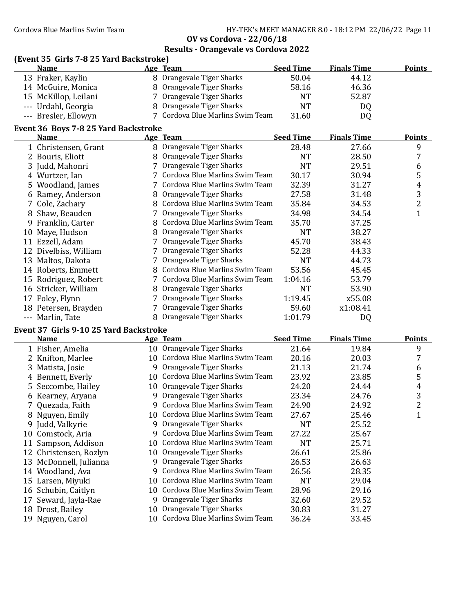| (Event 35 Girls 7-8 25 Yard Backstroke) |   |                                   |                  |                    |                |
|-----------------------------------------|---|-----------------------------------|------------------|--------------------|----------------|
| <b>Name</b>                             |   | Age Team                          | <b>Seed Time</b> | <b>Finals Time</b> | <b>Points</b>  |
| 13 Fraker, Kaylin                       |   | 8 Orangevale Tiger Sharks         | 50.04            | 44.12              |                |
| 14 McGuire, Monica                      |   | 8 Orangevale Tiger Sharks         | 58.16            | 46.36              |                |
| 15 McKillop, Leilani                    |   | 7 Orangevale Tiger Sharks         | <b>NT</b>        | 52.87              |                |
| --- Urdahl, Georgia                     |   | 8 Orangevale Tiger Sharks         | <b>NT</b>        | DQ                 |                |
| --- Bresler, Ellowyn                    |   | 7 Cordova Blue Marlins Swim Team  | 31.60            | DQ                 |                |
| Event 36 Boys 7-8 25 Yard Backstroke    |   |                                   |                  |                    |                |
| <b>Name</b>                             |   | Age Team                          | <b>Seed Time</b> | <b>Finals Time</b> | <u>Points</u>  |
| 1 Christensen, Grant                    |   | 8 Orangevale Tiger Sharks         | 28.48            | 27.66              | 9              |
| 2 Bouris, Eliott                        |   | 8 Orangevale Tiger Sharks         | <b>NT</b>        | 28.50              | 7              |
| 3 Judd, Mahonri                         |   | 7 Orangevale Tiger Sharks         | <b>NT</b>        | 29.51              | 6              |
| 4 Wurtzer, Ian                          |   | 7 Cordova Blue Marlins Swim Team  | 30.17            | 30.94              | 5              |
| 5 Woodland, James                       |   | 7 Cordova Blue Marlins Swim Team  | 32.39            | 31.27              | $\overline{4}$ |
| 6 Ramey, Anderson                       |   | 8 Orangevale Tiger Sharks         | 27.58            | 31.48              | $\overline{3}$ |
| Cole, Zachary                           |   | 8 Cordova Blue Marlins Swim Team  | 35.84            | 34.53              | $\overline{2}$ |
| 8 Shaw, Beauden                         |   | 7 Orangevale Tiger Sharks         | 34.98            | 34.54              | $\mathbf{1}$   |
| Franklin, Carter<br>9                   |   | 8 Cordova Blue Marlins Swim Team  | 35.70            | 37.25              |                |
| 10 Maye, Hudson                         | 8 | Orangevale Tiger Sharks           | <b>NT</b>        | 38.27              |                |
| 11 Ezzell, Adam                         |   | 7 Orangevale Tiger Sharks         | 45.70            | 38.43              |                |
| 12 Divelbiss, William                   |   | 7 Orangevale Tiger Sharks         | 52.28            | 44.33              |                |
| 13 Maltos, Dakota                       |   | 7 Orangevale Tiger Sharks         | <b>NT</b>        | 44.73              |                |
| 14 Roberts, Emmett                      |   | 8 Cordova Blue Marlins Swim Team  | 53.56            | 45.45              |                |
| 15 Rodriguez, Robert                    |   | 7 Cordova Blue Marlins Swim Team  | 1:04.16          | 53.79              |                |
| 16 Stricker, William                    |   | 8 Orangevale Tiger Sharks         | <b>NT</b>        | 53.90              |                |
| 17 Foley, Flynn                         |   | 7 Orangevale Tiger Sharks         | 1:19.45          | x55.08             |                |
| 18 Petersen, Brayden                    |   | 7 Orangevale Tiger Sharks         | 59.60            | x1:08.41           |                |
| --- Marlin, Tate                        |   | 8 Orangevale Tiger Sharks         | 1:01.79          | DQ                 |                |
| Event 37 Girls 9-10 25 Yard Backstroke  |   |                                   |                  |                    |                |
| <b>Name</b>                             |   | Age Team                          | <b>Seed Time</b> | <b>Finals Time</b> | <b>Points</b>  |
| 1 Fisher, Amelia                        |   | 10 Orangevale Tiger Sharks        | 21.64            | 19.84              | 9              |
| 2 Knifton, Marlee                       |   | 10 Cordova Blue Marlins Swim Team | 20.16            | 20.03              | $\overline{7}$ |
| 3 Matista, Josie                        |   | 9 Orangevale Tiger Sharks         | 21.13            | 21.74              | 6              |
| 4 Bennett, Everly                       |   | 10 Cordova Blue Marlins Swim Team | 23.92            | 23.85              | 5              |
| 5 Seccombe, Hailey                      |   | 10 Orangevale Tiger Sharks        | 24.20            | 24.44              | 4              |
| 6 Kearney, Aryana                       |   | 9 Orangevale Tiger Sharks         | 23.34            | 24.76              | 3              |
| 7 Quezada, Faith                        |   | 9 Cordova Blue Marlins Swim Team  | 24.90            | 24.92              | 2              |
| 8 Nguyen, Emily                         |   | 10 Cordova Blue Marlins Swim Team | 27.67            | 25.46              | $\mathbf{1}$   |
| 9 Judd, Valkyrie                        |   | 9 Orangevale Tiger Sharks         | <b>NT</b>        | 25.52              |                |
| 10<br>Comstock, Aria                    |   | 9 Cordova Blue Marlins Swim Team  | 27.22            | 25.67              |                |
| 11 Sampson, Addison                     |   | 10 Cordova Blue Marlins Swim Team | <b>NT</b>        | 25.71              |                |
| 12 Christensen, Rozlyn                  |   | 10 Orangevale Tiger Sharks        | 26.61            | 25.86              |                |
| 13 McDonnell, Iulianna                  |   | 9 Orangevale Tiger Sharks         | 26.53            | 26.63              |                |

- 
- 13 McDonnell, Julianna 26.63 9 Orangevale Tiger Sharks 26.53
- 14 Woodland, Ava 28.35 9 Cordova Blue Marlins Swim Team 26.56
- 
- 
- 
- 
- 
- 15 Larsen, Miyuki 10 Cordova Blue Marlins Swim Team 16 Schubin, Caitlyn 10 Cordova Blue Marlins Swim Team 28.96 29.16 16 Schubin, Caitlyn 10 Cordova Blue Marlins Swim Team 28.96 29.16<br>17 Seward, Jayla-Rae 9 Orangevale Tiger Sharks 32.60 29.52
	- 9 Orangevale Tiger Sharks 32.60 29.52
- 18 Drost, Bailey 10 Orangevale Tiger Sharks 30.83 31.27
- 19 Nguyen, Carol 10 Cordova Blue Marlins Swim Team 36.24 33.45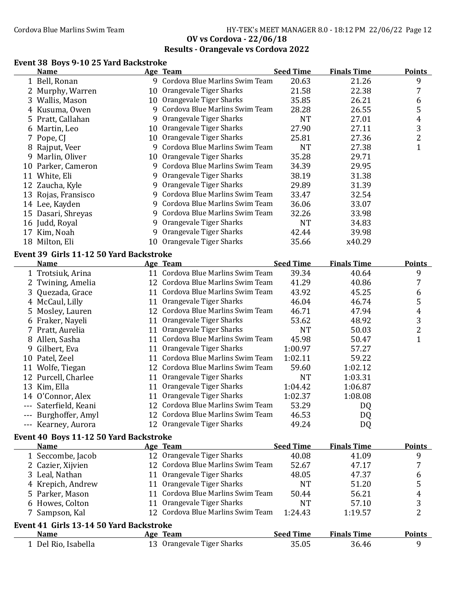# **Results - Orangevale vs Cordova 2022**

#### **Event 38 Boys 9-10 25 Yard Backstroke**

|   | <b>Name</b>                             |   | Age Team                          | <b>Seed Time</b> | <b>Finals Time</b> | <b>Points</b>  |
|---|-----------------------------------------|---|-----------------------------------|------------------|--------------------|----------------|
|   | 1 Bell, Ronan                           |   | 9 Cordova Blue Marlins Swim Team  | 20.63            | 21.26              | 9              |
|   | 2 Murphy, Warren                        |   | 10 Orangevale Tiger Sharks        | 21.58            | 22.38              | 7              |
|   | 3 Wallis, Mason                         |   | 10 Orangevale Tiger Sharks        | 35.85            | 26.21              | 6              |
|   | 4 Kusuma, Owen                          |   | 9 Cordova Blue Marlins Swim Team  | 28.28            | 26.55              | 5              |
|   | 5 Pratt, Callahan                       |   | 9 Orangevale Tiger Sharks         | <b>NT</b>        | 27.01              | $\overline{4}$ |
|   | 6 Martin, Leo                           |   | 10 Orangevale Tiger Sharks        | 27.90            | 27.11              | 3              |
|   | 7 Pope, CJ                              |   | 10 Orangevale Tiger Sharks        | 25.81            | 27.36              | $\overline{2}$ |
|   | 8 Rajput, Veer                          |   | 9 Cordova Blue Marlins Swim Team  | <b>NT</b>        | 27.38              | $\mathbf{1}$   |
|   | 9 Marlin, Oliver                        |   | 10 Orangevale Tiger Sharks        | 35.28            | 29.71              |                |
|   | 10 Parker, Cameron                      |   | 9 Cordova Blue Marlins Swim Team  | 34.39            | 29.95              |                |
|   | 11 White, Eli                           |   | 9 Orangevale Tiger Sharks         | 38.19            | 31.38              |                |
|   | 12 Zaucha, Kyle                         |   | 9 Orangevale Tiger Sharks         | 29.89            | 31.39              |                |
|   | 13 Rojas, Fransisco                     |   | 9 Cordova Blue Marlins Swim Team  | 33.47            | 32.54              |                |
|   | 14 Lee, Kayden                          |   | 9 Cordova Blue Marlins Swim Team  | 36.06            | 33.07              |                |
|   | 15 Dasari, Shreyas                      |   | 9 Cordova Blue Marlins Swim Team  | 32.26            | 33.98              |                |
|   | 16 Judd, Royal                          | 9 | Orangevale Tiger Sharks           | <b>NT</b>        | 34.83              |                |
|   | 17 Kim, Noah                            | 9 | Orangevale Tiger Sharks           | 42.44            | 39.98              |                |
|   | 18 Milton, Eli                          |   | 10 Orangevale Tiger Sharks        | 35.66            | x40.29             |                |
|   |                                         |   |                                   |                  |                    |                |
|   | Event 39 Girls 11-12 50 Yard Backstroke |   |                                   |                  |                    |                |
|   | <b>Name</b>                             |   | Age Team                          | <b>Seed Time</b> | <b>Finals Time</b> | <b>Points</b>  |
|   | 1 Trotsiuk, Arina                       |   | 11 Cordova Blue Marlins Swim Team | 39.34            | 40.64              | 9              |
|   | 2 Twining, Amelia                       |   | 12 Cordova Blue Marlins Swim Team | 41.29            | 40.86              | 7              |
| 3 | Quezada, Grace                          |   | 11 Cordova Blue Marlins Swim Team | 43.92            | 45.25              | 6              |
|   | 4 McCaul, Lilly                         |   | 11 Orangevale Tiger Sharks        | 46.04            | 46.74              | 5              |
| 5 | Mosley, Lauren                          |   | 12 Cordova Blue Marlins Swim Team | 46.71            | 47.94              | 4              |
|   | 6 Fraker, Nayeli                        |   | 11 Orangevale Tiger Sharks        | 53.62            | 48.92              | 3              |
|   | 7 Pratt, Aurelia                        |   | 11 Orangevale Tiger Sharks        | <b>NT</b>        | 50.03              | 2              |
|   | 8 Allen, Sasha                          |   | 11 Cordova Blue Marlins Swim Team | 45.98            | 50.47              | $\mathbf{1}$   |
| 9 | Gilbert, Eva                            |   | 11 Orangevale Tiger Sharks        | 1:00.97          | 57.27              |                |
|   | 10 Patel, Zeel                          |   | 11 Cordova Blue Marlins Swim Team | 1:02.11          | 59.22              |                |
|   | 11 Wolfe, Tiegan                        |   | 12 Cordova Blue Marlins Swim Team | 59.60            | 1:02.12            |                |
|   | 12 Purcell, Charlee                     |   | 11 Orangevale Tiger Sharks        | <b>NT</b>        | 1:03.31            |                |
|   | 13 Kim, Ella                            |   | 11 Orangevale Tiger Sharks        | 1:04.42          | 1:06.87            |                |
|   | 14 O'Connor, Alex                       |   | 11 Orangevale Tiger Sharks        | 1:02.37          | 1:08.08            |                |
|   | --- Saterfield, Keani                   |   | 12 Cordova Blue Marlins Swim Team | 53.29            | DQ                 |                |
|   | Burghoffer, Amyl                        |   | 12 Cordova Blue Marlins Swim Team | 46.53            | DQ                 |                |
|   | --- Kearney, Aurora                     |   | 12 Orangevale Tiger Sharks        | 49.24            | DQ                 |                |
|   | Event 40 Boys 11-12 50 Yard Backstroke  |   |                                   |                  |                    |                |
|   | Name                                    |   | <b>Age Team</b>                   | <b>Seed Time</b> | <b>Finals Time</b> | <b>Points</b>  |
|   | 1 Seccombe, Jacob                       |   | 12 Orangevale Tiger Sharks        | 40.08            | 41.09              | 9              |
|   | 2 Cazier, Xijvien                       |   | 12 Cordova Blue Marlins Swim Team | 52.67            | 47.17              | 7              |
|   | 3 Leal, Nathan                          |   | 11 Orangevale Tiger Sharks        | 48.05            | 47.37              | 6              |
|   | 4 Krepich, Andrew                       |   | 11 Orangevale Tiger Sharks        | <b>NT</b>        | 51.20              | 5              |
|   | 5 Parker, Mason                         |   | 11 Cordova Blue Marlins Swim Team | 50.44            | 56.21              | 4              |
|   | 6 Howes, Colton                         |   | 11 Orangevale Tiger Sharks        | <b>NT</b>        | 57.10              | 3              |
|   | 7 Sampson, Kal                          |   | 12 Cordova Blue Marlins Swim Team | 1:24.43          | 1:19.57            | 2              |
|   |                                         |   |                                   |                  |                    |                |
|   | Event 41 Girls 13-14 50 Yard Backstroke |   |                                   |                  |                    |                |
|   | Name                                    |   | Age Team                          | <b>Seed Time</b> | <b>Finals Time</b> | <b>Points</b>  |
|   | 1 Del Rio, Isabella                     |   | 13 Orangevale Tiger Sharks        | 35.05            | 36.46              | 9              |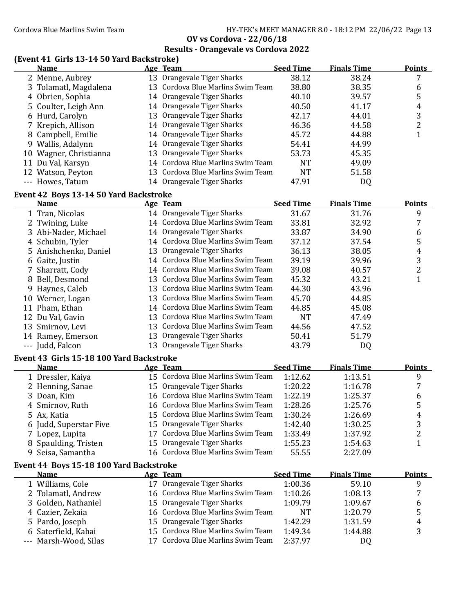|   |                                                      | <b>OV vs Cordova - 22/06/18</b>                                                                                                  |                  |                    |                     |
|---|------------------------------------------------------|----------------------------------------------------------------------------------------------------------------------------------|------------------|--------------------|---------------------|
|   |                                                      | <b>Results - Orangevale vs Cordova 2022</b>                                                                                      |                  |                    |                     |
|   | (Event 41 Girls 13-14 50 Yard Backstroke)            |                                                                                                                                  |                  |                    |                     |
|   | <b>Name</b>                                          | Age Team                                                                                                                         | <b>Seed Time</b> | <b>Finals Time</b> | <b>Points</b>       |
|   | 2 Menne, Aubrey                                      | 13 Orangevale Tiger Sharks                                                                                                       | 38.12            | 38.24              | $\overline{7}$      |
| 3 | Tolamatl, Magdalena                                  | 13 Cordova Blue Marlins Swim Team                                                                                                | 38.80            | 38.35              | 6                   |
|   | 4 Obrien, Sophia                                     | 14 Orangevale Tiger Sharks                                                                                                       | 40.10            | 39.57              | 5                   |
| 5 | Coulter, Leigh Ann                                   | 14 Orangevale Tiger Sharks                                                                                                       | 40.50            | 41.17              | $\overline{4}$      |
|   | 6 Hurd, Carolyn                                      | 13 Orangevale Tiger Sharks                                                                                                       | 42.17            | 44.01              | 3                   |
|   | 7 Krepich, Allison                                   | 14 Orangevale Tiger Sharks                                                                                                       | 46.36            | 44.58              | $\overline{2}$      |
|   | 8 Campbell, Emilie                                   | 14 Orangevale Tiger Sharks                                                                                                       | 45.72            | 44.88              | $\mathbf{1}$        |
|   | 9 Wallis, Adalynn                                    | 14 Orangevale Tiger Sharks                                                                                                       | 54.41            | 44.99              |                     |
|   | 10 Wagner, Christianna                               | 13 Orangevale Tiger Sharks                                                                                                       | 53.73            | 45.35              |                     |
|   | 11 Du Val, Karsyn                                    | 14 Cordova Blue Marlins Swim Team                                                                                                | <b>NT</b>        | 49.09              |                     |
|   | 12 Watson, Peyton                                    | 13 Cordova Blue Marlins Swim Team                                                                                                | <b>NT</b>        | 51.58              |                     |
|   | --- Howes, Tatum                                     | 14 Orangevale Tiger Sharks                                                                                                       | 47.91            | <b>DQ</b>          |                     |
|   | Event 42 Boys 13-14 50 Yard Backstroke               |                                                                                                                                  |                  |                    |                     |
|   | Name                                                 | Age Team                                                                                                                         | <b>Seed Time</b> | <b>Finals Time</b> | <b>Points</b>       |
|   | 1 Tran, Nicolas                                      | 14 Orangevale Tiger Sharks                                                                                                       | 31.67            | 31.76              | 9                   |
|   | 2 Twining, Luke                                      | 14 Cordova Blue Marlins Swim Team                                                                                                | 33.81            | 32.92              | $\overline{7}$      |
|   | 3 Abi-Nader, Michael                                 | 14 Orangevale Tiger Sharks                                                                                                       | 33.87            | 34.90              | $\boldsymbol{6}$    |
| 4 | Schubin, Tyler                                       | 14 Cordova Blue Marlins Swim Team                                                                                                | 37.12            | 37.54              | $\mathsf S$         |
| 5 | Anishchenko, Daniel                                  | 13 Orangevale Tiger Sharks                                                                                                       | 36.13            | 38.05              | $\pmb{4}$           |
|   | 6 Gaite, Justin                                      | 14 Cordova Blue Marlins Swim Team                                                                                                | 39.19            | 39.96              |                     |
|   | 7 Sharratt, Cody                                     | 14 Cordova Blue Marlins Swim Team                                                                                                | 39.08            | 40.57              | $\frac{3}{2}$       |
| 8 | Bell, Desmond                                        | 13 Cordova Blue Marlins Swim Team                                                                                                | 45.32            | 43.21              | $\mathbf{1}$        |
| 9 | Haynes, Caleb                                        | 13 Cordova Blue Marlins Swim Team                                                                                                | 44.30            | 43.96              |                     |
|   | 10 Werner, Logan                                     | 13 Cordova Blue Marlins Swim Team                                                                                                | 45.70            | 44.85              |                     |
|   | 11 Pham, Ethan                                       | 14 Cordova Blue Marlins Swim Team                                                                                                | 44.85            | 45.08              |                     |
|   | 12 Du Val, Gavin                                     | 13 Cordova Blue Marlins Swim Team                                                                                                | <b>NT</b>        | 47.49              |                     |
|   | 13 Smirnov, Levi                                     | 13 Cordova Blue Marlins Swim Team                                                                                                | 44.56            | 47.52              |                     |
|   | 14 Ramey, Emerson                                    | 13 Orangevale Tiger Sharks                                                                                                       | 50.41            | 51.79              |                     |
|   | --- Judd, Falcon                                     | 13 Orangevale Tiger Sharks                                                                                                       | 43.79            | DQ                 |                     |
|   |                                                      |                                                                                                                                  |                  |                    |                     |
|   | Event 43 Girls 15-18 100 Yard Backstroke             |                                                                                                                                  |                  |                    |                     |
|   | Name                                                 | Age Team                                                                                                                         | <b>Seed Time</b> | <b>Finals Time</b> | Points              |
|   | 1 Dressler, Kaiya                                    | 15 Cordova Blue Marlins Swim Team                                                                                                | 1:12.62          | 1:13.51            | 9                   |
|   | 2 Henning, Sanae                                     | 15 Orangevale Tiger Sharks                                                                                                       | 1:20.22          | 1:16.78            | $\overline{7}$      |
|   | 3 Doan, Kim<br>$\mathbf{D}$ $\mathbf{I}$<br>$\cdots$ | 16 Cordova Blue Marlins Swim Team<br>$\mathcal{A} \subset \mathcal{C}$ and see Dhee Marking $\mathcal{C}$ with $\mathcal{T}$ and | 1:22.19<br>1.202 | 1:25.37<br>1.257   | 6<br>$\blacksquare$ |
|   |                                                      |                                                                                                                                  |                  |                    |                     |

4 Smirnov, Ruth 16 Cordova Blue Marlins Swim Team 1:28.26 1:25.76 5 5 Ax, Katia 15 Cordova Blue Marlins Swim Team 1:30.24 1:26.69 4<br>15 Orangevale Tiger Sharks 1:42.40 1:30.25 3 6 Judd, Superstar Five 15 Orangevale Tiger Sharks 1:42.40 1:30.25 3<br>1:42.40 1:37.92 1:37.92 3 7 Lopez, Lupita 1:37.92 2 17 Cordova Blue Marlins Swim Team 1:33.49 8 Spaulding, Tristen 15 Orangevale Tiger Sharks 1:55.23 1:54.63 9 Seisa, Samantha 16 Cordova Blue Marlins Swim Team 55.55 2:27.09

#### **Event 44 Boys 15-18 100 Yard Backstroke**

| <b>Name</b>           |    | Age Team                          | <b>Seed Time</b> | <b>Finals Time</b> | <b>Points</b> |
|-----------------------|----|-----------------------------------|------------------|--------------------|---------------|
| 1 Williams, Cole      | 17 | Orangevale Tiger Sharks           | 1:00.36          | 59.10              |               |
| 2 Tolamatl, Andrew    |    | 16 Cordova Blue Marlins Swim Team | 1:10.26          | 1:08.13            | 7             |
| 3 Golden, Nathaniel   |    | 15 Orangevale Tiger Sharks        | 1:09.79          | 1:09.67            | b             |
| 4 Cazier, Zekaia      |    | 16 Cordova Blue Marlins Swim Team | <b>NT</b>        | 1:20.79            |               |
| 5 Pardo, Joseph       |    | 15 Orangevale Tiger Sharks        | 1:42.29          | 1:31.59            | 4             |
| 6 Saterfield, Kahai   |    | 15 Cordova Blue Marlins Swim Team | 1:49.34          | 1:44.88            |               |
| --- Marsh-Wood, Silas |    | 17 Cordova Blue Marlins Swim Team | 2:37.97          | DQ                 |               |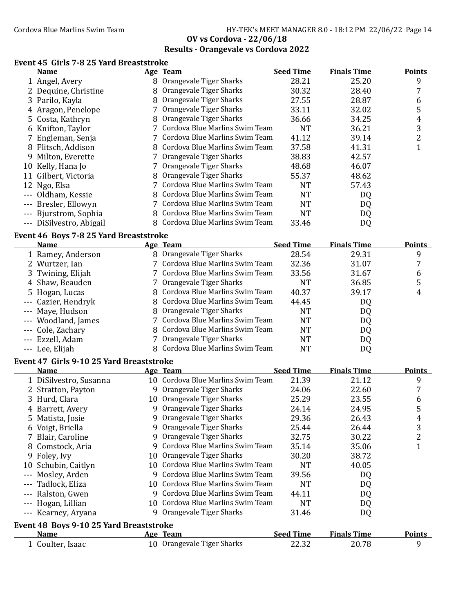#### Cordova Blue Marlins Swim Team Fram Fram HY-TEK's MEET MANAGER 8.0 - 18:12 PM 22/06/22 Page 14 **OV vs Cordova - 22/06/18**

# **Results - Orangevale vs Cordova 2022**

### **Event 45 Girls 7-8 25 Yard Breaststroke**

|   | <b>Name</b>              |    | Age Team                         | <b>Seed Time</b> | <b>Finals Time</b> | <b>Points</b> |
|---|--------------------------|----|----------------------------------|------------------|--------------------|---------------|
|   | 1 Angel, Avery           |    | 8 Orangevale Tiger Sharks        | 28.21            | 25.20              | 9             |
|   | 2 Dequine, Christine     | 8. | Orangevale Tiger Sharks          | 30.32            | 28.40              |               |
|   | 3 Parilo, Kayla          |    | 8 Orangevale Tiger Sharks        | 27.55            | 28.87              | 6             |
|   | 4 Aragon, Penelope       |    | Orangevale Tiger Sharks          | 33.11            | 32.02              | 5             |
|   | 5 Costa, Kathryn         |    | 8 Orangevale Tiger Sharks        | 36.66            | 34.25              | 4             |
|   | 6 Knifton, Taylor        |    | 7 Cordova Blue Marlins Swim Team | <b>NT</b>        | 36.21              | 3             |
|   | 7 Engleman, Senja        |    | Cordova Blue Marlins Swim Team   | 41.12            | 39.14              | 2             |
| 8 | Flitsch, Addison         |    | 8 Cordova Blue Marlins Swim Team | 37.58            | 41.31              |               |
| 9 | Milton, Everette         |    | Orangevale Tiger Sharks          | 38.83            | 42.57              |               |
|   | 10 Kelly, Hana Jo        |    | Orangevale Tiger Sharks          | 48.68            | 46.07              |               |
|   | 11 Gilbert, Victoria     |    | 8 Orangevale Tiger Sharks        | 55.37            | 48.62              |               |
|   | 12 Ngo, Elsa             |    | Cordova Blue Marlins Swim Team   | <b>NT</b>        | 57.43              |               |
|   | --- Oldham, Kessie       |    | 8 Cordova Blue Marlins Swim Team | <b>NT</b>        | DQ                 |               |
|   | --- Bresler, Ellowyn     |    | Cordova Blue Marlins Swim Team   | NT               | DQ                 |               |
|   | --- Bjurstrom, Sophia    |    | Cordova Blue Marlins Swim Team   | <b>NT</b>        | DQ                 |               |
|   | --- DiSilvestro, Abigail |    | 8 Cordova Blue Marlins Swim Team | 33.46            | DQ                 |               |

#### **Event 46 Boys 7-8 25 Yard Breaststroke**

|    | <b>Name</b>                              |   | Age Team                          | <b>Seed Time</b> | <b>Finals Time</b> | <b>Points</b> |
|----|------------------------------------------|---|-----------------------------------|------------------|--------------------|---------------|
|    | 1 Ramey, Anderson                        |   | 8 Orangevale Tiger Sharks         | 28.54            | 29.31              | 9             |
|    | Wurtzer, Ian                             |   | Cordova Blue Marlins Swim Team    | 32.36            | 31.07              | 7             |
|    | 3 Twining, Elijah                        |   | 7 Cordova Blue Marlins Swim Team  | 33.56            | 31.67              | 6             |
|    | Shaw, Beauden                            |   | Orangevale Tiger Sharks           | <b>NT</b>        | 36.85              | 5             |
|    | 5 Hogan, Lucas                           |   | 8 Cordova Blue Marlins Swim Team  | 40.37            | 39.17              | 4             |
|    | Cazier, Hendryk                          | 8 | Cordova Blue Marlins Swim Team    | 44.45            | DQ                 |               |
|    | --- Maye, Hudson                         |   | Orangevale Tiger Sharks           | <b>NT</b>        | DQ                 |               |
|    | Woodland, James                          |   | Cordova Blue Marlins Swim Team    | <b>NT</b>        | DQ                 |               |
|    | --- Cole, Zachary                        | 8 | Cordova Blue Marlins Swim Team    | <b>NT</b>        | DQ                 |               |
|    | Ezzell, Adam                             |   | Orangevale Tiger Sharks           | <b>NT</b>        | DQ                 |               |
|    | --- Lee, Elijah                          | 8 | Cordova Blue Marlins Swim Team    | <b>NT</b>        | DQ                 |               |
|    | Event 47 Girls 9-10 25 Yard Breaststroke |   |                                   |                  |                    |               |
|    | <b>Name</b>                              |   | Age Team                          | <b>Seed Time</b> | <b>Finals Time</b> | <b>Points</b> |
|    | 1 DiSilvestro, Susanna                   |   | 10 Cordova Blue Marlins Swim Team | 21.39            | 21.12              | 9             |
|    | 2 Stratton, Payton                       | 9 | Orangevale Tiger Sharks           | 24.06            | 22.60              |               |
|    | 3 Hurd, Clara                            |   | 10 Orangevale Tiger Sharks        | 25.29            | 23.55              | 6             |
|    | 4 Barrett, Avery                         | 9 | Orangevale Tiger Sharks           | 24.14            | 24.95              | 5             |
| 5. | Matista, Josie                           | 9 | Orangevale Tiger Sharks           | 29.36            | 26.43              | 4             |
| 6  | Voigt, Briella                           | 9 | Orangevale Tiger Sharks           | 25.44            | 26.44              | 3             |
|    | 7 Blair, Caroline                        | 9 | Orangevale Tiger Sharks           | 32.75            | 30.22              | 2             |

| 8 Comstock, Aria                        |  |  | 35.14                                                                                             | 35.06                                                                                                                                                                                                                   |               |  |  |  |
|-----------------------------------------|--|--|---------------------------------------------------------------------------------------------------|-------------------------------------------------------------------------------------------------------------------------------------------------------------------------------------------------------------------------|---------------|--|--|--|
| 9 Foley, Ivy                            |  |  | 30.20                                                                                             | 38.72                                                                                                                                                                                                                   |               |  |  |  |
| 10 Schubin, Caitlyn                     |  |  | NT                                                                                                | 40.05                                                                                                                                                                                                                   |               |  |  |  |
| --- Mosley, Arden                       |  |  | 39.56                                                                                             | DQ                                                                                                                                                                                                                      |               |  |  |  |
| --- Tadlock, Eliza                      |  |  | NT                                                                                                | DQ                                                                                                                                                                                                                      |               |  |  |  |
| --- Ralston, Gwen                       |  |  | 44.11                                                                                             | DQ                                                                                                                                                                                                                      |               |  |  |  |
| --- Hogan, Lillian                      |  |  | NT                                                                                                | DQ                                                                                                                                                                                                                      |               |  |  |  |
| --- Kearney, Aryana                     |  |  | 31.46                                                                                             | DQ                                                                                                                                                                                                                      |               |  |  |  |
| Event 48 Boys 9-10 25 Yard Breaststroke |  |  |                                                                                                   |                                                                                                                                                                                                                         |               |  |  |  |
| <b>Name</b>                             |  |  | <b>Seed Time</b>                                                                                  | <b>Finals Time</b>                                                                                                                                                                                                      | <b>Points</b> |  |  |  |
| 1 Coulter, Isaac                        |  |  | 22.32                                                                                             | 20.78                                                                                                                                                                                                                   | q             |  |  |  |
|                                         |  |  | 10 Orangevale Tiger Sharks<br>9 Orangevale Tiger Sharks<br>Age Team<br>10 Orangevale Tiger Sharks | 9 Cordova Blue Marlins Swim Team<br>10 Cordova Blue Marlins Swim Team<br>9 Cordova Blue Marlins Swim Team<br>10 Cordova Blue Marlins Swim Team<br>9 Cordova Blue Marlins Swim Team<br>10 Cordova Blue Marlins Swim Team |               |  |  |  |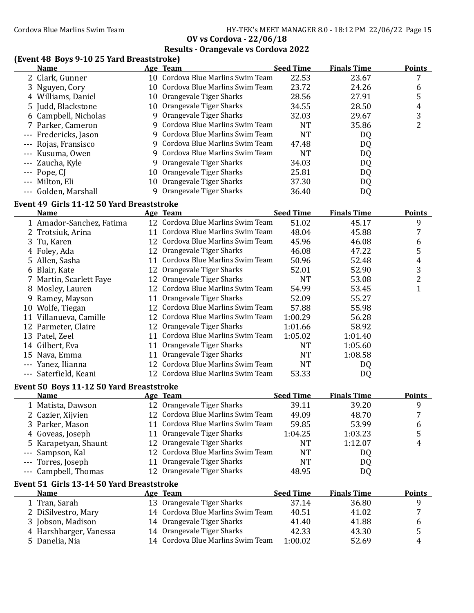Cordova Blue Marlins Swim Team HY-TEK's MEET MANAGER 8.0 - 18:12 PM 22/06/22 Page 15

**OV vs Cordova - 22/06/18**

|     | $\frac{1}{2}$<br><u>Name</u>                             |    | Age Team                          | <b>Seed Time</b> | <b>Finals Time</b> | <b>Points</b>           |
|-----|----------------------------------------------------------|----|-----------------------------------|------------------|--------------------|-------------------------|
|     | 2 Clark, Gunner                                          |    | 10 Cordova Blue Marlins Swim Team | 22.53            | 23.67              | 7                       |
|     | 3 Nguyen, Cory                                           |    | 10 Cordova Blue Marlins Swim Team | 23.72            | 24.26              | 6                       |
|     | 4 Williams, Daniel                                       |    | 10 Orangevale Tiger Sharks        | 28.56            | 27.91              | 5                       |
|     | 5 Judd, Blackstone                                       |    | 10 Orangevale Tiger Sharks        | 34.55            | 28.50              | 4                       |
|     | 6 Campbell, Nicholas                                     |    | 9 Orangevale Tiger Sharks         | 32.03            | 29.67              | 3                       |
|     | 7 Parker, Cameron                                        |    | 9 Cordova Blue Marlins Swim Team  | <b>NT</b>        | 35.86              | $\overline{2}$          |
|     | --- Fredericks, Jason                                    |    | 9 Cordova Blue Marlins Swim Team  | <b>NT</b>        | DQ                 |                         |
|     | --- Rojas, Fransisco                                     |    | 9 Cordova Blue Marlins Swim Team  | 47.48            | DQ                 |                         |
|     | --- Kusuma, Owen                                         |    | 9 Cordova Blue Marlins Swim Team  | <b>NT</b>        | DQ                 |                         |
|     | --- Zaucha, Kyle                                         |    | 9 Orangevale Tiger Sharks         | 34.03            | DQ                 |                         |
|     | --- Pope, CJ                                             |    | 10 Orangevale Tiger Sharks        | 25.81            | DQ                 |                         |
|     | --- Milton, Eli                                          |    | 10 Orangevale Tiger Sharks        | 37.30            | DQ                 |                         |
|     | --- Golden, Marshall                                     | 9  | Orangevale Tiger Sharks           | 36.40            | DQ                 |                         |
|     |                                                          |    |                                   |                  |                    |                         |
|     | Event 49 Girls 11-12 50 Yard Breaststroke<br><b>Name</b> |    | Age Team                          | <b>Seed Time</b> | <b>Finals Time</b> | <b>Points</b>           |
|     | 1 Amador-Sanchez, Fatima                                 |    | 12 Cordova Blue Marlins Swim Team | 51.02            | 45.17              | 9                       |
|     | 2 Trotsiuk, Arina                                        |    | 11 Cordova Blue Marlins Swim Team | 48.04            | 45.88              | 7                       |
|     | 3 Tu, Karen                                              |    | 12 Cordova Blue Marlins Swim Team | 45.96            | 46.08              | 6                       |
|     | 4 Foley, Ada                                             |    | 12 Orangevale Tiger Sharks        | 46.08            | 47.22              | 5                       |
|     | 5 Allen, Sasha                                           |    | 11 Cordova Blue Marlins Swim Team | 50.96            | 52.48              |                         |
|     | 6 Blair, Kate                                            |    | 12 Orangevale Tiger Sharks        | 52.01            | 52.90              | 4<br>3                  |
|     | 7 Martin, Scarlett Faye                                  |    | 12 Orangevale Tiger Sharks        | <b>NT</b>        | 53.08              | $\overline{\mathbf{c}}$ |
|     |                                                          |    | 12 Cordova Blue Marlins Swim Team | 54.99            |                    | $\mathbf{1}$            |
|     | 8 Mosley, Lauren                                         |    | 11 Orangevale Tiger Sharks        |                  | 53.45              |                         |
|     | 9 Ramey, Mayson                                          |    | 12 Cordova Blue Marlins Swim Team | 52.09            | 55.27              |                         |
|     | 10 Wolfe, Tiegan                                         |    | 12 Cordova Blue Marlins Swim Team | 57.88            | 55.98              |                         |
|     | 11 Villanueva, Camille                                   |    |                                   | 1:00.29          | 56.28              |                         |
|     | 12 Parmeter, Claire                                      |    | 12 Orangevale Tiger Sharks        | 1:01.66          | 58.92              |                         |
|     | 13 Patel, Zeel                                           |    | 11 Cordova Blue Marlins Swim Team | 1:05.02          | 1:01.40            |                         |
|     | 14 Gilbert, Eva                                          |    | 11 Orangevale Tiger Sharks        | <b>NT</b>        | 1:05.60            |                         |
|     | 15 Nava, Emma                                            |    | 11 Orangevale Tiger Sharks        | <b>NT</b>        | 1:08.58            |                         |
|     | --- Yanez, Ilianna                                       |    | 12 Cordova Blue Marlins Swim Team | <b>NT</b>        | DQ                 |                         |
|     | --- Saterfield, Keani                                    |    | 12 Cordova Blue Marlins Swim Team | 53.33            | DQ                 |                         |
|     | Event 50 Boys 11-12 50 Yard Breaststroke                 |    |                                   |                  |                    |                         |
|     | <b>Name</b>                                              |    | Age Team                          | <b>Seed Time</b> | <b>Finals Time</b> | <b>Points</b>           |
|     | 1 Matista, Dawson                                        |    | 12 Orangevale Tiger Sharks        | 39.11            | 39.20              | 9                       |
|     | 2 Cazier, Xijvien                                        |    | 12 Cordova Blue Marlins Swim Team | 49.09            | 48.70              | 7                       |
|     | 3 Parker, Mason                                          | 11 | Cordova Blue Marlins Swim Team    | 59.85            | 53.99              | 6                       |
|     | 4 Goveas, Joseph                                         | 11 | Orangevale Tiger Sharks           | 1:04.25          | 1:03.23            | 5                       |
|     | Karapetyan, Shaunt                                       | 12 | Orangevale Tiger Sharks           | <b>NT</b>        | 1:12.07            | 4                       |
|     | Sampson, Kal                                             | 12 | Cordova Blue Marlins Swim Team    | <b>NT</b>        | DQ                 |                         |
|     | Torres, Joseph                                           | 11 | Orangevale Tiger Sharks           | <b>NT</b>        | DQ                 |                         |
| --- | Campbell, Thomas                                         |    | 12 Orangevale Tiger Sharks        | 48.95            | DQ                 |                         |
|     | Event 51 Girls 13-14 50 Yard Breaststroke                |    |                                   |                  |                    |                         |
|     | <b>Name</b>                                              |    | <b>Age Team</b>                   | <b>Seed Time</b> | <b>Finals Time</b> | <b>Points</b>           |
|     | 1 Tran, Sarah                                            |    | 13 Orangevale Tiger Sharks        | 37.14            | 36.80              | 9                       |
|     | 2 DiSilvestro, Mary                                      |    | 14 Cordova Blue Marlins Swim Team | 40.51            | 41.02              | 7                       |
|     | 3 Jobson, Madison                                        |    | 14 Orangevale Tiger Sharks        | 41.40            | 41.88              | 6                       |
|     | 4 Harshbarger, Vanessa                                   |    | 14 Orangevale Tiger Sharks        | 42.33            | 43.30              | 5                       |
|     | 5 Danelia, Nia                                           |    | 14 Cordova Blue Marlins Swim Team | 1:00.02          | 52.69              | 4                       |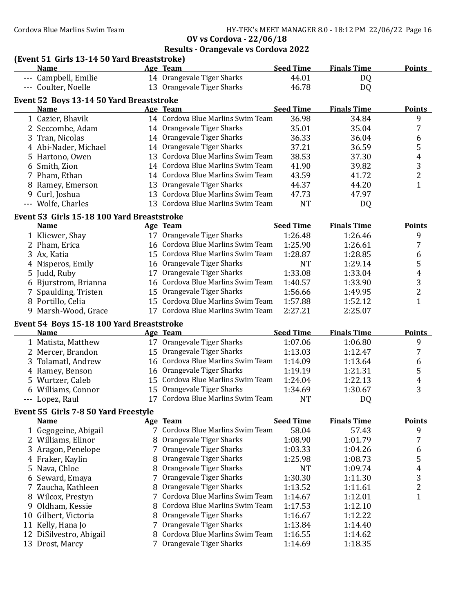# **Results - Orangevale vs Cordova 2022**

|                                             | .<br>. . |  |  |  |  |  |  |
|---------------------------------------------|----------|--|--|--|--|--|--|
| (Event 51 Girls 13-14 50 Yard Breaststroke) |          |  |  |  |  |  |  |
| <b>Name</b>                                 | Age Team |  |  |  |  |  |  |
| , ,, ,, ,,,                                 |          |  |  |  |  |  |  |

|    | <b>Name</b>                                |    | Age Team                          | <b>Seed Time</b> | <b>Finals Time</b> | <b>Points</b> |
|----|--------------------------------------------|----|-----------------------------------|------------------|--------------------|---------------|
|    | --- Campbell, Emilie                       |    | 14 Orangevale Tiger Sharks        | 44.01            | DQ                 |               |
|    | --- Coulter, Noelle                        |    | 13 Orangevale Tiger Sharks        | 46.78            | DQ                 |               |
|    | Event 52 Boys 13-14 50 Yard Breaststroke   |    |                                   |                  |                    |               |
|    | <b>Name</b>                                |    | Age Team                          | <b>Seed Time</b> | <b>Finals Time</b> | <b>Points</b> |
|    | 1 Cazier, Bhavik                           |    | 14 Cordova Blue Marlins Swim Team | 36.98            | 34.84              | 9             |
|    | 2 Seccombe, Adam                           |    | 14 Orangevale Tiger Sharks        | 35.01            | 35.04              |               |
|    | 3 Tran, Nicolas                            |    | 14 Orangevale Tiger Sharks        | 36.33            | 36.04              | 6             |
|    | Abi-Nader, Michael                         |    | 14 Orangevale Tiger Sharks        | 37.21            | 36.59              | 5             |
|    | Hartono, Owen                              |    | 13 Cordova Blue Marlins Swim Team | 38.53            | 37.30              | 4             |
| 6  | Smith, Zion                                |    | 14 Cordova Blue Marlins Swim Team | 41.90            | 39.82              | 3             |
|    | 7 Pham, Ethan                              |    | 14 Cordova Blue Marlins Swim Team | 43.59            | 41.72              | 2             |
| 8  | Ramey, Emerson                             | 13 | Orangevale Tiger Sharks           | 44.37            | 44.20              |               |
| 9  | Curl, Joshua                               |    | 13 Cordova Blue Marlins Swim Team | 47.73            | 47.97              |               |
|    | --- Wolfe, Charles                         |    | 13 Cordova Blue Marlins Swim Team | NT               | DQ                 |               |
|    | Event 53 Girls 15-18 100 Yard Breaststroke |    |                                   |                  |                    |               |
|    | <b>Name</b>                                |    | Age Team                          | <b>Seed Time</b> | <b>Finals Time</b> | <b>Points</b> |
|    | 1 Kliewer, Shay                            |    | 17 Orangevale Tiger Sharks        | 1:26.48          | 1:26.46            | 9             |
|    | 2 Pham, Erica                              |    | 16 Cordova Blue Marlins Swim Team | 1:25.90          | 1:26.61            |               |
| 3. | Ax, Katia                                  |    | 15 Cordova Blue Marlins Swim Team | 1:28.87          | 1:28.85            | 6             |
|    | 4 Nisperos, Emily                          |    | 16 Orangevale Tiger Sharks        | <b>NT</b>        | 1:29.14            | 5             |

| 4 Nisperos, Emily    | 16 Orangevale Tiger Sharks        | NT      | 1:29.14 |   |
|----------------------|-----------------------------------|---------|---------|---|
| 5 Judd, Ruby         | 17 Orangevale Tiger Sharks        | 1:33.08 | 1:33.04 | 4 |
| 6 Bjurstrom, Brianna | 16 Cordova Blue Marlins Swim Team | 1:40.57 | 1:33.90 |   |
| 7 Spaulding, Tristen | 15 Orangevale Tiger Sharks        | 1:56.66 | 1:49.95 |   |
| 8 Portillo, Celia    | 15 Cordova Blue Marlins Swim Team | 1:57.88 | 1:52.12 |   |
| 9 Marsh-Wood, Grace  | 17 Cordova Blue Marlins Swim Team | 2:27.21 | 2:25.07 |   |

### **Event 54 Boys 15-18 100 Yard Breaststroke**

| <b>Name</b>        | Age Team                          | <b>Seed Time</b> | <b>Finals Time</b> | <b>Points</b> |
|--------------------|-----------------------------------|------------------|--------------------|---------------|
| 1 Matista, Matthew | 17 Orangevale Tiger Sharks        | 1:07.06          | 1:06.80            | q             |
| 2 Mercer, Brandon  | 15 Orangevale Tiger Sharks        | 1:13.03          | 1:12.47            |               |
| 3 Tolamatl, Andrew | 16 Cordova Blue Marlins Swim Team | 1:14.09          | 1:13.64            | 6             |
| 4 Ramey, Benson    | 16 Orangevale Tiger Sharks        | 1:19.19          | 1:21.31            | 5             |
| 5 Wurtzer, Caleb   | 15 Cordova Blue Marlins Swim Team | 1:24.04          | 1:22.13            | 4             |
| 6 Williams, Connor | 15 Orangevale Tiger Sharks        | 1:34.69          | 1:30.67            | 3             |
| --- Lopez, Raul    | 17 Cordova Blue Marlins Swim Team | <b>NT</b>        | DQ                 |               |

### **Event 55 Girls 7-8 50 Yard Freestyle**

|    | <b>Name</b>             | Age Team                         | <b>Seed Time</b> | <b>Finals Time</b> | <b>Points</b> |
|----|-------------------------|----------------------------------|------------------|--------------------|---------------|
|    | 1 Gegogeine, Abigail    | 7 Cordova Blue Marlins Swim Team | 58.04            | 57.43              | 9             |
|    | 2 Williams, Elinor      | 8 Orangevale Tiger Sharks        | 1:08.90          | 1:01.79            |               |
|    | 3 Aragon, Penelope      | 7 Orangevale Tiger Sharks        | 1:03.33          | 1:04.26            | 6             |
|    | 4 Fraker, Kaylin        | 8 Orangevale Tiger Sharks        | 1:25.98          | 1:08.73            | 5             |
|    | 5 Nava, Chloe           | 8 Orangevale Tiger Sharks        | NT               | 1:09.74            | 4             |
|    | 6 Seward, Emaya         | 7 Orangevale Tiger Sharks        | 1:30.30          | 1:11.30            | 3             |
|    | 7 Zaucha, Kathleen      | 8 Orangevale Tiger Sharks        | 1:13.52          | 1:11.61            |               |
|    | 8 Wilcox, Prestyn       | 7 Cordova Blue Marlins Swim Team | 1:14.67          | 1:12.01            |               |
|    | 9 Oldham, Kessie        | 8 Cordova Blue Marlins Swim Team | 1:17.53          | 1:12.10            |               |
|    | 10 Gilbert, Victoria    | 8 Orangevale Tiger Sharks        | 1:16.67          | 1:12.22            |               |
| 11 | Kelly, Hana Jo          | 7 Orangevale Tiger Sharks        | 1:13.84          | 1:14.40            |               |
|    | 12 DiSilvestro, Abigail | 8 Cordova Blue Marlins Swim Team | 1:16.55          | 1:14.62            |               |
|    | 13 Drost, Marcy         | 7 Orangevale Tiger Sharks        | 1:14.69          | 1:18.35            |               |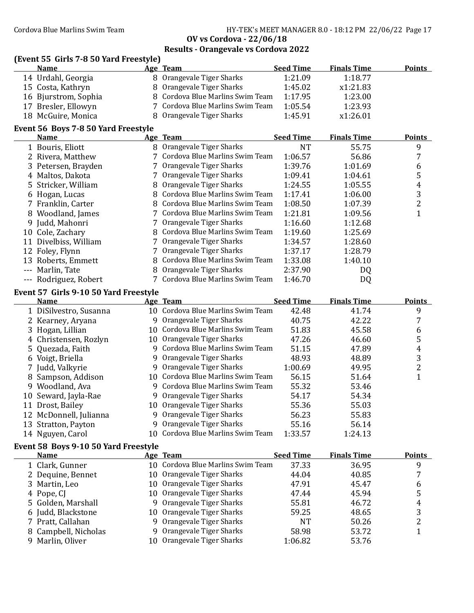Cordova Blue Marlins Swim Team Team HY-TEK's MEET MANAGER 8.0 - 18:12 PM 22/06/22 Page 17

**OV vs Cordova - 22/06/18**

| Age Team<br>8 Orangevale Tiger Sharks<br>14 Urdahl, Georgia<br>1:21.09<br>1:18.77<br>8 Orangevale Tiger Sharks<br>1:45.02<br>x1:21.83<br>15 Costa, Kathryn<br>8 Cordova Blue Marlins Swim Team<br>16 Bjurstrom, Sophia<br>1:17.95<br>1:23.00<br>7 Cordova Blue Marlins Swim Team<br>17 Bresler, Ellowyn<br>1:05.54<br>1:23.93<br>8 Orangevale Tiger Sharks<br>18 McGuire, Monica<br>1:45.91<br>x1:26.01<br>Event 56 Boys 7-8 50 Yard Freestyle<br><b>Seed Time</b><br><b>Finals Time</b><br>Age Team<br><b>Points</b><br><b>Name</b><br>8 Orangevale Tiger Sharks<br>1 Bouris, Eliott<br>9<br><b>NT</b><br>55.75<br>7 Cordova Blue Marlins Swim Team<br>7<br>1:06.57<br>2 Rivera, Matthew<br>56.86<br>7 Orangevale Tiger Sharks<br>Petersen, Brayden<br>1:39.76<br>1:01.69<br>6<br>3<br>5<br>7 Orangevale Tiger Sharks<br>4 Maltos, Dakota<br>1:09.41<br>1:04.61<br>8 Orangevale Tiger Sharks<br>$\overline{4}$<br>Stricker, William<br>1:24.55<br>1:05.55<br>5<br>3<br>8 Cordova Blue Marlins Swim Team<br>6 Hogan, Lucas<br>1:17.41<br>1:06.00<br>$\overline{2}$<br>8 Cordova Blue Marlins Swim Team<br>1:08.50<br>7 Franklin, Carter<br>1:07.39<br>$\mathbf{1}$<br>7 Cordova Blue Marlins Swim Team<br>1:21.81<br>8 Woodland, James<br>1:09.56<br>7 Orangevale Tiger Sharks<br>9 Judd, Mahonri<br>1:16.60<br>1:12.68<br>8 Cordova Blue Marlins Swim Team<br>10 Cole, Zachary<br>1:19.60<br>1:25.69<br>7 Orangevale Tiger Sharks<br>11 Divelbiss, William<br>1:34.57<br>1:28.60<br>7 Orangevale Tiger Sharks<br>12 Foley, Flynn<br>1:37.17<br>1:28.79<br>8 Cordova Blue Marlins Swim Team<br>13 Roberts, Emmett<br>1:33.08<br>1:40.10<br>8 Orangevale Tiger Sharks<br>--- Marlin, Tate<br>2:37.90<br>DQ<br>7 Cordova Blue Marlins Swim Team<br>--- Rodriguez, Robert<br>1:46.70<br>DQ<br>Event 57 Girls 9-10 50 Yard Freestyle<br><b>Seed Time</b><br><b>Finals Time</b><br><b>Name</b><br><b>Points</b><br>Age Team<br>10 Cordova Blue Marlins Swim Team<br>9<br>1 DiSilvestro, Susanna<br>42.48<br>41.74<br>9 Orangevale Tiger Sharks<br>7<br>40.75<br>42.22<br>2 Kearney, Aryana<br>10 Cordova Blue Marlins Swim Team<br>51.83<br>45.58<br>3 Hogan, Lillian<br>6<br>5<br>10 Orangevale Tiger Sharks<br>4 Christensen, Rozlyn<br>47.26<br>46.60<br>9 Cordova Blue Marlins Swim Team<br>$\overline{4}$<br>Quezada, Faith<br>51.15<br>47.89<br>5<br>3<br>9 Orangevale Tiger Sharks<br>6 Voigt, Briella<br>48.93<br>48.89<br>$\overline{c}$<br>9 Orangevale Tiger Sharks<br>7 Judd, Valkyrie<br>1:00.69<br>49.95<br>$\mathbf{1}$<br>10 Cordova Blue Marlins Swim Team<br>8 Sampson, Addison<br>56.15<br>51.64<br>Cordova Blue Marlins Swim Team<br>55.32<br>9 Woodland, Ava<br>53.46<br>9<br>9 Orangevale Tiger Sharks<br>54.17<br>54.34<br>10 Seward, Jayla-Rae<br>10 Orangevale Tiger Sharks<br>55.36<br>55.03<br>11 Drost, Bailey<br>9 Orangevale Tiger Sharks<br>56.23<br>55.83<br>12 McDonnell, Julianna<br>Orangevale Tiger Sharks<br>55.16<br>56.14<br>13 Stratton, Payton<br>9.<br>10 Cordova Blue Marlins Swim Team<br>1:33.57<br>1:24.13<br>14 Nguyen, Carol<br>Event 58 Boys 9-10 50 Yard Freestyle<br><b>Seed Time</b><br><b>Finals Time</b><br><b>Points</b><br><b>Name</b><br>Age Team<br>10 Cordova Blue Marlins Swim Team<br>37.33<br>36.95<br>9<br>1 Clark, Gunner<br>7<br>10 Orangevale Tiger Sharks<br>44.04<br>40.85<br>2 Dequine, Bennet<br>10 Orangevale Tiger Sharks<br>6<br>47.91<br>45.47<br>Martin, Leo<br>3<br>5<br>10 Orangevale Tiger Sharks<br>47.44<br>45.94<br>Pope, CJ<br>4<br>4<br>9 Orangevale Tiger Sharks<br>46.72<br>Golden, Marshall<br>55.81<br>5<br>3<br>10 Orangevale Tiger Sharks<br>Judd, Blackstone<br>59.25<br>48.65<br>6<br>$\overline{c}$<br>9 Orangevale Tiger Sharks<br><b>NT</b><br>50.26<br>Pratt, Callahan<br>7<br>$\mathbf{1}$<br>Orangevale Tiger Sharks<br>53.72<br>Campbell, Nicholas<br>58.98<br>9<br>10 Orangevale Tiger Sharks<br>53.76<br>Marlin, Oliver<br>1:06.82<br>9 | (Event 55 Girls 7-8 50 Yard Freestyle) |  |                  |                    |               |
|----------------------------------------------------------------------------------------------------------------------------------------------------------------------------------------------------------------------------------------------------------------------------------------------------------------------------------------------------------------------------------------------------------------------------------------------------------------------------------------------------------------------------------------------------------------------------------------------------------------------------------------------------------------------------------------------------------------------------------------------------------------------------------------------------------------------------------------------------------------------------------------------------------------------------------------------------------------------------------------------------------------------------------------------------------------------------------------------------------------------------------------------------------------------------------------------------------------------------------------------------------------------------------------------------------------------------------------------------------------------------------------------------------------------------------------------------------------------------------------------------------------------------------------------------------------------------------------------------------------------------------------------------------------------------------------------------------------------------------------------------------------------------------------------------------------------------------------------------------------------------------------------------------------------------------------------------------------------------------------------------------------------------------------------------------------------------------------------------------------------------------------------------------------------------------------------------------------------------------------------------------------------------------------------------------------------------------------------------------------------------------------------------------------------------------------------------------------------------------------------------------------------------------------------------------------------------------------------------------------------------------------------------------------------------------------------------------------------------------------------------------------------------------------------------------------------------------------------------------------------------------------------------------------------------------------------------------------------------------------------------------------------------------------------------------------------------------------------------------------------------------------------------------------------------------------------------------------------------------------------------------------------------------------------------------------------------------------------------------------------------------------------------------------------------------------------------------------------------------------------------------------------------------------------------------------------------------------------------------------------------------------------------------------------------------------------------------------------------------------------------------------------------------------------------------------------------------------------------------------------------------------------------------------------------------------|----------------------------------------|--|------------------|--------------------|---------------|
|                                                                                                                                                                                                                                                                                                                                                                                                                                                                                                                                                                                                                                                                                                                                                                                                                                                                                                                                                                                                                                                                                                                                                                                                                                                                                                                                                                                                                                                                                                                                                                                                                                                                                                                                                                                                                                                                                                                                                                                                                                                                                                                                                                                                                                                                                                                                                                                                                                                                                                                                                                                                                                                                                                                                                                                                                                                                                                                                                                                                                                                                                                                                                                                                                                                                                                                                                                                                                                                                                                                                                                                                                                                                                                                                                                                                                                                                                                                                        | <b>Name</b>                            |  | <b>Seed Time</b> | <b>Finals Time</b> | <b>Points</b> |
|                                                                                                                                                                                                                                                                                                                                                                                                                                                                                                                                                                                                                                                                                                                                                                                                                                                                                                                                                                                                                                                                                                                                                                                                                                                                                                                                                                                                                                                                                                                                                                                                                                                                                                                                                                                                                                                                                                                                                                                                                                                                                                                                                                                                                                                                                                                                                                                                                                                                                                                                                                                                                                                                                                                                                                                                                                                                                                                                                                                                                                                                                                                                                                                                                                                                                                                                                                                                                                                                                                                                                                                                                                                                                                                                                                                                                                                                                                                                        |                                        |  |                  |                    |               |
|                                                                                                                                                                                                                                                                                                                                                                                                                                                                                                                                                                                                                                                                                                                                                                                                                                                                                                                                                                                                                                                                                                                                                                                                                                                                                                                                                                                                                                                                                                                                                                                                                                                                                                                                                                                                                                                                                                                                                                                                                                                                                                                                                                                                                                                                                                                                                                                                                                                                                                                                                                                                                                                                                                                                                                                                                                                                                                                                                                                                                                                                                                                                                                                                                                                                                                                                                                                                                                                                                                                                                                                                                                                                                                                                                                                                                                                                                                                                        |                                        |  |                  |                    |               |
|                                                                                                                                                                                                                                                                                                                                                                                                                                                                                                                                                                                                                                                                                                                                                                                                                                                                                                                                                                                                                                                                                                                                                                                                                                                                                                                                                                                                                                                                                                                                                                                                                                                                                                                                                                                                                                                                                                                                                                                                                                                                                                                                                                                                                                                                                                                                                                                                                                                                                                                                                                                                                                                                                                                                                                                                                                                                                                                                                                                                                                                                                                                                                                                                                                                                                                                                                                                                                                                                                                                                                                                                                                                                                                                                                                                                                                                                                                                                        |                                        |  |                  |                    |               |
|                                                                                                                                                                                                                                                                                                                                                                                                                                                                                                                                                                                                                                                                                                                                                                                                                                                                                                                                                                                                                                                                                                                                                                                                                                                                                                                                                                                                                                                                                                                                                                                                                                                                                                                                                                                                                                                                                                                                                                                                                                                                                                                                                                                                                                                                                                                                                                                                                                                                                                                                                                                                                                                                                                                                                                                                                                                                                                                                                                                                                                                                                                                                                                                                                                                                                                                                                                                                                                                                                                                                                                                                                                                                                                                                                                                                                                                                                                                                        |                                        |  |                  |                    |               |
|                                                                                                                                                                                                                                                                                                                                                                                                                                                                                                                                                                                                                                                                                                                                                                                                                                                                                                                                                                                                                                                                                                                                                                                                                                                                                                                                                                                                                                                                                                                                                                                                                                                                                                                                                                                                                                                                                                                                                                                                                                                                                                                                                                                                                                                                                                                                                                                                                                                                                                                                                                                                                                                                                                                                                                                                                                                                                                                                                                                                                                                                                                                                                                                                                                                                                                                                                                                                                                                                                                                                                                                                                                                                                                                                                                                                                                                                                                                                        |                                        |  |                  |                    |               |
|                                                                                                                                                                                                                                                                                                                                                                                                                                                                                                                                                                                                                                                                                                                                                                                                                                                                                                                                                                                                                                                                                                                                                                                                                                                                                                                                                                                                                                                                                                                                                                                                                                                                                                                                                                                                                                                                                                                                                                                                                                                                                                                                                                                                                                                                                                                                                                                                                                                                                                                                                                                                                                                                                                                                                                                                                                                                                                                                                                                                                                                                                                                                                                                                                                                                                                                                                                                                                                                                                                                                                                                                                                                                                                                                                                                                                                                                                                                                        |                                        |  |                  |                    |               |
|                                                                                                                                                                                                                                                                                                                                                                                                                                                                                                                                                                                                                                                                                                                                                                                                                                                                                                                                                                                                                                                                                                                                                                                                                                                                                                                                                                                                                                                                                                                                                                                                                                                                                                                                                                                                                                                                                                                                                                                                                                                                                                                                                                                                                                                                                                                                                                                                                                                                                                                                                                                                                                                                                                                                                                                                                                                                                                                                                                                                                                                                                                                                                                                                                                                                                                                                                                                                                                                                                                                                                                                                                                                                                                                                                                                                                                                                                                                                        |                                        |  |                  |                    |               |
|                                                                                                                                                                                                                                                                                                                                                                                                                                                                                                                                                                                                                                                                                                                                                                                                                                                                                                                                                                                                                                                                                                                                                                                                                                                                                                                                                                                                                                                                                                                                                                                                                                                                                                                                                                                                                                                                                                                                                                                                                                                                                                                                                                                                                                                                                                                                                                                                                                                                                                                                                                                                                                                                                                                                                                                                                                                                                                                                                                                                                                                                                                                                                                                                                                                                                                                                                                                                                                                                                                                                                                                                                                                                                                                                                                                                                                                                                                                                        |                                        |  |                  |                    |               |
|                                                                                                                                                                                                                                                                                                                                                                                                                                                                                                                                                                                                                                                                                                                                                                                                                                                                                                                                                                                                                                                                                                                                                                                                                                                                                                                                                                                                                                                                                                                                                                                                                                                                                                                                                                                                                                                                                                                                                                                                                                                                                                                                                                                                                                                                                                                                                                                                                                                                                                                                                                                                                                                                                                                                                                                                                                                                                                                                                                                                                                                                                                                                                                                                                                                                                                                                                                                                                                                                                                                                                                                                                                                                                                                                                                                                                                                                                                                                        |                                        |  |                  |                    |               |
|                                                                                                                                                                                                                                                                                                                                                                                                                                                                                                                                                                                                                                                                                                                                                                                                                                                                                                                                                                                                                                                                                                                                                                                                                                                                                                                                                                                                                                                                                                                                                                                                                                                                                                                                                                                                                                                                                                                                                                                                                                                                                                                                                                                                                                                                                                                                                                                                                                                                                                                                                                                                                                                                                                                                                                                                                                                                                                                                                                                                                                                                                                                                                                                                                                                                                                                                                                                                                                                                                                                                                                                                                                                                                                                                                                                                                                                                                                                                        |                                        |  |                  |                    |               |
|                                                                                                                                                                                                                                                                                                                                                                                                                                                                                                                                                                                                                                                                                                                                                                                                                                                                                                                                                                                                                                                                                                                                                                                                                                                                                                                                                                                                                                                                                                                                                                                                                                                                                                                                                                                                                                                                                                                                                                                                                                                                                                                                                                                                                                                                                                                                                                                                                                                                                                                                                                                                                                                                                                                                                                                                                                                                                                                                                                                                                                                                                                                                                                                                                                                                                                                                                                                                                                                                                                                                                                                                                                                                                                                                                                                                                                                                                                                                        |                                        |  |                  |                    |               |
|                                                                                                                                                                                                                                                                                                                                                                                                                                                                                                                                                                                                                                                                                                                                                                                                                                                                                                                                                                                                                                                                                                                                                                                                                                                                                                                                                                                                                                                                                                                                                                                                                                                                                                                                                                                                                                                                                                                                                                                                                                                                                                                                                                                                                                                                                                                                                                                                                                                                                                                                                                                                                                                                                                                                                                                                                                                                                                                                                                                                                                                                                                                                                                                                                                                                                                                                                                                                                                                                                                                                                                                                                                                                                                                                                                                                                                                                                                                                        |                                        |  |                  |                    |               |
|                                                                                                                                                                                                                                                                                                                                                                                                                                                                                                                                                                                                                                                                                                                                                                                                                                                                                                                                                                                                                                                                                                                                                                                                                                                                                                                                                                                                                                                                                                                                                                                                                                                                                                                                                                                                                                                                                                                                                                                                                                                                                                                                                                                                                                                                                                                                                                                                                                                                                                                                                                                                                                                                                                                                                                                                                                                                                                                                                                                                                                                                                                                                                                                                                                                                                                                                                                                                                                                                                                                                                                                                                                                                                                                                                                                                                                                                                                                                        |                                        |  |                  |                    |               |
|                                                                                                                                                                                                                                                                                                                                                                                                                                                                                                                                                                                                                                                                                                                                                                                                                                                                                                                                                                                                                                                                                                                                                                                                                                                                                                                                                                                                                                                                                                                                                                                                                                                                                                                                                                                                                                                                                                                                                                                                                                                                                                                                                                                                                                                                                                                                                                                                                                                                                                                                                                                                                                                                                                                                                                                                                                                                                                                                                                                                                                                                                                                                                                                                                                                                                                                                                                                                                                                                                                                                                                                                                                                                                                                                                                                                                                                                                                                                        |                                        |  |                  |                    |               |
|                                                                                                                                                                                                                                                                                                                                                                                                                                                                                                                                                                                                                                                                                                                                                                                                                                                                                                                                                                                                                                                                                                                                                                                                                                                                                                                                                                                                                                                                                                                                                                                                                                                                                                                                                                                                                                                                                                                                                                                                                                                                                                                                                                                                                                                                                                                                                                                                                                                                                                                                                                                                                                                                                                                                                                                                                                                                                                                                                                                                                                                                                                                                                                                                                                                                                                                                                                                                                                                                                                                                                                                                                                                                                                                                                                                                                                                                                                                                        |                                        |  |                  |                    |               |
|                                                                                                                                                                                                                                                                                                                                                                                                                                                                                                                                                                                                                                                                                                                                                                                                                                                                                                                                                                                                                                                                                                                                                                                                                                                                                                                                                                                                                                                                                                                                                                                                                                                                                                                                                                                                                                                                                                                                                                                                                                                                                                                                                                                                                                                                                                                                                                                                                                                                                                                                                                                                                                                                                                                                                                                                                                                                                                                                                                                                                                                                                                                                                                                                                                                                                                                                                                                                                                                                                                                                                                                                                                                                                                                                                                                                                                                                                                                                        |                                        |  |                  |                    |               |
|                                                                                                                                                                                                                                                                                                                                                                                                                                                                                                                                                                                                                                                                                                                                                                                                                                                                                                                                                                                                                                                                                                                                                                                                                                                                                                                                                                                                                                                                                                                                                                                                                                                                                                                                                                                                                                                                                                                                                                                                                                                                                                                                                                                                                                                                                                                                                                                                                                                                                                                                                                                                                                                                                                                                                                                                                                                                                                                                                                                                                                                                                                                                                                                                                                                                                                                                                                                                                                                                                                                                                                                                                                                                                                                                                                                                                                                                                                                                        |                                        |  |                  |                    |               |
|                                                                                                                                                                                                                                                                                                                                                                                                                                                                                                                                                                                                                                                                                                                                                                                                                                                                                                                                                                                                                                                                                                                                                                                                                                                                                                                                                                                                                                                                                                                                                                                                                                                                                                                                                                                                                                                                                                                                                                                                                                                                                                                                                                                                                                                                                                                                                                                                                                                                                                                                                                                                                                                                                                                                                                                                                                                                                                                                                                                                                                                                                                                                                                                                                                                                                                                                                                                                                                                                                                                                                                                                                                                                                                                                                                                                                                                                                                                                        |                                        |  |                  |                    |               |
|                                                                                                                                                                                                                                                                                                                                                                                                                                                                                                                                                                                                                                                                                                                                                                                                                                                                                                                                                                                                                                                                                                                                                                                                                                                                                                                                                                                                                                                                                                                                                                                                                                                                                                                                                                                                                                                                                                                                                                                                                                                                                                                                                                                                                                                                                                                                                                                                                                                                                                                                                                                                                                                                                                                                                                                                                                                                                                                                                                                                                                                                                                                                                                                                                                                                                                                                                                                                                                                                                                                                                                                                                                                                                                                                                                                                                                                                                                                                        |                                        |  |                  |                    |               |
|                                                                                                                                                                                                                                                                                                                                                                                                                                                                                                                                                                                                                                                                                                                                                                                                                                                                                                                                                                                                                                                                                                                                                                                                                                                                                                                                                                                                                                                                                                                                                                                                                                                                                                                                                                                                                                                                                                                                                                                                                                                                                                                                                                                                                                                                                                                                                                                                                                                                                                                                                                                                                                                                                                                                                                                                                                                                                                                                                                                                                                                                                                                                                                                                                                                                                                                                                                                                                                                                                                                                                                                                                                                                                                                                                                                                                                                                                                                                        |                                        |  |                  |                    |               |
|                                                                                                                                                                                                                                                                                                                                                                                                                                                                                                                                                                                                                                                                                                                                                                                                                                                                                                                                                                                                                                                                                                                                                                                                                                                                                                                                                                                                                                                                                                                                                                                                                                                                                                                                                                                                                                                                                                                                                                                                                                                                                                                                                                                                                                                                                                                                                                                                                                                                                                                                                                                                                                                                                                                                                                                                                                                                                                                                                                                                                                                                                                                                                                                                                                                                                                                                                                                                                                                                                                                                                                                                                                                                                                                                                                                                                                                                                                                                        |                                        |  |                  |                    |               |
|                                                                                                                                                                                                                                                                                                                                                                                                                                                                                                                                                                                                                                                                                                                                                                                                                                                                                                                                                                                                                                                                                                                                                                                                                                                                                                                                                                                                                                                                                                                                                                                                                                                                                                                                                                                                                                                                                                                                                                                                                                                                                                                                                                                                                                                                                                                                                                                                                                                                                                                                                                                                                                                                                                                                                                                                                                                                                                                                                                                                                                                                                                                                                                                                                                                                                                                                                                                                                                                                                                                                                                                                                                                                                                                                                                                                                                                                                                                                        |                                        |  |                  |                    |               |
|                                                                                                                                                                                                                                                                                                                                                                                                                                                                                                                                                                                                                                                                                                                                                                                                                                                                                                                                                                                                                                                                                                                                                                                                                                                                                                                                                                                                                                                                                                                                                                                                                                                                                                                                                                                                                                                                                                                                                                                                                                                                                                                                                                                                                                                                                                                                                                                                                                                                                                                                                                                                                                                                                                                                                                                                                                                                                                                                                                                                                                                                                                                                                                                                                                                                                                                                                                                                                                                                                                                                                                                                                                                                                                                                                                                                                                                                                                                                        |                                        |  |                  |                    |               |
|                                                                                                                                                                                                                                                                                                                                                                                                                                                                                                                                                                                                                                                                                                                                                                                                                                                                                                                                                                                                                                                                                                                                                                                                                                                                                                                                                                                                                                                                                                                                                                                                                                                                                                                                                                                                                                                                                                                                                                                                                                                                                                                                                                                                                                                                                                                                                                                                                                                                                                                                                                                                                                                                                                                                                                                                                                                                                                                                                                                                                                                                                                                                                                                                                                                                                                                                                                                                                                                                                                                                                                                                                                                                                                                                                                                                                                                                                                                                        |                                        |  |                  |                    |               |
|                                                                                                                                                                                                                                                                                                                                                                                                                                                                                                                                                                                                                                                                                                                                                                                                                                                                                                                                                                                                                                                                                                                                                                                                                                                                                                                                                                                                                                                                                                                                                                                                                                                                                                                                                                                                                                                                                                                                                                                                                                                                                                                                                                                                                                                                                                                                                                                                                                                                                                                                                                                                                                                                                                                                                                                                                                                                                                                                                                                                                                                                                                                                                                                                                                                                                                                                                                                                                                                                                                                                                                                                                                                                                                                                                                                                                                                                                                                                        |                                        |  |                  |                    |               |
|                                                                                                                                                                                                                                                                                                                                                                                                                                                                                                                                                                                                                                                                                                                                                                                                                                                                                                                                                                                                                                                                                                                                                                                                                                                                                                                                                                                                                                                                                                                                                                                                                                                                                                                                                                                                                                                                                                                                                                                                                                                                                                                                                                                                                                                                                                                                                                                                                                                                                                                                                                                                                                                                                                                                                                                                                                                                                                                                                                                                                                                                                                                                                                                                                                                                                                                                                                                                                                                                                                                                                                                                                                                                                                                                                                                                                                                                                                                                        |                                        |  |                  |                    |               |
|                                                                                                                                                                                                                                                                                                                                                                                                                                                                                                                                                                                                                                                                                                                                                                                                                                                                                                                                                                                                                                                                                                                                                                                                                                                                                                                                                                                                                                                                                                                                                                                                                                                                                                                                                                                                                                                                                                                                                                                                                                                                                                                                                                                                                                                                                                                                                                                                                                                                                                                                                                                                                                                                                                                                                                                                                                                                                                                                                                                                                                                                                                                                                                                                                                                                                                                                                                                                                                                                                                                                                                                                                                                                                                                                                                                                                                                                                                                                        |                                        |  |                  |                    |               |
|                                                                                                                                                                                                                                                                                                                                                                                                                                                                                                                                                                                                                                                                                                                                                                                                                                                                                                                                                                                                                                                                                                                                                                                                                                                                                                                                                                                                                                                                                                                                                                                                                                                                                                                                                                                                                                                                                                                                                                                                                                                                                                                                                                                                                                                                                                                                                                                                                                                                                                                                                                                                                                                                                                                                                                                                                                                                                                                                                                                                                                                                                                                                                                                                                                                                                                                                                                                                                                                                                                                                                                                                                                                                                                                                                                                                                                                                                                                                        |                                        |  |                  |                    |               |
|                                                                                                                                                                                                                                                                                                                                                                                                                                                                                                                                                                                                                                                                                                                                                                                                                                                                                                                                                                                                                                                                                                                                                                                                                                                                                                                                                                                                                                                                                                                                                                                                                                                                                                                                                                                                                                                                                                                                                                                                                                                                                                                                                                                                                                                                                                                                                                                                                                                                                                                                                                                                                                                                                                                                                                                                                                                                                                                                                                                                                                                                                                                                                                                                                                                                                                                                                                                                                                                                                                                                                                                                                                                                                                                                                                                                                                                                                                                                        |                                        |  |                  |                    |               |
|                                                                                                                                                                                                                                                                                                                                                                                                                                                                                                                                                                                                                                                                                                                                                                                                                                                                                                                                                                                                                                                                                                                                                                                                                                                                                                                                                                                                                                                                                                                                                                                                                                                                                                                                                                                                                                                                                                                                                                                                                                                                                                                                                                                                                                                                                                                                                                                                                                                                                                                                                                                                                                                                                                                                                                                                                                                                                                                                                                                                                                                                                                                                                                                                                                                                                                                                                                                                                                                                                                                                                                                                                                                                                                                                                                                                                                                                                                                                        |                                        |  |                  |                    |               |
|                                                                                                                                                                                                                                                                                                                                                                                                                                                                                                                                                                                                                                                                                                                                                                                                                                                                                                                                                                                                                                                                                                                                                                                                                                                                                                                                                                                                                                                                                                                                                                                                                                                                                                                                                                                                                                                                                                                                                                                                                                                                                                                                                                                                                                                                                                                                                                                                                                                                                                                                                                                                                                                                                                                                                                                                                                                                                                                                                                                                                                                                                                                                                                                                                                                                                                                                                                                                                                                                                                                                                                                                                                                                                                                                                                                                                                                                                                                                        |                                        |  |                  |                    |               |
|                                                                                                                                                                                                                                                                                                                                                                                                                                                                                                                                                                                                                                                                                                                                                                                                                                                                                                                                                                                                                                                                                                                                                                                                                                                                                                                                                                                                                                                                                                                                                                                                                                                                                                                                                                                                                                                                                                                                                                                                                                                                                                                                                                                                                                                                                                                                                                                                                                                                                                                                                                                                                                                                                                                                                                                                                                                                                                                                                                                                                                                                                                                                                                                                                                                                                                                                                                                                                                                                                                                                                                                                                                                                                                                                                                                                                                                                                                                                        |                                        |  |                  |                    |               |
|                                                                                                                                                                                                                                                                                                                                                                                                                                                                                                                                                                                                                                                                                                                                                                                                                                                                                                                                                                                                                                                                                                                                                                                                                                                                                                                                                                                                                                                                                                                                                                                                                                                                                                                                                                                                                                                                                                                                                                                                                                                                                                                                                                                                                                                                                                                                                                                                                                                                                                                                                                                                                                                                                                                                                                                                                                                                                                                                                                                                                                                                                                                                                                                                                                                                                                                                                                                                                                                                                                                                                                                                                                                                                                                                                                                                                                                                                                                                        |                                        |  |                  |                    |               |
|                                                                                                                                                                                                                                                                                                                                                                                                                                                                                                                                                                                                                                                                                                                                                                                                                                                                                                                                                                                                                                                                                                                                                                                                                                                                                                                                                                                                                                                                                                                                                                                                                                                                                                                                                                                                                                                                                                                                                                                                                                                                                                                                                                                                                                                                                                                                                                                                                                                                                                                                                                                                                                                                                                                                                                                                                                                                                                                                                                                                                                                                                                                                                                                                                                                                                                                                                                                                                                                                                                                                                                                                                                                                                                                                                                                                                                                                                                                                        |                                        |  |                  |                    |               |
|                                                                                                                                                                                                                                                                                                                                                                                                                                                                                                                                                                                                                                                                                                                                                                                                                                                                                                                                                                                                                                                                                                                                                                                                                                                                                                                                                                                                                                                                                                                                                                                                                                                                                                                                                                                                                                                                                                                                                                                                                                                                                                                                                                                                                                                                                                                                                                                                                                                                                                                                                                                                                                                                                                                                                                                                                                                                                                                                                                                                                                                                                                                                                                                                                                                                                                                                                                                                                                                                                                                                                                                                                                                                                                                                                                                                                                                                                                                                        |                                        |  |                  |                    |               |
|                                                                                                                                                                                                                                                                                                                                                                                                                                                                                                                                                                                                                                                                                                                                                                                                                                                                                                                                                                                                                                                                                                                                                                                                                                                                                                                                                                                                                                                                                                                                                                                                                                                                                                                                                                                                                                                                                                                                                                                                                                                                                                                                                                                                                                                                                                                                                                                                                                                                                                                                                                                                                                                                                                                                                                                                                                                                                                                                                                                                                                                                                                                                                                                                                                                                                                                                                                                                                                                                                                                                                                                                                                                                                                                                                                                                                                                                                                                                        |                                        |  |                  |                    |               |
|                                                                                                                                                                                                                                                                                                                                                                                                                                                                                                                                                                                                                                                                                                                                                                                                                                                                                                                                                                                                                                                                                                                                                                                                                                                                                                                                                                                                                                                                                                                                                                                                                                                                                                                                                                                                                                                                                                                                                                                                                                                                                                                                                                                                                                                                                                                                                                                                                                                                                                                                                                                                                                                                                                                                                                                                                                                                                                                                                                                                                                                                                                                                                                                                                                                                                                                                                                                                                                                                                                                                                                                                                                                                                                                                                                                                                                                                                                                                        |                                        |  |                  |                    |               |
|                                                                                                                                                                                                                                                                                                                                                                                                                                                                                                                                                                                                                                                                                                                                                                                                                                                                                                                                                                                                                                                                                                                                                                                                                                                                                                                                                                                                                                                                                                                                                                                                                                                                                                                                                                                                                                                                                                                                                                                                                                                                                                                                                                                                                                                                                                                                                                                                                                                                                                                                                                                                                                                                                                                                                                                                                                                                                                                                                                                                                                                                                                                                                                                                                                                                                                                                                                                                                                                                                                                                                                                                                                                                                                                                                                                                                                                                                                                                        |                                        |  |                  |                    |               |
|                                                                                                                                                                                                                                                                                                                                                                                                                                                                                                                                                                                                                                                                                                                                                                                                                                                                                                                                                                                                                                                                                                                                                                                                                                                                                                                                                                                                                                                                                                                                                                                                                                                                                                                                                                                                                                                                                                                                                                                                                                                                                                                                                                                                                                                                                                                                                                                                                                                                                                                                                                                                                                                                                                                                                                                                                                                                                                                                                                                                                                                                                                                                                                                                                                                                                                                                                                                                                                                                                                                                                                                                                                                                                                                                                                                                                                                                                                                                        |                                        |  |                  |                    |               |
|                                                                                                                                                                                                                                                                                                                                                                                                                                                                                                                                                                                                                                                                                                                                                                                                                                                                                                                                                                                                                                                                                                                                                                                                                                                                                                                                                                                                                                                                                                                                                                                                                                                                                                                                                                                                                                                                                                                                                                                                                                                                                                                                                                                                                                                                                                                                                                                                                                                                                                                                                                                                                                                                                                                                                                                                                                                                                                                                                                                                                                                                                                                                                                                                                                                                                                                                                                                                                                                                                                                                                                                                                                                                                                                                                                                                                                                                                                                                        |                                        |  |                  |                    |               |
|                                                                                                                                                                                                                                                                                                                                                                                                                                                                                                                                                                                                                                                                                                                                                                                                                                                                                                                                                                                                                                                                                                                                                                                                                                                                                                                                                                                                                                                                                                                                                                                                                                                                                                                                                                                                                                                                                                                                                                                                                                                                                                                                                                                                                                                                                                                                                                                                                                                                                                                                                                                                                                                                                                                                                                                                                                                                                                                                                                                                                                                                                                                                                                                                                                                                                                                                                                                                                                                                                                                                                                                                                                                                                                                                                                                                                                                                                                                                        |                                        |  |                  |                    |               |
|                                                                                                                                                                                                                                                                                                                                                                                                                                                                                                                                                                                                                                                                                                                                                                                                                                                                                                                                                                                                                                                                                                                                                                                                                                                                                                                                                                                                                                                                                                                                                                                                                                                                                                                                                                                                                                                                                                                                                                                                                                                                                                                                                                                                                                                                                                                                                                                                                                                                                                                                                                                                                                                                                                                                                                                                                                                                                                                                                                                                                                                                                                                                                                                                                                                                                                                                                                                                                                                                                                                                                                                                                                                                                                                                                                                                                                                                                                                                        |                                        |  |                  |                    |               |
|                                                                                                                                                                                                                                                                                                                                                                                                                                                                                                                                                                                                                                                                                                                                                                                                                                                                                                                                                                                                                                                                                                                                                                                                                                                                                                                                                                                                                                                                                                                                                                                                                                                                                                                                                                                                                                                                                                                                                                                                                                                                                                                                                                                                                                                                                                                                                                                                                                                                                                                                                                                                                                                                                                                                                                                                                                                                                                                                                                                                                                                                                                                                                                                                                                                                                                                                                                                                                                                                                                                                                                                                                                                                                                                                                                                                                                                                                                                                        |                                        |  |                  |                    |               |
|                                                                                                                                                                                                                                                                                                                                                                                                                                                                                                                                                                                                                                                                                                                                                                                                                                                                                                                                                                                                                                                                                                                                                                                                                                                                                                                                                                                                                                                                                                                                                                                                                                                                                                                                                                                                                                                                                                                                                                                                                                                                                                                                                                                                                                                                                                                                                                                                                                                                                                                                                                                                                                                                                                                                                                                                                                                                                                                                                                                                                                                                                                                                                                                                                                                                                                                                                                                                                                                                                                                                                                                                                                                                                                                                                                                                                                                                                                                                        |                                        |  |                  |                    |               |
|                                                                                                                                                                                                                                                                                                                                                                                                                                                                                                                                                                                                                                                                                                                                                                                                                                                                                                                                                                                                                                                                                                                                                                                                                                                                                                                                                                                                                                                                                                                                                                                                                                                                                                                                                                                                                                                                                                                                                                                                                                                                                                                                                                                                                                                                                                                                                                                                                                                                                                                                                                                                                                                                                                                                                                                                                                                                                                                                                                                                                                                                                                                                                                                                                                                                                                                                                                                                                                                                                                                                                                                                                                                                                                                                                                                                                                                                                                                                        |                                        |  |                  |                    |               |
|                                                                                                                                                                                                                                                                                                                                                                                                                                                                                                                                                                                                                                                                                                                                                                                                                                                                                                                                                                                                                                                                                                                                                                                                                                                                                                                                                                                                                                                                                                                                                                                                                                                                                                                                                                                                                                                                                                                                                                                                                                                                                                                                                                                                                                                                                                                                                                                                                                                                                                                                                                                                                                                                                                                                                                                                                                                                                                                                                                                                                                                                                                                                                                                                                                                                                                                                                                                                                                                                                                                                                                                                                                                                                                                                                                                                                                                                                                                                        |                                        |  |                  |                    |               |
|                                                                                                                                                                                                                                                                                                                                                                                                                                                                                                                                                                                                                                                                                                                                                                                                                                                                                                                                                                                                                                                                                                                                                                                                                                                                                                                                                                                                                                                                                                                                                                                                                                                                                                                                                                                                                                                                                                                                                                                                                                                                                                                                                                                                                                                                                                                                                                                                                                                                                                                                                                                                                                                                                                                                                                                                                                                                                                                                                                                                                                                                                                                                                                                                                                                                                                                                                                                                                                                                                                                                                                                                                                                                                                                                                                                                                                                                                                                                        |                                        |  |                  |                    |               |
|                                                                                                                                                                                                                                                                                                                                                                                                                                                                                                                                                                                                                                                                                                                                                                                                                                                                                                                                                                                                                                                                                                                                                                                                                                                                                                                                                                                                                                                                                                                                                                                                                                                                                                                                                                                                                                                                                                                                                                                                                                                                                                                                                                                                                                                                                                                                                                                                                                                                                                                                                                                                                                                                                                                                                                                                                                                                                                                                                                                                                                                                                                                                                                                                                                                                                                                                                                                                                                                                                                                                                                                                                                                                                                                                                                                                                                                                                                                                        |                                        |  |                  |                    |               |
|                                                                                                                                                                                                                                                                                                                                                                                                                                                                                                                                                                                                                                                                                                                                                                                                                                                                                                                                                                                                                                                                                                                                                                                                                                                                                                                                                                                                                                                                                                                                                                                                                                                                                                                                                                                                                                                                                                                                                                                                                                                                                                                                                                                                                                                                                                                                                                                                                                                                                                                                                                                                                                                                                                                                                                                                                                                                                                                                                                                                                                                                                                                                                                                                                                                                                                                                                                                                                                                                                                                                                                                                                                                                                                                                                                                                                                                                                                                                        |                                        |  |                  |                    |               |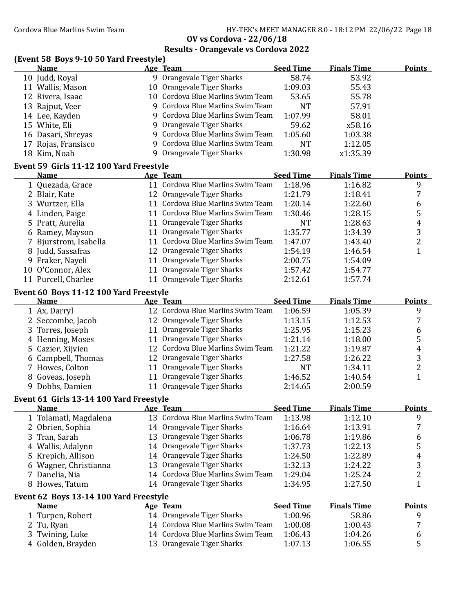Cordova Blue Marlins Swim Team Team HY-TEK's MEET MANAGER 8.0 - 18:12 PM 22/06/22 Page 18

**OV vs Cordova - 22/06/18**

|  |  | (Event 58 Boys 9-10 50 Yard Freestyle) |
|--|--|----------------------------------------|
|--|--|----------------------------------------|

|   | (Event 50 Doys 9-10 50 Tailu Freestyle)<br><b>Name</b> |            | Age Team                          | <b>Seed Time</b> | <b>Finals Time</b> | <b>Points</b>    |
|---|--------------------------------------------------------|------------|-----------------------------------|------------------|--------------------|------------------|
|   | 10 Judd, Royal                                         |            | 9 Orangevale Tiger Sharks         | 58.74            | 53.92              |                  |
|   | 11 Wallis, Mason                                       |            | 10 Orangevale Tiger Sharks        | 1:09.03          | 55.43              |                  |
|   | 12 Rivera, Isaac                                       |            | 10 Cordova Blue Marlins Swim Team | 53.65            | 55.78              |                  |
|   | 13 Rajput, Veer                                        |            | 9 Cordova Blue Marlins Swim Team  | <b>NT</b>        | 57.91              |                  |
|   | 14 Lee, Kayden                                         |            | 9 Cordova Blue Marlins Swim Team  | 1:07.99          | 58.01              |                  |
|   | 15 White, Eli                                          |            | 9 Orangevale Tiger Sharks         | 59.62            | x58.16             |                  |
|   | 16 Dasari, Shreyas                                     |            | 9 Cordova Blue Marlins Swim Team  | 1:05.60          | 1:03.38            |                  |
|   | 17 Rojas, Fransisco                                    |            | 9 Cordova Blue Marlins Swim Team  | <b>NT</b>        | 1:12.05            |                  |
|   | 18 Kim, Noah                                           | 9          | Orangevale Tiger Sharks           | 1:30.98          | x1:35.39           |                  |
|   | Event 59 Girls 11-12 100 Yard Freestyle                |            |                                   |                  |                    |                  |
|   | <b>Name</b>                                            |            | Age Team                          | <b>Seed Time</b> | <b>Finals Time</b> | <b>Points</b>    |
|   | 1 Quezada, Grace                                       |            | 11 Cordova Blue Marlins Swim Team | 1:18.96          | 1:16.82            | 9                |
|   | 2 Blair, Kate                                          |            | 12 Orangevale Tiger Sharks        | 1:21.79          | 1:18.41            | $\sqrt{7}$       |
|   | 3 Wurtzer, Ella                                        |            | 11 Cordova Blue Marlins Swim Team | 1:20.14          | 1:22.60            | $\boldsymbol{6}$ |
|   | 4 Linden, Paige                                        |            | 11 Cordova Blue Marlins Swim Team | 1:30.46          | 1:28.15            | $\mathsf S$      |
|   | 5 Pratt, Aurelia                                       |            | 11 Orangevale Tiger Sharks        | <b>NT</b>        | 1:28.63            | $\boldsymbol{4}$ |
|   | 6 Ramey, Mayson                                        |            | 11 Orangevale Tiger Sharks        | 1:35.77          | 1:34.39            | $\overline{3}$   |
| 7 | Bjurstrom, Isabella                                    |            | 11 Cordova Blue Marlins Swim Team | 1:47.07          | 1:43.40            | $\overline{c}$   |
|   | 8 Judd, Sassafras                                      |            | 12 Orangevale Tiger Sharks        | 1:54.19          | 1:46.54            | $\mathbf{1}$     |
|   | 9 Fraker, Nayeli                                       |            | 11 Orangevale Tiger Sharks        | 2:00.75          | 1:54.09            |                  |
|   | 10 O'Connor, Alex                                      |            | 11 Orangevale Tiger Sharks        | 1:57.42          | 1:54.77            |                  |
|   | 11 Purcell, Charlee                                    |            | 11 Orangevale Tiger Sharks        | 2:12.61          | 1:57.74            |                  |
|   | Event 60 Boys 11-12 100 Yard Freestyle                 |            |                                   |                  |                    |                  |
|   | <b>Name</b>                                            |            | <b>Age Team</b>                   | <b>Seed Time</b> | <b>Finals Time</b> | <b>Points</b>    |
|   | 1 Ax, Darryl                                           |            | 12 Cordova Blue Marlins Swim Team | 1:06.59          | 1:05.39            | 9                |
|   | 2 Seccombe, Jacob                                      |            | 12 Orangevale Tiger Sharks        | 1:13.15          | 1:12.53            | 7                |
|   | 3 Torres, Joseph                                       |            | 11 Orangevale Tiger Sharks        | 1:25.95          | 1:15.23            | 6                |
|   | 4 Henning, Moses                                       |            | 11 Orangevale Tiger Sharks        | 1:21.14          | 1:18.00            | $\mathsf S$      |
|   | 5 Cazier, Xijvien                                      |            | 12 Cordova Blue Marlins Swim Team | 1:21.22          | 1:19.87            | $\overline{4}$   |
|   | 6 Campbell, Thomas                                     |            | 12 Orangevale Tiger Sharks        | 1:27.58          | 1:26.22            | 3                |
|   | 7 Howes, Colton                                        |            | 11 Orangevale Tiger Sharks        | <b>NT</b>        | 1:34.11            | $\overline{c}$   |
|   | 8 Goveas, Joseph                                       |            | 11 Orangevale Tiger Sharks        | 1:46.52          | 1:40.54            | $\mathbf{1}$     |
|   | 9 Dobbs, Damien                                        |            | 11 Orangevale Tiger Sharks        | 2:14.65          | 2:00.59            |                  |
|   | Event 61 Girls 13-14 100 Yard Freestyle                |            |                                   |                  |                    |                  |
|   | <b>Name</b>                                            | <u>Age</u> | <u> Team</u>                      | <b>Seed Time</b> | <b>Finals Time</b> | <b>Points</b>    |
|   | 1 Tolamatl, Magdalena                                  |            | 13 Cordova Blue Marlins Swim Team | 1:13.98          | 1:12.10            | 9                |
|   | 2 Obrien, Sophia                                       |            | 14 Orangevale Tiger Sharks        | 1:16.64          | 1:13.91            | 7                |
|   | 3 Tran, Sarah                                          |            | 13 Orangevale Tiger Sharks        | 1:06.78          | 1:19.86            | 6                |
|   | 4 Wallis, Adalynn                                      |            | 14 Orangevale Tiger Sharks        | 1:37.73          | 1:22.13            | 5                |
|   | 5 Krepich, Allison                                     |            | 14 Orangevale Tiger Sharks        | 1:24.50          | 1:22.89            | 4                |
|   | 6 Wagner, Christianna                                  |            | 13 Orangevale Tiger Sharks        | 1:32.13          | 1:24.22            | 3                |
|   | 7 Danelia, Nia                                         |            | 14 Cordova Blue Marlins Swim Team | 1:29.04          | 1:25.24            | 2                |
|   | 8 Howes, Tatum                                         |            | 14 Orangevale Tiger Sharks        | 1:34.95          | 1:27.50            | 1                |
|   | Event 62 Boys 13-14 100 Yard Freestyle                 |            |                                   |                  |                    |                  |
|   | <b>Name</b>                                            |            | <b>Age Team</b>                   | <b>Seed Time</b> | <b>Finals Time</b> | <b>Points</b>    |
|   | 1 Turpen, Robert                                       |            | 14 Orangevale Tiger Sharks        | 1:00.96          | 58.86              | 9                |
|   | 2 Tu, Ryan                                             |            | 14 Cordova Blue Marlins Swim Team | 1:00.08          | 1:00.43            | 7                |
|   | 3 Twining, Luke                                        |            | 14 Cordova Blue Marlins Swim Team | 1:06.43          | 1:04.26            | 6                |
|   | 4 Golden, Brayden                                      |            | 13 Orangevale Tiger Sharks        | 1:07.13          | 1:06.55            | 5                |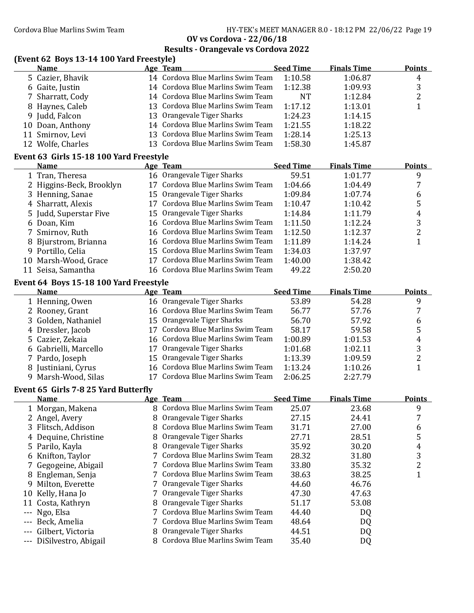# **Results - Orangevale vs Cordova 2022**

# **(Event 62 Boys 13-14 100 Yard Freestyle)**

| <b>Name</b>       |  | <b>Seed Time</b>                       | <b>Finals Time</b>                                                                                                                                                                                                                                              | <b>Points</b> |
|-------------------|--|----------------------------------------|-----------------------------------------------------------------------------------------------------------------------------------------------------------------------------------------------------------------------------------------------------------------|---------------|
| 5 Cazier, Bhavik  |  | 1:10.58                                | 1:06.87                                                                                                                                                                                                                                                         | 4             |
| 6 Gaite, Justin   |  | 1:12.38                                | 1:09.93                                                                                                                                                                                                                                                         | 3             |
| 7 Sharratt, Cody  |  | <b>NT</b>                              | 1:12.84                                                                                                                                                                                                                                                         | ▵             |
| 8 Haynes, Caleb   |  | 1:17.12                                | 1:13.01                                                                                                                                                                                                                                                         |               |
| 9 Judd, Falcon    |  | 1:24.23                                | 1:14.15                                                                                                                                                                                                                                                         |               |
| 10 Doan, Anthony  |  | 1:21.55                                | 1:18.22                                                                                                                                                                                                                                                         |               |
| 11 Smirnov, Levi  |  | 1:28.14                                | 1:25.13                                                                                                                                                                                                                                                         |               |
| 12 Wolfe, Charles |  | 1:58.30                                | 1:45.87                                                                                                                                                                                                                                                         |               |
|                   |  | Age Team<br>13 Orangevale Tiger Sharks | 14 Cordova Blue Marlins Swim Team<br>14 Cordova Blue Marlins Swim Team<br>14 Cordova Blue Marlins Swim Team<br>13 Cordova Blue Marlins Swim Team<br>14 Cordova Blue Marlins Swim Team<br>13 Cordova Blue Marlins Swim Team<br>13 Cordova Blue Marlins Swim Team |               |

### **Event 63 Girls 15-18 100 Yard Freestyle**

| <b>Name</b>              | Age Team                          | <b>Seed Time</b> | <b>Finals Time</b> | <b>Points</b> |
|--------------------------|-----------------------------------|------------------|--------------------|---------------|
| 1 Tran, Theresa          | 16 Orangevale Tiger Sharks        | 59.51            | 1:01.77            | 9             |
| 2 Higgins-Beck, Brooklyn | 17 Cordova Blue Marlins Swim Team | 1:04.66          | 1:04.49            |               |
| 3 Henning, Sanae         | 15 Orangevale Tiger Sharks        | 1:09.84          | 1:07.74            | b             |
| 4 Sharratt, Alexis       | 17 Cordova Blue Marlins Swim Team | 1:10.47          | 1:10.42            | 5             |
| 5 Judd, Superstar Five   | 15 Orangevale Tiger Sharks        | 1:14.84          | 1:11.79            | 4             |
| 6 Doan, Kim              | 16 Cordova Blue Marlins Swim Team | 1:11.50          | 1:12.24            | 3             |
| 7 Smirnov, Ruth          | 16 Cordova Blue Marlins Swim Team | 1:12.50          | 1:12.37            |               |
| 8 Bjurstrom, Brianna     | 16 Cordova Blue Marlins Swim Team | 1:11.89          | 1:14.24            |               |
| 9 Portillo, Celia        | 15 Cordova Blue Marlins Swim Team | 1:34.03          | 1:37.97            |               |
| 10 Marsh-Wood, Grace     | Cordova Blue Marlins Swim Team    | 1:40.00          | 1:38.42            |               |
| 11 Seisa, Samantha       | 16 Cordova Blue Marlins Swim Team | 49.22            | 2:50.20            |               |

## **Event 64 Boys 15-18 100 Yard Freestyle**

| <b>Name</b>           | Age Team                          | <b>Seed Time</b> | <b>Finals Time</b> | <b>Points</b> |
|-----------------------|-----------------------------------|------------------|--------------------|---------------|
| 1 Henning, Owen       | 16 Orangevale Tiger Sharks        | 53.89            | 54.28              | 9             |
| 2 Rooney, Grant       | 16 Cordova Blue Marlins Swim Team | 56.77            | 57.76              |               |
| 3 Golden, Nathaniel   | 15 Orangevale Tiger Sharks        | 56.70            | 57.92              | 6             |
| 4 Dressler, Jacob     | 17 Cordova Blue Marlins Swim Team | 58.17            | 59.58              |               |
| 5 Cazier, Zekaia      | 16 Cordova Blue Marlins Swim Team | 1:00.89          | 1:01.53            | 4             |
| 6 Gabrielli, Marcello | 17 Orangevale Tiger Sharks        | 1:01.68          | 1:02.11            |               |
| 7 Pardo, Joseph       | 15 Orangevale Tiger Sharks        | 1:13.39          | 1:09.59            |               |
| 8 Justiniani, Cyrus   | 16 Cordova Blue Marlins Swim Team | 1:13.24          | 1:10.26            |               |
| 9 Marsh-Wood, Silas   | 17 Cordova Blue Marlins Swim Team | 2:06.25          | 2:27.79            |               |
|                       |                                   |                  |                    |               |

#### **Event** 65 Girls 7-8 25 Yard Butterfly

|   | <b>Name</b>              |    | Age Team                         | <b>Seed Time</b> | <b>Finals Time</b> | <b>Points</b> |
|---|--------------------------|----|----------------------------------|------------------|--------------------|---------------|
|   | 1 Morgan, Makena         |    | 8 Cordova Blue Marlins Swim Team | 25.07            | 23.68              | 9             |
|   | 2 Angel, Avery           | 8. | Orangevale Tiger Sharks          | 27.15            | 24.41              |               |
|   | 3 Flitsch, Addison       |    | 8 Cordova Blue Marlins Swim Team | 31.71            | 27.00              | 6             |
|   | 4 Dequine, Christine     |    | 8 Orangevale Tiger Sharks        | 27.71            | 28.51              | 5             |
|   | 5 Parilo, Kayla          | 8. | Orangevale Tiger Sharks          | 35.92            | 30.20              | 4             |
|   | 6 Knifton, Taylor        |    | 7 Cordova Blue Marlins Swim Team | 28.32            | 31.80              | 3             |
|   | 7 Gegogeine, Abigail     |    | 7 Cordova Blue Marlins Swim Team | 33.80            | 35.32              | 2             |
|   | 8 Engleman, Senja        |    | 7 Cordova Blue Marlins Swim Team | 38.63            | 38.25              |               |
| 9 | Milton, Everette         |    | 7 Orangevale Tiger Sharks        | 44.60            | 46.76              |               |
|   | 10 Kelly, Hana Jo        |    | 7 Orangevale Tiger Sharks        | 47.30            | 47.63              |               |
|   | 11 Costa, Kathryn        | 8  | Orangevale Tiger Sharks          | 51.17            | 53.08              |               |
|   | --- Ngo, Elsa            |    | 7 Cordova Blue Marlins Swim Team | 44.40            | DQ                 |               |
|   | --- Beck, Amelia         |    | 7 Cordova Blue Marlins Swim Team | 48.64            | DQ                 |               |
|   | --- Gilbert, Victoria    | 8. | Orangevale Tiger Sharks          | 44.51            | DQ                 |               |
|   | --- DiSilvestro, Abigail |    | 8 Cordova Blue Marlins Swim Team | 35.40            | DQ                 |               |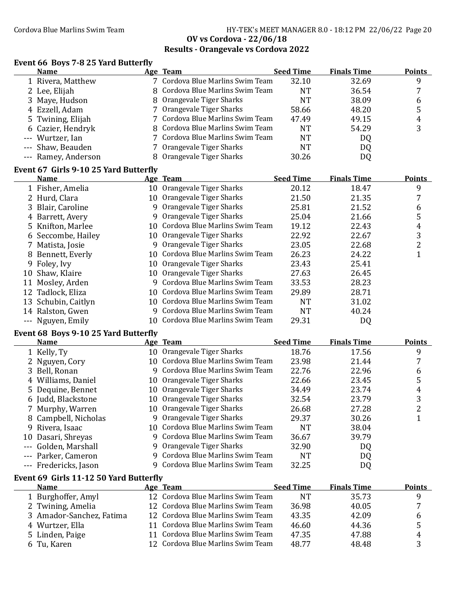#### Cordova Blue Marlins Swim Team Fram Fram HY-TEK's MEET MANAGER 8.0 - 18:12 PM 22/06/22 Page 20 **OV vs Cordova - 22/06/18 Results - Orangevale vs Cordova 2022**

#### **Event 66 Boys 7-8 25 Yard Butterϐly**

| <b>Name</b>                            | Age Team                         | <b>Seed Time</b> | <b>Finals Time</b> | <b>Points</b> |
|----------------------------------------|----------------------------------|------------------|--------------------|---------------|
| 1 Rivera, Matthew                      | 7 Cordova Blue Marlins Swim Team | 32.10            | 32.69              | 9             |
| 2 Lee, Elijah                          | 8 Cordova Blue Marlins Swim Team | NT               | 36.54              |               |
| 3 Maye, Hudson                         | 8 Orangevale Tiger Sharks        | NT               | 38.09              | 6             |
| 4 Ezzell, Adam                         | 7 Orangevale Tiger Sharks        | 58.66            | 48.20              | 5             |
| 5 Twining, Elijah                      | 7 Cordova Blue Marlins Swim Team | 47.49            | 49.15              | 4             |
| 6 Cazier, Hendryk                      | 8 Cordova Blue Marlins Swim Team | NT               | 54.29              | 3             |
| --- Wurtzer, Ian                       | 7 Cordova Blue Marlins Swim Team | NT               | DQ                 |               |
| --- Shaw, Beauden                      | 7 Orangevale Tiger Sharks        | NT               | DQ                 |               |
| --- Ramey, Anderson                    | 8 Orangevale Tiger Sharks        | 30.26            | DQ                 |               |
| Fyant 67, Cirle 0.10 25 Vard Ruttarfly |                                  |                  |                    |               |

### **Event 67 Girls 9-10 25 Yard Butterϐly**

|    | <b>Name</b>         |    | Age Team                          | <b>Seed Time</b> | <b>Finals Time</b> | <b>Points</b> |
|----|---------------------|----|-----------------------------------|------------------|--------------------|---------------|
|    | 1 Fisher, Amelia    |    | 10 Orangevale Tiger Sharks        | 20.12            | 18.47              | 9             |
|    | 2 Hurd, Clara       |    | 10 Orangevale Tiger Sharks        | 21.50            | 21.35              | 7             |
|    | 3 Blair, Caroline   | 9  | Orangevale Tiger Sharks           | 25.81            | 21.52              | 6             |
|    | 4 Barrett, Avery    |    | 9 Orangevale Tiger Sharks         | 25.04            | 21.66              | 5             |
|    | 5 Knifton, Marlee   |    | 10 Cordova Blue Marlins Swim Team | 19.12            | 22.43              | 4             |
|    | 6 Seccombe, Hailey  |    | 10 Orangevale Tiger Sharks        | 22.92            | 22.67              | 3             |
|    | 7 Matista, Josie    | 9. | Orangevale Tiger Sharks           | 23.05            | 22.68              | 2             |
|    | 8 Bennett, Everly   |    | 10 Cordova Blue Marlins Swim Team | 26.23            | 24.22              |               |
|    | 9 Foley, Ivy        |    | 10 Orangevale Tiger Sharks        | 23.43            | 25.41              |               |
|    | 10 Shaw, Klaire     |    | 10 Orangevale Tiger Sharks        | 27.63            | 26.45              |               |
| 11 | Mosley, Arden       |    | 9 Cordova Blue Marlins Swim Team  | 33.53            | 28.23              |               |
|    | 12 Tadlock, Eliza   |    | 10 Cordova Blue Marlins Swim Team | 29.89            | 28.71              |               |
|    | 13 Schubin, Caitlyn |    | 10 Cordova Blue Marlins Swim Team | <b>NT</b>        | 31.02              |               |
|    | 14 Ralston, Gwen    |    | 9 Cordova Blue Marlins Swim Team  | NT               | 40.24              |               |
|    | Nguyen, Emily       |    | 10 Cordova Blue Marlins Swim Team | 29.31            | DQ                 |               |
|    |                     |    |                                   |                  |                    |               |

### **Event** 68 Boys 9-10 25 Yard Butterfly

| <b>Name</b>           | Age Team                          | <b>Seed Time</b> | <b>Finals Time</b> | <b>Points</b> |
|-----------------------|-----------------------------------|------------------|--------------------|---------------|
| 1 Kelly, Ty           | 10 Orangevale Tiger Sharks        | 18.76            | 17.56              | 9             |
| 2 Nguyen, Cory        | 10 Cordova Blue Marlins Swim Team | 23.98            | 21.44              |               |
| 3 Bell, Ronan         | 9 Cordova Blue Marlins Swim Team  | 22.76            | 22.96              | 6             |
| 4 Williams, Daniel    | 10 Orangevale Tiger Sharks        | 22.66            | 23.45              | 5             |
| 5 Dequine, Bennet     | 10 Orangevale Tiger Sharks        | 34.49            | 23.74              | 4             |
| 6 Judd, Blackstone    | 10 Orangevale Tiger Sharks        | 32.54            | 23.79              | 3             |
| 7 Murphy, Warren      | 10 Orangevale Tiger Sharks        | 26.68            | 27.28              | 2             |
| 8 Campbell, Nicholas  | 9 Orangevale Tiger Sharks         | 29.37            | 30.26              |               |
| 9 Rivera, Isaac       | 10 Cordova Blue Marlins Swim Team | NΤ               | 38.04              |               |
| 10 Dasari, Shreyas    | 9 Cordova Blue Marlins Swim Team  | 36.67            | 39.79              |               |
| --- Golden, Marshall  | 9 Orangevale Tiger Sharks         | 32.90            | D <sub>Q</sub>     |               |
| --- Parker, Cameron   | 9 Cordova Blue Marlins Swim Team  | NΤ               | DQ                 |               |
| --- Fredericks, Jason | 9 Cordova Blue Marlins Swim Team  | 32.25            | DQ                 |               |

#### **Event 69 Girls 11-12 50 Yard Butterϐly**

| <b>Name</b>              | Age Team                          | <b>Seed Time</b> | <b>Finals Time</b> | <b>Points</b> |
|--------------------------|-----------------------------------|------------------|--------------------|---------------|
| 1 Burghoffer, Amyl       | 12 Cordova Blue Marlins Swim Team | <b>NT</b>        | 35.73              |               |
| 2 Twining, Amelia        | 12 Cordova Blue Marlins Swim Team | 36.98            | 40.05              | ⇁             |
| 3 Amador-Sanchez, Fatima | 12 Cordova Blue Marlins Swim Team | 43.35            | 42.09              | b             |
| 4 Wurtzer, Ella          | 11 Cordova Blue Marlins Swim Team | 46.60            | 44.36              | 5             |
| 5 Linden, Paige          | 11 Cordova Blue Marlins Swim Team | 47.35            | 47.88              | 4             |
| 6 Tu, Karen              | 12 Cordova Blue Marlins Swim Team | 48.77            | 48.48              |               |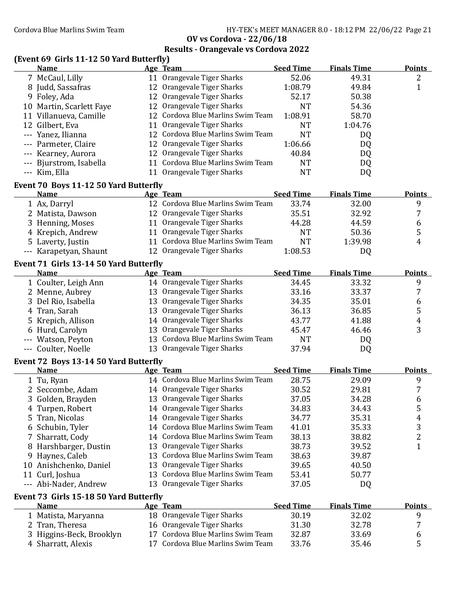Cordova Blue Marlins Swim Team Team HY-TEK's MEET MANAGER 8.0 - 18:12 PM 22/06/22 Page 21

**OV vs Cordova - 22/06/18**

| (Event 69 Girls 11-12 50 Yard Butterfly)<br><b>Name</b> |    | Age Team                          | <b>Seed Time</b> | <b>Finals Time</b> | <b>Points</b>           |
|---------------------------------------------------------|----|-----------------------------------|------------------|--------------------|-------------------------|
|                                                         |    |                                   |                  |                    |                         |
| 7 McCaul, Lilly                                         |    | 11 Orangevale Tiger Sharks        | 52.06            | 49.31              | 2                       |
| 8 Judd, Sassafras                                       |    | 12 Orangevale Tiger Sharks        | 1:08.79          | 49.84              | $\mathbf{1}$            |
| 9 Foley, Ada                                            |    | 12 Orangevale Tiger Sharks        | 52.17            | 50.38              |                         |
| 10 Martin, Scarlett Faye                                |    | 12 Orangevale Tiger Sharks        | <b>NT</b>        | 54.36              |                         |
| 11 Villanueva, Camille                                  |    | 12 Cordova Blue Marlins Swim Team | 1:08.91          | 58.70              |                         |
| 12 Gilbert, Eva                                         |    | 11 Orangevale Tiger Sharks        | <b>NT</b>        | 1:04.76            |                         |
| --- Yanez, Ilianna                                      |    | 12 Cordova Blue Marlins Swim Team | <b>NT</b>        | DQ                 |                         |
| --- Parmeter, Claire                                    |    | 12 Orangevale Tiger Sharks        | 1:06.66          | DQ                 |                         |
| --- Kearney, Aurora                                     |    | 12 Orangevale Tiger Sharks        | 40.84            | DQ                 |                         |
| --- Bjurstrom, Isabella                                 |    | 11 Cordova Blue Marlins Swim Team | <b>NT</b>        | DQ                 |                         |
| --- Kim, Ella                                           |    | 11 Orangevale Tiger Sharks        | <b>NT</b>        | DQ                 |                         |
| Event 70 Boys 11-12 50 Yard Butterfly                   |    |                                   |                  |                    |                         |
| <b>Name</b>                                             |    | Age Team                          | <b>Seed Time</b> | <b>Finals Time</b> | <b>Points</b>           |
| 1 Ax, Darryl                                            |    | 12 Cordova Blue Marlins Swim Team | 33.74            | 32.00              | 9                       |
| 2 Matista, Dawson                                       |    | 12 Orangevale Tiger Sharks        | 35.51            | 32.92              | 7                       |
| 3 Henning, Moses                                        |    | 11 Orangevale Tiger Sharks        | 44.28            | 44.59              | 6                       |
| 4 Krepich, Andrew                                       |    | 11 Orangevale Tiger Sharks        | <b>NT</b>        | 50.36              | 5                       |
| 5 Laverty, Justin                                       |    | 11 Cordova Blue Marlins Swim Team | <b>NT</b>        | 1:39.98            | 4                       |
| --- Karapetyan, Shaunt                                  |    | 12 Orangevale Tiger Sharks        | 1:08.53          | DQ                 |                         |
| Event 71 Girls 13-14 50 Yard Butterfly                  |    |                                   |                  |                    |                         |
| <b>Name</b>                                             |    | Age Team                          | <b>Seed Time</b> | <b>Finals Time</b> | <b>Points</b>           |
| 1 Coulter, Leigh Ann                                    |    | 14 Orangevale Tiger Sharks        | 34.45            | 33.32              | 9                       |
| 2 Menne, Aubrey                                         |    | 13 Orangevale Tiger Sharks        | 33.16            | 33.37              | 7                       |
| 3 Del Rio, Isabella                                     |    | 13 Orangevale Tiger Sharks        | 34.35            | 35.01              | $\boldsymbol{6}$        |
| 4 Tran, Sarah                                           |    | 13 Orangevale Tiger Sharks        | 36.13            | 36.85              | 5                       |
| 5 Krepich, Allison                                      |    | 14 Orangevale Tiger Sharks        | 43.77            | 41.88              | 4                       |
| 6 Hurd, Carolyn                                         |    | 13 Orangevale Tiger Sharks        | 45.47            | 46.46              | 3                       |
| --- Watson, Peyton                                      |    | 13 Cordova Blue Marlins Swim Team | <b>NT</b>        | DQ                 |                         |
| --- Coulter, Noelle                                     |    | 13 Orangevale Tiger Sharks        | 37.94            | DQ                 |                         |
| Event 72 Boys 13-14 50 Yard Butterfly                   |    |                                   |                  |                    |                         |
| Name                                                    |    | Age Team                          | <b>Seed Time</b> | <b>Finals Time</b> | <b>Points</b>           |
| 1 Tu, Ryan                                              |    | 14 Cordova Blue Marlins Swim Team | 28.75            | 29.09              | 9                       |
| 2 Seccombe, Adam                                        |    | 14 Orangevale Tiger Sharks        | 30.52            | 29.81              | 7                       |
| Golden, Brayden<br>3                                    |    | 13 Orangevale Tiger Sharks        | 37.05            | 34.28              | 6                       |
| Turpen, Robert<br>4                                     |    | 14 Orangevale Tiger Sharks        | 34.83            | 34.43              | 5                       |
| Tran, Nicolas<br>5                                      |    | 14 Orangevale Tiger Sharks        | 34.77            | 35.31              | 4                       |
| Schubin, Tyler<br>b                                     |    | 14 Cordova Blue Marlins Swim Team | 41.01            | 35.33              | 3                       |
| Sharratt, Cody                                          |    | 14 Cordova Blue Marlins Swim Team | 38.13            | 38.82              | $\overline{\mathbf{c}}$ |
| Harshbarger, Dustin<br>8                                |    | 13 Orangevale Tiger Sharks        | 38.73            | 39.52              | $\mathbf{1}$            |
| Haynes, Caleb<br>9                                      |    | 13 Cordova Blue Marlins Swim Team | 38.63            | 39.87              |                         |
| 10 Anishchenko, Daniel                                  |    | 13 Orangevale Tiger Sharks        | 39.65            | 40.50              |                         |
| Curl, Joshua<br>11                                      |    | 13 Cordova Blue Marlins Swim Team | 53.41            | 50.77              |                         |
| --- Abi-Nader, Andrew                                   |    | 13 Orangevale Tiger Sharks        | 37.05            | DQ                 |                         |
| Event 73 Girls 15-18 50 Yard Butterfly                  |    |                                   |                  |                    |                         |
| <b>Name</b>                                             |    | <b>Age Team</b>                   | <b>Seed Time</b> | <b>Finals Time</b> | <b>Points</b>           |
| 1 Matista, Maryanna                                     |    | 18 Orangevale Tiger Sharks        | 30.19            | 32.02              | 9                       |
| 2 Tran, Theresa                                         |    | 16 Orangevale Tiger Sharks        | 31.30            | 32.78              | 7                       |
| Higgins-Beck, Brooklyn<br>3                             |    | 17 Cordova Blue Marlins Swim Team | 32.87            | 33.69              | 6                       |
| Sharratt, Alexis<br>4                                   | 17 | Cordova Blue Marlins Swim Team    | 33.76            | 35.46              | 5                       |
|                                                         |    |                                   |                  |                    |                         |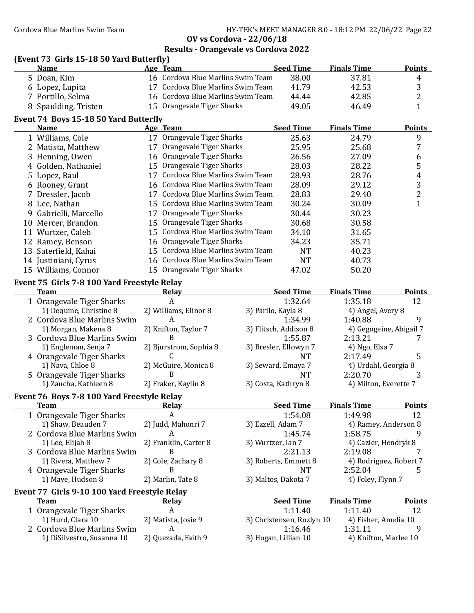Cordova Blue Marlins Swim Team HY-TEK's MEET MANAGER 8.0 - 18:12 PM 22/06/22 Page 22

**OV vs Cordova - 22/06/18**

|   |                                              |                   | Results - Orangevale vs Cordova 2022 |                           |                         |                  |
|---|----------------------------------------------|-------------------|--------------------------------------|---------------------------|-------------------------|------------------|
|   | (Event 73 Girls 15-18 50 Yard Butterfly)     |                   |                                      |                           |                         |                  |
|   | <b>Name</b>                                  | Age Team          |                                      | <b>Seed Time</b>          | <b>Finals Time</b>      | <b>Points</b>    |
|   | 5 Doan, Kim                                  |                   | 16 Cordova Blue Marlins Swim Team    | 38.00                     | 37.81                   | $\boldsymbol{4}$ |
|   | 6 Lopez, Lupita                              |                   | 17 Cordova Blue Marlins Swim Team    | 41.79                     | 42.53                   | 3                |
|   | 7 Portillo, Selma                            |                   | 16 Cordova Blue Marlins Swim Team    | 44.44                     | 42.85                   | $\overline{c}$   |
|   | 8 Spaulding, Tristen                         |                   | 15 Orangevale Tiger Sharks           | 49.05                     | 46.49                   | $\mathbf{1}$     |
|   | Event 74 Boys 15-18 50 Yard Butterfly        |                   |                                      |                           |                         |                  |
|   | <b>Name</b>                                  | Age Team          |                                      | <b>Seed Time</b>          | <b>Finals Time</b>      | <b>Points</b>    |
|   | 1 Williams, Cole                             |                   | 17 Orangevale Tiger Sharks           | 25.63                     | 24.79                   | 9                |
|   | 2 Matista, Matthew                           |                   | 17 Orangevale Tiger Sharks           | 25.95                     | 25.68                   | $\boldsymbol{7}$ |
| 3 | Henning, Owen                                |                   | 16 Orangevale Tiger Sharks           | 26.56                     | 27.09                   | 6                |
|   | 4 Golden, Nathaniel                          |                   | 15 Orangevale Tiger Sharks           | 28.03                     | 28.22                   | 5                |
|   | 5 Lopez, Raul                                |                   | 17 Cordova Blue Marlins Swim Team    | 28.93                     | 28.76                   | $\overline{4}$   |
|   | 6 Rooney, Grant                              |                   | 16 Cordova Blue Marlins Swim Team    | 28.09                     | 29.12                   | 3                |
|   | 7 Dressler, Jacob                            |                   | 17 Cordova Blue Marlins Swim Team    | 28.83                     | 29.40                   | $\overline{c}$   |
|   | 8 Lee, Nathan                                |                   | 15 Cordova Blue Marlins Swim Team    | 30.24                     | 30.09                   | $\mathbf{1}$     |
|   | 9 Gabrielli, Marcello                        |                   | 17 Orangevale Tiger Sharks           | 30.44                     | 30.23                   |                  |
|   | 10 Mercer, Brandon                           |                   | 15 Orangevale Tiger Sharks           | 30.68                     | 30.58                   |                  |
|   | 11 Wurtzer, Caleb                            |                   | 15 Cordova Blue Marlins Swim Team    | 34.10                     | 31.65                   |                  |
|   | 12 Ramey, Benson                             |                   | 16 Orangevale Tiger Sharks           | 34.23                     | 35.71                   |                  |
|   | 13 Saterfield, Kahai                         |                   | 15 Cordova Blue Marlins Swim Team    | <b>NT</b>                 | 40.23                   |                  |
|   | 14 Justiniani, Cyrus                         |                   | 16 Cordova Blue Marlins Swim Team    | <b>NT</b>                 | 40.73                   |                  |
|   | 15 Williams, Connor                          |                   | 15 Orangevale Tiger Sharks           | 47.02                     | 50.20                   |                  |
|   | Event 75 Girls 7-8 100 Yard Freestyle Relay  |                   |                                      |                           |                         |                  |
|   | <b>Team</b>                                  | <b>Relay</b>      |                                      | <b>Seed Time</b>          | <b>Finals Time</b>      | <b>Points</b>    |
|   | 1 Orangevale Tiger Sharks                    | $\mathbf{A}$      |                                      | 1:32.64                   | 1:35.18                 | 12               |
|   | 1) Dequine, Christine 8                      |                   | 2) Williams, Elinor 8                | 3) Parilo, Kayla 8        | 4) Angel, Avery 8       |                  |
|   | 2 Cordova Blue Marlins Swim                  | A                 |                                      | 1:34.99                   | 1:40.88                 | 9                |
|   | 1) Morgan, Makena 8                          |                   | 2) Knifton, Taylor 7                 | 3) Flitsch, Addison 8     | 4) Gegogeine, Abigail 7 |                  |
|   | 3 Cordova Blue Marlins Swim                  | B                 |                                      | 1:55.87                   | 2:13.21                 | 7                |
|   | 1) Engleman, Senja 7                         |                   | 2) Bjurstrom, Sophia 8               | 3) Bresler, Ellowyn 7     | 4) Ngo, Elsa 7          |                  |
|   | 4 Orangevale Tiger Sharks                    | C                 |                                      | <b>NT</b>                 | 2:17.49                 | 5                |
|   | 1) Nava, Chloe 8                             |                   | 2) McGuire, Monica 8                 | 3) Seward, Emaya 7        | 4) Urdahl, Georgia 8    |                  |
|   | 5 Orangevale Tiger Sharks                    | B                 |                                      | <b>NT</b>                 | 2:20.70                 | 3                |
|   | 1) Zaucha, Kathleen 8                        |                   | 2) Fraker, Kaylin 8                  | 3) Costa, Kathryn 8       | 4) Milton, Everette 7   |                  |
|   | Event 76 Boys 7-8 100 Yard Freestyle Relay   |                   |                                      |                           |                         |                  |
|   | <b>Team</b>                                  | <b>Relay</b>      |                                      | <b>Seed Time</b>          | <b>Finals Time</b>      | <b>Points</b>    |
|   | 1 Orangevale Tiger Sharks                    | A                 |                                      | 1:54.08                   | 1:49.98                 | 12               |
|   | 1) Shaw, Beauden 7                           |                   | 2) Judd, Mahonri 7                   | 3) Ezzell, Adam 7         | 4) Ramey, Anderson 8    |                  |
|   | 2 Cordova Blue Marlins Swim                  | A                 |                                      | 1:45.74                   | 1:58.75                 | 9                |
|   | 1) Lee, Elijah 8                             |                   | 2) Franklin, Carter 8                | 3) Wurtzer, Ian 7         | 4) Cazier, Hendryk 8    |                  |
|   | 3 Cordova Blue Marlins Swim                  | B                 |                                      | 2:21.13                   | 2:19.08                 | 7                |
|   | 1) Rivera, Matthew 7                         |                   | 2) Cole, Zachary 8                   | 3) Roberts, Emmett 8      | 4) Rodriguez, Robert 7  |                  |
|   | 4 Orangevale Tiger Sharks                    | B                 |                                      | <b>NT</b>                 | 2:52.04                 | 5                |
|   | 1) Maye, Hudson 8                            | 2) Marlin, Tate 8 |                                      | 3) Maltos, Dakota 7       | 4) Foley, Flynn 7       |                  |
|   | Event 77 Girls 9-10 100 Yard Freestyle Relay |                   |                                      |                           |                         |                  |
|   | <b>Team</b>                                  | <b>Relay</b>      |                                      | <b>Seed Time</b>          | <b>Finals Time</b>      | <b>Points</b>    |
|   | 1 Orangevale Tiger Sharks                    | A                 |                                      | 1:11.40                   | 1:11.40                 | 12               |
|   | 1) Hurd, Clara 10                            |                   | 2) Matista, Josie 9                  | 3) Christensen, Rozlyn 10 | 4) Fisher, Amelia 10    |                  |
|   | 2 Cordova Blue Marlins Swim                  | A                 |                                      | 1:16.46                   | 1:31.11                 | 9                |
|   | 1) DiSilvestro, Susanna 10                   |                   | 2) Quezada, Faith 9                  | 3) Hogan, Lillian 10      | 4) Knifton, Marlee 10   |                  |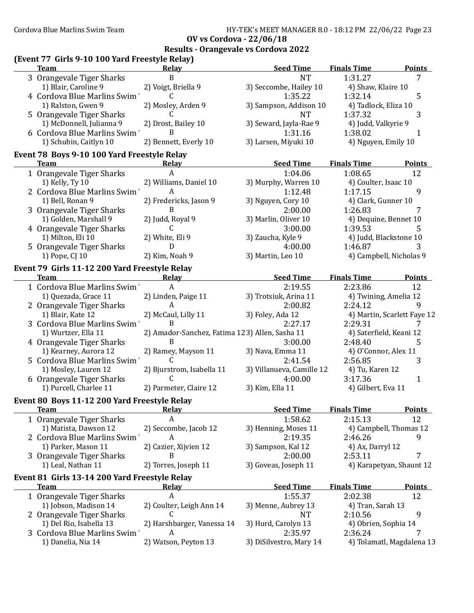| (Event 77 Girls 9-10 100 Yard Freestyle Relay)<br><b>Team</b> | <b>Relay</b>                                   | <b>Seed Time</b>          | <b>Finals Time</b>          | <b>Points</b> |
|---------------------------------------------------------------|------------------------------------------------|---------------------------|-----------------------------|---------------|
| 3 Orangevale Tiger Sharks                                     | B                                              | <b>NT</b>                 | 1:31.27                     | 7             |
| 1) Blair, Caroline 9                                          | 2) Voigt, Briella 9                            | 3) Seccombe, Hailey 10    | 4) Shaw, Klaire 10          |               |
| 4 Cordova Blue Marlins Swim                                   | C                                              | 1:35.22                   | 1:32.14                     | 5             |
| 1) Ralston, Gwen 9                                            | 2) Mosley, Arden 9                             | 3) Sampson, Addison 10    | 4) Tadlock, Eliza 10        |               |
| 5 Orangevale Tiger Sharks                                     | C.                                             | <b>NT</b>                 | 1:37.32                     | 3             |
| 1) McDonnell, Julianna 9                                      | 2) Drost, Bailey 10                            | 3) Seward, Jayla-Rae 9    | 4) Judd, Valkyrie 9         |               |
| 6 Cordova Blue Marlins Swim                                   | B                                              | 1:31.16                   | 1:38.02                     | 1             |
| 1) Schubin, Caitlyn 10                                        | 2) Bennett, Everly 10                          | 3) Larsen, Miyuki 10      | 4) Nguyen, Emily 10         |               |
| Event 78 Boys 9-10 100 Yard Freestyle Relay                   |                                                |                           |                             |               |
| <b>Team</b>                                                   | <b>Relay</b>                                   | <b>Seed Time</b>          | <b>Finals Time</b>          | <b>Points</b> |
| 1 Orangevale Tiger Sharks                                     | A                                              | 1:04.06                   | 1:08.65                     | 12            |
| 1) Kelly, Ty 10                                               | 2) Williams, Daniel 10                         | 3) Murphy, Warren 10      | 4) Coulter, Isaac 10        |               |
| 2 Cordova Blue Marlins Swim                                   | A                                              | 1:12.48                   | 1:17.15                     | 9             |
| 1) Bell, Ronan 9                                              | 2) Fredericks, Jason 9                         | 3) Nguyen, Cory 10        | 4) Clark, Gunner 10         |               |
| 3 Orangevale Tiger Sharks                                     | B                                              | 2:00.00                   | 1:26.83                     | 7             |
| 1) Golden, Marshall 9                                         | 2) Judd, Royal 9                               | 3) Marlin, Oliver 10      | 4) Dequine, Bennet 10       |               |
| 4 Orangevale Tiger Sharks                                     | C                                              | 3:00.00                   | 1:39.53                     | 5             |
| 1) Milton, Eli 10                                             | 2) White, Eli 9                                | 3) Zaucha, Kyle 9         | 4) Judd, Blackstone 10      |               |
| 5 Orangevale Tiger Sharks                                     | D                                              | 4:00.00                   | 1:46.87                     |               |
| 1) Pope, CJ 10                                                | 2) Kim, Noah 9                                 | 3) Martin, Leo 10         | 4) Campbell, Nicholas 9     |               |
| Event 79 Girls 11-12 200 Yard Freestyle Relay                 |                                                |                           |                             |               |
| <b>Team</b>                                                   | <b>Relay</b>                                   | <b>Seed Time</b>          | <b>Finals Time</b>          | <b>Points</b> |
| 1 Cordova Blue Marlins Swim                                   | $\mathbf{A}$                                   | 2:19.55                   | 2:23.86                     | 12            |
| 1) Quezada, Grace 11                                          | 2) Linden, Paige 11                            | 3) Trotsiuk, Arina 11     | 4) Twining, Amelia 12       |               |
|                                                               | A                                              | 2:00.82                   | 2:24.12                     | 9             |
| 2 Orangevale Tiger Sharks<br>1) Blair, Kate 12                | 2) McCaul, Lilly 11                            | 3) Foley, Ada 12          | 4) Martin, Scarlett Faye 12 |               |
| 3 Cordova Blue Marlins Swim                                   | B                                              | 2:27.17                   | 2:29.31                     | 7             |
| 1) Wurtzer, Ella 11                                           | 2) Amador-Sanchez, Fatima 123) Allen, Sasha 11 |                           | 4) Saterfield, Keani 12     |               |
|                                                               | B                                              | 3:00.00                   | 2:48.40                     | 5             |
| 4 Orangevale Tiger Sharks<br>1) Kearney, Aurora 12            | 2) Ramey, Mayson 11                            | 3) Nava, Emma 11          | 4) O'Connor, Alex 11        |               |
| 5 Cordova Blue Marlins Swim                                   | C                                              | 2:41.54                   | 2:56.85                     | 3             |
| 1) Mosley, Lauren 12                                          | 2) Bjurstrom, Isabella 11                      | 3) Villanueva, Camille 12 | 4) Tu, Karen 12             |               |
|                                                               | C                                              | 4:00.00                   | 3:17.36                     |               |
| 6 Orangevale Tiger Sharks<br>1) Purcell, Charlee 11           | 2) Parmeter, Claire 12                         | 3) Kim, Ella 11           | 4) Gilbert, Eva 11          | $\mathbf{1}$  |
|                                                               |                                                |                           |                             |               |
| Event 80 Boys 11-12 200 Yard Freestyle Relay                  |                                                |                           |                             |               |
| <b>Team</b>                                                   | Relay                                          | <b>Seed Time</b>          | <b>Finals Time</b>          | <b>Points</b> |
| 1 Orangevale Tiger Sharks                                     | A                                              | 1:58.62                   | 2:15.13                     | 12            |
| 1) Matista, Dawson 12                                         | 2) Seccombe, Jacob 12                          | 3) Henning, Moses 11      | 4) Campbell, Thomas 12      |               |
| 2 Cordova Blue Marlins Swim                                   | A                                              | 2:19.35                   | 2:46.26                     | 9             |
| 1) Parker, Mason 11                                           | 2) Cazier, Xijvien 12                          | 3) Sampson, Kal 12        | 4) Ax, Darryl 12            |               |
| 3 Orangevale Tiger Sharks                                     | B                                              | 2:00.00                   | 2:53.11                     | 7             |
| 1) Leal, Nathan 11                                            | 2) Torres, Joseph 11                           | 3) Goveas, Joseph 11      | 4) Karapetyan, Shaunt 12    |               |
| Event 81 Girls 13-14 200 Yard Freestyle Relay                 |                                                |                           |                             |               |
| <b>Team</b>                                                   | <b>Relay</b>                                   | <b>Seed Time</b>          | <b>Finals Time</b>          | <b>Points</b> |
| 1 Orangevale Tiger Sharks                                     | A                                              | 1:55.37                   | 2:02.38                     | 12            |
| 1) Jobson, Madison 14                                         | 2) Coulter, Leigh Ann 14                       | 3) Menne, Aubrey 13       | 4) Tran, Sarah 13           |               |
| 2 Orangevale Tiger Sharks                                     | C                                              | <b>NT</b>                 | 2:10.56                     | 9             |
|                                                               |                                                |                           |                             |               |
| 1) Del Rio, Isabella 13                                       | 2) Harshbarger, Vanessa 14                     | 3) Hurd, Carolyn 13       | 4) Obrien, Sophia 14        |               |
| 3 Cordova Blue Marlins Swim                                   | A                                              | 2:35.97                   | 2:36.24                     |               |